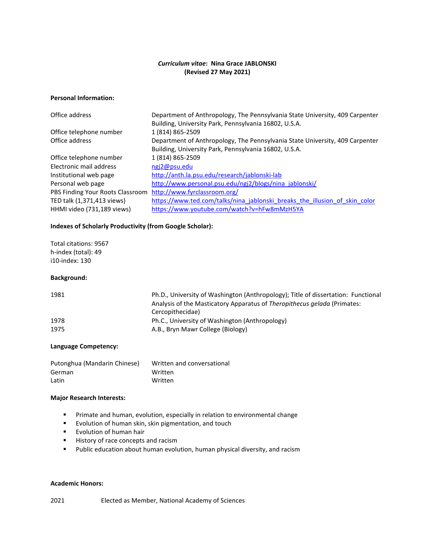# *Curriculum vitae***: Nina Grace JABLONSKI (Revised 27 May 2021)**

### **Personal Information:**

| Department of Anthropology, The Pennsylvania State University, 409 Carpenter<br>Building, University Park, Pennsylvania 16802, U.S.A. |
|---------------------------------------------------------------------------------------------------------------------------------------|
| 1 (814) 865-2509                                                                                                                      |
| Department of Anthropology, The Pennsylvania State University, 409 Carpenter                                                          |
| Building, University Park, Pennsylvania 16802, U.S.A.                                                                                 |
| 1 (814) 865-2509                                                                                                                      |
| ngi2@psu.edu                                                                                                                          |
| http://anth.la.psu.edu/research/jablonski-lab                                                                                         |
| http://www.personal.psu.edu/ngj2/blogs/nina jablonski/                                                                                |
| http://www.fyrclassroom.org/                                                                                                          |
| https://www.ted.com/talks/nina jablonski breaks the illusion of skin color                                                            |
| https://www.youtube.com/watch?v=hFw8mMzH5YA                                                                                           |
|                                                                                                                                       |

## **Indexes of Scholarly Productivity (from Google Scholar):**

Total citations: 9567 h-index (total): 49 i10-index: 130

#### **Background:**

| 1981 | Ph.D., University of Washington (Anthropology); Title of dissertation: Functional<br>Analysis of the Masticatory Apparatus of Theropithecus gelada (Primates:<br>Cercopithecidae) |
|------|-----------------------------------------------------------------------------------------------------------------------------------------------------------------------------------|
| 1978 | Ph.C., University of Washington (Anthropology)                                                                                                                                    |
| 1975 | A.B., Bryn Mawr College (Biology)                                                                                                                                                 |

### **Language Competency:**

| Putonghua (Mandarin Chinese) | Written and conversational |
|------------------------------|----------------------------|
| German                       | Written                    |
| Latin                        | Written                    |

### **Major Research Interests:**

- **Primate and human, evolution, especially in relation to environmental change**
- **EVOLUTION OF human skin, skin pigmentation, and touch**
- **Evolution of human hair**
- History of race concepts and racism
- Public education about human evolution, human physical diversity, and racism

#### **Academic Honors:**

2021 Elected as Member, National Academy of Sciences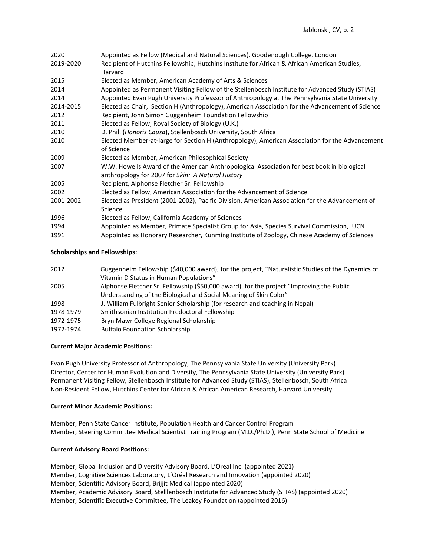| 2020      | Appointed as Fellow (Medical and Natural Sciences), Goodenough College, London                  |
|-----------|-------------------------------------------------------------------------------------------------|
| 2019-2020 | Recipient of Hutchins Fellowship, Hutchins Institute for African & African American Studies,    |
|           | Harvard                                                                                         |
| 2015      | Elected as Member, American Academy of Arts & Sciences                                          |
| 2014      | Appointed as Permanent Visiting Fellow of the Stellenbosch Institute for Advanced Study (STIAS) |
| 2014      | Appointed Evan Pugh University Professsor of Anthropology at The Pennsylvania State University  |
| 2014-2015 | Elected as Chair, Section H (Anthropology), American Association for the Advancement of Science |
| 2012      | Recipient, John Simon Guggenheim Foundation Fellowship                                          |
| 2011      | Elected as Fellow, Royal Society of Biology (U.K.)                                              |
| 2010      | D. Phil. (Honoris Causa), Stellenbosch University, South Africa                                 |
| 2010      | Elected Member-at-large for Section H (Anthropology), American Association for the Advancement  |
|           | of Science                                                                                      |
| 2009      | Elected as Member, American Philosophical Society                                               |
| 2007      | W.W. Howells Award of the American Anthropological Association for best book in biological      |
|           | anthropology for 2007 for Skin: A Natural History                                               |
| 2005      | Recipient, Alphonse Fletcher Sr. Fellowship                                                     |
| 2002      | Elected as Fellow, American Association for the Advancement of Science                          |
| 2001-2002 | Elected as President (2001-2002), Pacific Division, American Association for the Advancement of |
|           | Science                                                                                         |
| 1996      | Elected as Fellow, California Academy of Sciences                                               |
| 1994      | Appointed as Member, Primate Specialist Group for Asia, Species Survival Commission, IUCN       |
| 1991      | Appointed as Honorary Researcher, Kunming Institute of Zoology, Chinese Academy of Sciences     |
|           |                                                                                                 |

## **Scholarships and Fellowships:**

| 2012      | Guggenheim Fellowship (\$40,000 award), for the project, "Naturalistic Studies of the Dynamics of |
|-----------|---------------------------------------------------------------------------------------------------|
|           | Vitamin D Status in Human Populations"                                                            |
| 2005      | Alphonse Fletcher Sr. Fellowship (\$50,000 award), for the project "Improving the Public          |
|           | Understanding of the Biological and Social Meaning of Skin Color"                                 |
| 1998      | J. William Fulbright Senior Scholarship (for research and teaching in Nepal)                      |
| 1978-1979 | Smithsonian Institution Predoctoral Fellowship                                                    |
| 1972-1975 | Bryn Mawr College Regional Scholarship                                                            |
| 1972-1974 | <b>Buffalo Foundation Scholarship</b>                                                             |

### **Current Major Academic Positions:**

Evan Pugh University Professor of Anthropology, The Pennsylvania State University (University Park) Director, Center for Human Evolution and Diversity, The Pennsylvania State University (University Park) Permanent Visiting Fellow, Stellenbosch Institute for Advanced Study (STIAS), Stellenbosch, South Africa Non-Resident Fellow, Hutchins Center for African & African American Research, Harvard University

### **Current Minor Academic Positions:**

Member, Penn State Cancer Institute, Population Health and Cancer Control Program Member, Steering Committee Medical Scientist Training Program (M.D./Ph.D.), Penn State School of Medicine

### **Current Advisory Board Positions:**

Member, Global Inclusion and Diversity Advisory Board, L'Oreal Inc. (appointed 2021) Member, Cognitive Sciences Laboratory, L'Oréal Research and Innovation (appointed 2020) Member, Scientific Advisory Board, Brijjit Medical (appointed 2020) Member, Academic Advisory Board, Stelllenbosch Institute for Advanced Study (STIAS) (appointed 2020) Member, Scientific Executive Committee, The Leakey Foundation (appointed 2016)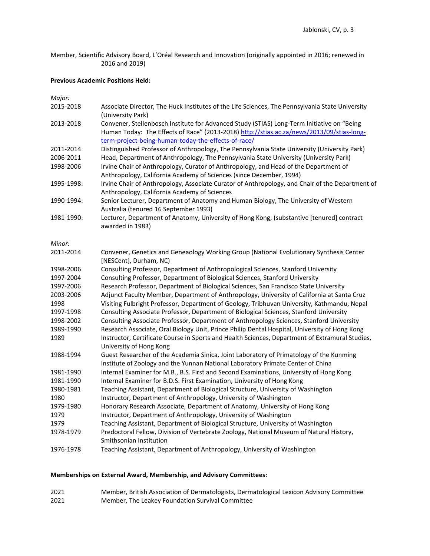Member, Scientific Advisory Board, L'Oréal Research and Innovation (originally appointed in 2016; renewed in 2016 and 2019)

# **Previous Academic Positions Held:**

*Major:*

| 2015-2018  | Associate Director, The Huck Institutes of the Life Sciences, The Pennsylvania State University<br>(University Park)                                                                                                                           |
|------------|------------------------------------------------------------------------------------------------------------------------------------------------------------------------------------------------------------------------------------------------|
| 2013-2018  | Convener, Stellenbosch Institute for Advanced Study (STIAS) Long-Term Initiative on "Being<br>Human Today: The Effects of Race" (2013-2018) http://stias.ac.za/news/2013/09/stias-long-<br>term-project-being-human-today-the-effects-of-race/ |
| 2011-2014  | Distinguished Professor of Anthropology, The Pennsylvania State University (University Park)                                                                                                                                                   |
| 2006-2011  | Head, Department of Anthropology, The Pennsylvania State University (University Park)                                                                                                                                                          |
| 1998-2006  | Irvine Chair of Anthropology, Curator of Anthropology, and Head of the Department of<br>Anthropology, California Academy of Sciences (since December, 1994)                                                                                    |
| 1995-1998: | Irvine Chair of Anthropology, Associate Curator of Anthropology, and Chair of the Department of<br>Anthropology, California Academy of Sciences                                                                                                |
| 1990-1994: | Senior Lecturer, Department of Anatomy and Human Biology, The University of Western<br>Australia (tenured 16 September 1993)                                                                                                                   |
| 1981-1990: | Lecturer, Department of Anatomy, University of Hong Kong, (substantive [tenured] contract<br>awarded in 1983)                                                                                                                                  |
| Minor:     |                                                                                                                                                                                                                                                |
| 2011-2014  | Convener, Genetics and Geneaology Working Group (National Evolutionary Synthesis Center<br>[NESCent], Durham, NC)                                                                                                                              |
| 1998-2006  | Consulting Professor, Department of Anthropological Sciences, Stanford University                                                                                                                                                              |
| 1997-2004  | Consulting Professor, Department of Biological Sciences, Stanford University                                                                                                                                                                   |
| 1997-2006  | Research Professor, Department of Biological Sciences, San Francisco State University                                                                                                                                                          |
| 2003-2006  | Adjunct Faculty Member, Department of Anthropology, University of California at Santa Cruz                                                                                                                                                     |
| 1998       | Visiting Fulbright Professor, Department of Geology, Tribhuvan University, Kathmandu, Nepal                                                                                                                                                    |
| 1997-1998  | Consulting Associate Professor, Department of Biological Sciences, Stanford University                                                                                                                                                         |
| 1998-2002  | Consulting Associate Professor, Department of Anthropology Sciences, Stanford University                                                                                                                                                       |
| 1989-1990  | Research Associate, Oral Biology Unit, Prince Philip Dental Hospital, University of Hong Kong                                                                                                                                                  |
| 1989       | Instructor, Certificate Course in Sports and Health Sciences, Department of Extramural Studies,<br>University of Hong Kong                                                                                                                     |
| 1988-1994  | Guest Researcher of the Academia Sinica, Joint Laboratory of Primatology of the Kunming                                                                                                                                                        |
|            | Institute of Zoology and the Yunnan National Laboratory Primate Center of China                                                                                                                                                                |
| 1981-1990  | Internal Examiner for M.B., B.S. First and Second Examinations, University of Hong Kong                                                                                                                                                        |
| 1981-1990  | Internal Examiner for B.D.S. First Examination, University of Hong Kong                                                                                                                                                                        |
| 1980-1981  | Teaching Assistant, Department of Biological Structure, University of Washington                                                                                                                                                               |
| 1980       | Instructor, Department of Anthropology, University of Washington                                                                                                                                                                               |
| 1979-1980  | Honorary Research Associate, Department of Anatomy, University of Hong Kong                                                                                                                                                                    |
| 1979       | Instructor, Department of Anthropology, University of Washington                                                                                                                                                                               |
| 1979       | Teaching Assistant, Department of Biological Structure, University of Washington                                                                                                                                                               |
| 1978-1979  | Predoctoral Fellow, Division of Vertebrate Zoology, National Museum of Natural History,<br>Smithsonian Institution                                                                                                                             |
| 1976-1978  | Teaching Assistant, Department of Anthropology, University of Washington                                                                                                                                                                       |

# **Memberships on External Award, Membership, and Advisory Committees:**

2021 Member, British Association of Dermatologists, Dermatological Lexicon Advisory Committee 2021 Member, The Leakey Foundation Survival Committee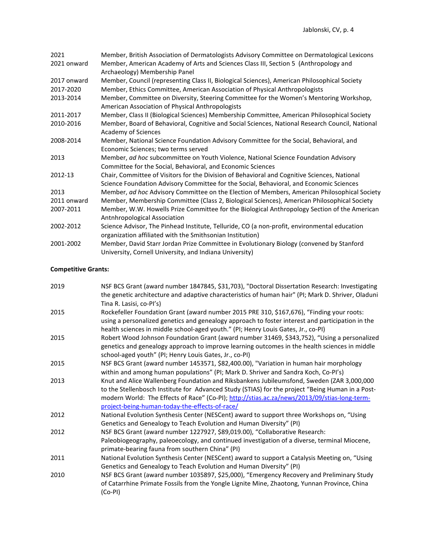| 2021        | Member, British Association of Dermatologists Advisory Committee on Dermatological Lexicons     |
|-------------|-------------------------------------------------------------------------------------------------|
| 2021 onward | Member, American Academy of Arts and Sciences Class III, Section 5 (Anthropology and            |
|             | Archaeology) Membership Panel                                                                   |
| 2017 onward | Member, Council (representing Class II, Biological Sciences), American Philosophical Society    |
| 2017-2020   | Member, Ethics Committee, American Association of Physical Anthropologists                      |
| 2013-2014   | Member, Committee on Diversity, Steering Committee for the Women's Mentoring Workshop,          |
|             | American Association of Physical Anthropologists                                                |
| 2011-2017   | Member, Class II (Biological Sciences) Membership Committee, American Philosophical Society     |
| 2010-2016   | Member, Board of Behavioral, Cognitive and Social Sciences, National Research Council, National |
|             | Academy of Sciences                                                                             |
| 2008-2014   | Member, National Science Foundation Advisory Committee for the Social, Behavioral, and          |
|             | Economic Sciences; two terms served                                                             |
| 2013        | Member, ad hoc subcommittee on Youth Violence, National Science Foundation Advisory             |
|             | Committee for the Social, Behavioral, and Economic Sciences                                     |
| 2012-13     | Chair, Committee of Visitors for the Division of Behavioral and Cognitive Sciences, National    |
|             | Science Foundation Advisory Committee for the Social, Behavioral, and Economic Sciences         |
| 2013        | Member, ad hoc Advisory Committee on the Election of Members, American Philosophical Society    |
| 2011 onward | Member, Membership Committee (Class 2, Biological Sciences), American Philosophical Society     |
| 2007-2011   | Member, W.W. Howells Prize Committee for the Biological Anthropology Section of the American    |
|             | Antnhropological Association                                                                    |
| 2002-2012   | Science Advisor, The Pinhead Institute, Telluride, CO (a non-profit, environmental education    |
|             | organization affiliated with the Smithsonian Institution)                                       |
| 2001-2002   | Member, David Starr Jordan Prize Committee in Evolutionary Biology (convened by Stanford        |
|             | University, Cornell University, and Indiana University)                                         |

# **Competitive Grants:**

| 2019 | NSF BCS Grant (award number 1847845, \$31,703), "Doctoral Dissertation Research: Investigating                                 |
|------|--------------------------------------------------------------------------------------------------------------------------------|
|      | the genetic architecture and adaptive characteristics of human hair" (PI; Mark D. Shriver, Oladuni<br>Tina R. Lasisi, co-Pl's) |
| 2015 | Rockefeller Foundation Grant (award number 2015 PRE 310, \$167,676), "Finding your roots:                                      |
|      | using a personalized genetics and genealogy approach to foster interest and participation in the                               |
|      | health sciences in middle school-aged youth." (PI; Henry Louis Gates, Jr., co-PI)                                              |
| 2015 | Robert Wood Johnson Foundation Grant (award number 31469, \$343,752), "Using a personalized                                    |
|      | genetics and genealogy approach to improve learning outcomes in the health sciences in middle                                  |
|      | school-aged youth" (PI; Henry Louis Gates, Jr., co-PI)                                                                         |
| 2015 | NSF BCS Grant (award number 1453571, \$82,400.00), "Variation in human hair morphology                                         |
|      | within and among human populations" (PI; Mark D. Shriver and Sandra Koch, Co-PI's)                                             |
| 2013 | Knut and Alice Wallenberg Foundation and Riksbankens Jubileumsfond, Sweden (ZAR 3,000,000                                      |
|      | to the Stellenbosch Institute for Advanced Study (STIAS) for the project "Being Human in a Post-                               |
|      | modern World: The Effects of Race" (Co-PI); http://stias.ac.za/news/2013/09/stias-long-term-                                   |
|      | project-being-human-today-the-effects-of-race/                                                                                 |
| 2012 | National Evolution Synthesis Center (NESCent) award to support three Workshops on, "Using                                      |
|      | Genetics and Genealogy to Teach Evolution and Human Diversity" (PI)                                                            |
| 2012 | NSF BCS Grant (award number 1227927, \$89,019.00), "Collaborative Research:                                                    |
|      | Paleobiogeography, paleoecology, and continued investigation of a diverse, terminal Miocene,                                   |
|      | primate-bearing fauna from southern China" (PI)                                                                                |
| 2011 | National Evolution Synthesis Center (NESCent) award to support a Catalysis Meeting on, "Using                                  |
|      | Genetics and Genealogy to Teach Evolution and Human Diversity" (PI)                                                            |
| 2010 | NSF BCS Grant (award number 1035897, \$25,000), "Emergency Recovery and Preliminary Study                                      |
|      | of Catarrhine Primate Fossils from the Yongle Lignite Mine, Zhaotong, Yunnan Province, China                                   |
|      | $(Co-PI)$                                                                                                                      |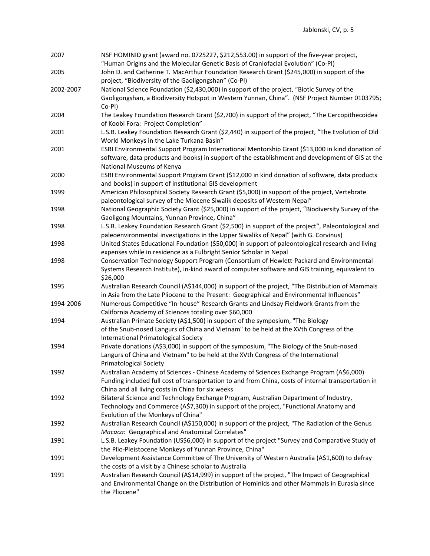| 2007      | NSF HOMINID grant (award no. 0725227, \$212,553.00) in support of the five-year project,<br>"Human Origins and the Molecular Genetic Basis of Craniofacial Evolution" (Co-PI)                                                                        |
|-----------|------------------------------------------------------------------------------------------------------------------------------------------------------------------------------------------------------------------------------------------------------|
| 2005      | John D. and Catherine T. MacArthur Foundation Research Grant (\$245,000) in support of the<br>project, "Biodiversity of the Gaoligongshan" (Co-PI)                                                                                                   |
| 2002-2007 | National Science Foundation (\$2,430,000) in support of the project, "Biotic Survey of the                                                                                                                                                           |
|           | Gaoligongshan, a Biodiversity Hotspot in Western Yunnan, China". (NSF Project Number 0103795;<br>Co-PI)                                                                                                                                              |
| 2004      | The Leakey Foundation Research Grant (\$2,700) in support of the project, "The Cercopithecoidea<br>of Koobi Fora: Project Completion"                                                                                                                |
| 2001      | L.S.B. Leakey Foundation Research Grant (\$2,440) in support of the project, "The Evolution of Old<br>World Monkeys in the Lake Turkana Basin"                                                                                                       |
| 2001      | ESRI Environmental Support Program International Mentorship Grant (\$13,000 in kind donation of<br>software, data products and books) in support of the establishment and development of GIS at the<br>National Museums of Kenya                     |
| 2000      | ESRI Environmental Support Program Grant (\$12,000 in kind donation of software, data products<br>and books) in support of institutional GIS development                                                                                             |
| 1999      | American Philosophical Society Research Grant (\$5,000) in support of the project, Vertebrate<br>paleontological survey of the Miocene Siwalik deposits of Western Nepal"                                                                            |
| 1998      | National Geographic Society Grant (\$25,000) in support of the project, "Biodiversity Survey of the<br>Gaoligong Mountains, Yunnan Province, China"                                                                                                  |
| 1998      | L.S.B. Leakey Foundation Research Grant (\$2,500) in support of the project", Paleontological and<br>paleoenvironmental investigations in the Upper Siwaliks of Nepal" (with G. Corvinus)                                                            |
| 1998      | United States Educational Foundation (\$50,000) in support of paleontological research and living<br>expenses while in residence as a Fulbright Senior Scholar in Nepal                                                                              |
| 1998      | Conservation Technology Support Program (Consortium of Hewlett-Packard and Environmental<br>Systems Research Institute), in-kind award of computer software and GIS training, equivalent to<br>\$26,000                                              |
| 1995      | Australian Research Council (A\$144,000) in support of the project, "The Distribution of Mammals<br>in Asia from the Late Pliocene to the Present: Geographical and Environmental Influences"                                                        |
| 1994-2006 | Numerous Competitive "In-house" Research Grants and Lindsay Fieldwork Grants from the<br>California Academy of Sciences totaling over \$60,000                                                                                                       |
| 1994      | Australian Primate Society (A\$1,500) in support of the symposium, "The Biology                                                                                                                                                                      |
|           | of the Snub-nosed Langurs of China and Vietnam" to be held at the XVth Congress of the<br><b>International Primatological Society</b>                                                                                                                |
| 1994      | Private donations (A\$3,000) in support of the symposium, "The Biology of the Snub-nosed<br>Langurs of China and Vietnam" to be held at the XVth Congress of the International<br><b>Primatological Society</b>                                      |
| 1992      | Australian Academy of Sciences - Chinese Academy of Sciences Exchange Program (A\$6,000)<br>Funding included full cost of transportation to and from China, costs of internal transportation in<br>China and all living costs in China for six weeks |
| 1992      | Bilateral Science and Technology Exchange Program, Australian Department of Industry,<br>Technology and Commerce (A\$7,300) in support of the project, "Functional Anatomy and<br>Evolution of the Monkeys of China"                                 |
| 1992      | Australian Research Council (A\$150,000) in support of the project, "The Radiation of the Genus<br>Macaca: Geographical and Anatomical Correlates"                                                                                                   |
| 1991      | L.S.B. Leakey Foundation (US\$6,000) in support of the project "Survey and Comparative Study of<br>the Plio-Pleistocene Monkeys of Yunnan Province, China"                                                                                           |
| 1991      | Development Assistance Committee of The University of Western Australia (A\$1,600) to defray<br>the costs of a visit by a Chinese scholar to Australia                                                                                               |
| 1991      | Australian Research Council (A\$14,999) in support of the project, "The Impact of Geographical<br>and Environmental Change on the Distribution of Hominids and other Mammals in Eurasia since<br>the Pliocene"                                       |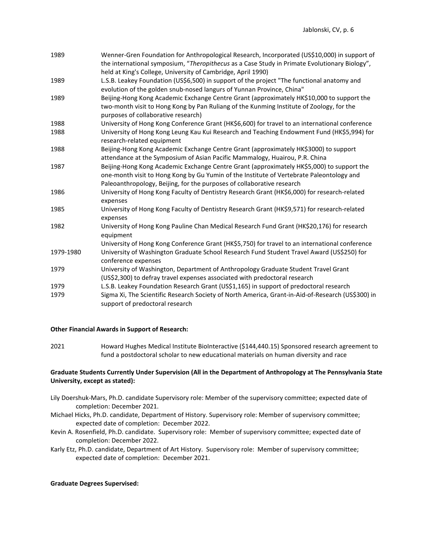| 1989      | Wenner-Gren Foundation for Anthropological Research, Incorporated (US\$10,000) in support of<br>the international symposium, "Theropithecus as a Case Study in Primate Evolutionary Biology",<br>held at King's College, University of Cambridge, April 1990)   |
|-----------|-----------------------------------------------------------------------------------------------------------------------------------------------------------------------------------------------------------------------------------------------------------------|
| 1989      | L.S.B. Leakey Foundation (US\$6,500) in support of the project "The functional anatomy and<br>evolution of the golden snub-nosed langurs of Yunnan Province, China"                                                                                             |
| 1989      | Beijing-Hong Kong Academic Exchange Centre Grant (approximately HK\$10,000 to support the<br>two-month visit to Hong Kong by Pan Ruliang of the Kunming Institute of Zoology, for the<br>purposes of collaborative research)                                    |
| 1988      | University of Hong Kong Conference Grant (HK\$6,600) for travel to an international conference                                                                                                                                                                  |
| 1988      | University of Hong Kong Leung Kau Kui Research and Teaching Endowment Fund (HK\$5,994) for<br>research-related equipment                                                                                                                                        |
| 1988      | Beijing-Hong Kong Academic Exchange Centre Grant (approximately HK\$3000) to support<br>attendance at the Symposium of Asian Pacific Mammalogy, Huairou, P.R. China                                                                                             |
| 1987      | Beijing-Hong Kong Academic Exchange Centre Grant (approximately HK\$5,000) to support the<br>one-month visit to Hong Kong by Gu Yumin of the Institute of Vertebrate Paleontology and<br>Paleoanthropology, Beijing, for the purposes of collaborative research |
| 1986      | University of Hong Kong Faculty of Dentistry Research Grant (HK\$6,000) for research-related<br>expenses                                                                                                                                                        |
| 1985      | University of Hong Kong Faculty of Dentistry Research Grant (HK\$9,571) for research-related<br>expenses                                                                                                                                                        |
| 1982      | University of Hong Kong Pauline Chan Medical Research Fund Grant (HK\$20,176) for research<br>equipment                                                                                                                                                         |
| 1979-1980 | University of Hong Kong Conference Grant (HK\$5,750) for travel to an international conference<br>University of Washington Graduate School Research Fund Student Travel Award (US\$250) for<br>conference expenses                                              |
| 1979      | University of Washington, Department of Anthropology Graduate Student Travel Grant<br>(US\$2,300) to defray travel expenses associated with predoctoral research                                                                                                |
| 1979      | L.S.B. Leakey Foundation Research Grant (US\$1,165) in support of predoctoral research                                                                                                                                                                          |
| 1979      | Sigma Xi, The Scientific Research Society of North America, Grant-in-Aid-of-Research (US\$300) in<br>support of predoctoral research                                                                                                                            |
|           |                                                                                                                                                                                                                                                                 |

### **Other Financial Awards in Support of Research:**

2021 Howard Hughes Medical Institute BioInteractive (\$144,440.15) Sponsored research agreement to fund a postdoctoral scholar to new educational materials on human diversity and race

# **Graduate Students Currently Under Supervision (All in the Department of Anthropology at The Pennsylvania State University, except as stated):**

- Lily Doershuk-Mars, Ph.D. candidate Supervisory role: Member of the supervisory committee; expected date of completion: December 2021.
- Michael Hicks, Ph.D. candidate, Department of History. Supervisory role: Member of supervisory committee; expected date of completion: December 2022.
- Kevin A. Rosenfield, Ph.D. candidate. Supervisory role: Member of supervisory committee; expected date of completion: December 2022.
- Karly Etz, Ph.D. candidate, Department of Art History. Supervisory role: Member of supervisory committee; expected date of completion: December 2021.

### **Graduate Degrees Supervised:**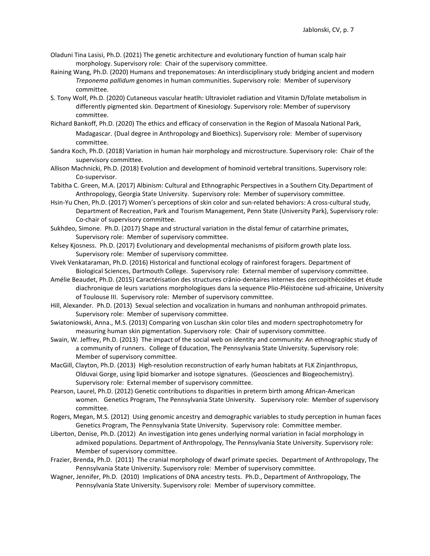- Oladuni Tina Lasisi, Ph.D. (2021) The genetic architecture and evolutionary function of human scalp hair morphology. Supervisory role: Chair of the supervisory committee.
- Raining Wang, Ph.D. (2020) Humans and treponematoses: An interdisciplinary study bridging ancient and modern *Treponema pallidum* genomes in human communities. Supervisory role: Member of supervisory committee.
- S. Tony Wolf, Ph.D. (2020) Cutaneous vascular heatlh: Ultraviolet radiation and Vitamin D/folate metabolism in differently pigmented skin. Department of Kinesiology. Supervisory role: Member of supervisory committee.
- Richard Bankoff, Ph.D. (2020) The ethics and efficacy of conservation in the Region of Masoala National Park, Madagascar. (Dual degree in Anthropology and Bioethics). Supervisory role: Member of supervisory committee.
- Sandra Koch, Ph.D. (2018) Variation in human hair morphology and microstructure. Supervisory role: Chair of the supervisory committee.
- Allison Machnicki, Ph.D. (2018) Evolution and development of hominoid vertebral transitions. Supervisory role: Co-supervisor.
- Tabitha C. Green, M.A. (2017) Albinism: Cultural and Ethnographic Perspectives in a Southern City.Department of Anthropology, Georgia State University. Supervisory role: Member of supervisory committee.
- Hsin-Yu Chen, Ph.D. (2017) Women's perceptions of skin color and sun-related behaviors: A cross-cultural study, Department of Recreation, Park and Tourism Management, Penn State (University Park), Supervisory role: Co-chair of supervisory committee.
- Sukhdeo, Simone. Ph.D. (2017) Shape and structural variation in the distal femur of catarrhine primates, Supervisory role: Member of supervisory committee.
- Kelsey Kjosness. Ph.D. (2017) Evolutionary and developmental mechanisms of pisiform growth plate loss. Supervisory role: Member of supervisory committee.
- Vivek Venkataraman, Ph.D. (2016) Historical and functional ecology of rainforest foragers. Department of Biological Sciences, Dartmouth College. Supervisory role: External member of supervisory committee.
- Amélie Beaudet, Ph.D. (2015) Caractérisation des structures crânio-dentaires internes des cercopithécoïdes et étude diachronique de leurs variations morphologiques dans la sequence Plio-Pléistocène sud-africaine, University of Toulouse III. Supervisory role: Member of supervisory committee.
- Hill, Alexander. Ph.D. (2013) Sexual selection and vocalization in humans and nonhuman anthropoid primates. Supervisory role: Member of supervisory committee.
- Swiatoniowski, Anna., M.S. (2013) Comparing von Luschan skin color tiles and modern spectrophotometry for measuring human skin pigmentation. Supervisory role: Chair of supervisory committee.
- Swain, W. Jeffrey, Ph.D. (2013) The impact of the social web on identity and community: An ethnographic study of a community of runners. College of Education, The Pennsylvania State University. Supervisory role: Member of supervisory committee.
- MacGill, Clayton, Ph.D. (2013) High-resolution reconstruction of early human habitats at FLK Zinjanthropus, Olduvai Gorge, using lipid biomarker and isotope signatures. (Geosciences and Biogeochemistry). Supervisory role: External member of supervisory committee.
- Pearson, Laurel, Ph.D. (2012) Genetic contributions to disparities in preterm birth among African-American women. Genetics Program, The Pennsylvania State University. Supervisory role: Member of supervisory committee.
- Rogers, Megan, M.S. (2012) Using genomic ancestry and demographic variables to study perception in human faces Genetics Program, The Pennsylvania State University. Supervisory role: Committee member.
- Liberton, Denise, Ph.D. (2012) An investigation into genes underlying normal variation in facial morphology in admixed populations. Department of Anthropology, The Pennsylvania State University. Supervisory role: Member of supervisory committee.
- Frazier, Brenda, Ph.D. (2011) The cranial morphology of dwarf primate species. Department of Anthropology, The Pennsylvania State University. Supervisory role: Member of supervisory committee.
- Wagner, Jennifer, Ph.D. (2010) Implications of DNA ancestry tests. Ph.D., Department of Anthropology, The Pennsylvania State University. Supervisory role: Member of supervisory committee.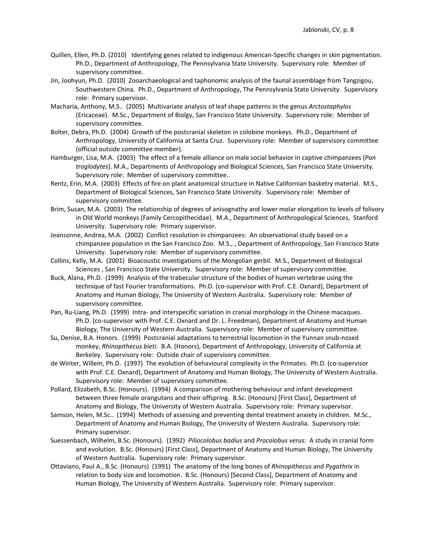- Quillen, Ellen, Ph.D. (2010) Identifying genes related to indigenous American-Specific changes in skin pigmentation. Ph.D., Department of Anthropology, The Pennsylvania State University. Supervisory role: Member of supervisory committee.
- Jin, Joohyun, Ph.D. (2010) Zooarchaeological and taphonomic analysis of the faunal assemblage from Tangzigou, Southwestern China. Ph.D., Department of Anthropology, The Pennsylvania State University. Supervisory role: Primary supervisor.
- Macharia, Anthony, M.S.. (2005) Multivariate analysis of leaf shape patterns in the genus *Arctostaphylos*  (Ericaceae). M.Sc., Department of Biolgy, San Francisco State University. Supervisory role: Member of supervisory committee.
- Bolter, Debra, Ph.D. (2004) Growth of the postcranial skeleton in colobine monkeys. Ph.D., Department of Anthropology, University of California at Santa Cruz. Supervisory role: Member of supervisory committee (official outside committee member).
- Hamburger, Lisa, M.A. (2003) The effect of a female alliance on male social behavior in captive chimpanzees (*Pan troglodytes*). M.A., Departments of Anthropology and Biological Sciences, San Francisco State University. Supervisory role: Member of supervisory committee..
- Rentz, Erin, M.A. (2003) Effects of fire on plant anatomical structure in Native Californian basketry material. M.S., Department of Biological Sciences, San Francisco State University. Supervisory role: Member of supervisory committee.
- Brim, Susan, M.A. (2003) The relationship of degrees of anisognathy and lower molar elongation to levels of folivory in Old World monkeys (Family Cercopithecidae). M.A., Department of Anthropological Sciences, Stanford University. Supervisory role: Primary supervisor.
- Jeansonne, Andrea, M.A. (2002) Conflict resolution in chimpanzees: An observational study based on a chimpanzee population in the San Francisco Zoo. M.S., , Department of Anthropology, San Francisco State University. Supervisory role: Member of supervisory committee.
- Collins, Kelly, M.A. (2001) Bioacoustic investigations of the Mongolian gerbil. M.S., Department of Biological Sciences , San Francisco State University. Supervisory role: Member of supervisory committee.
- Buck, Alana, Ph.D. (1999) Analysis of the trabecular structure of the bodies of human vertebrae using the technique of fast Fourier transformations. Ph.D. (co-supervisor with Prof. C.E. Oxnard), Department of Anatomy and Human Biology, The University of Western Australia. Supervisory role: Member of supervisory committee.
- Pan, Ru-Liang, Ph.D. (1999) Intra- and interspecific variation in cranial morphology in the Chinese macaques. Ph.D. (co-supervisor with Prof. C.E. Oxnard and Dr. L. Freedman), Department of Anatomy and Human Biology, The University of Western Australia. Supervisory role: Member of supervisory committee.
- Su, Denise, B.A. Honors. (1999) Postcranial adaptations to terrestrial locomotion in the Yunnan snub-nosed monkey, *Rhinopithecus bieti*. B.A. (Honors), Department of Anthropology, University of California at Berkeley. Supervisory role: Outside chair of supervisory committee.
- de Winter, Willem, Ph.D. (1997) The evolution of behavioural complexity in the Primates. Ph.D. (co-supervisor with Prof. C.E. Oxnard), Department of Anatomy and Human Biology, The University of Western Australia. Supervisory role: Member of supervisory committee.
- Pollard, Elizabeth, B.Sc. (Honours). (1994) A comparison of mothering behaviour and infant development between three female orangutans and their offspring. B.Sc. (Honours) [First Class], Department of Anatomy and Biology, The University of Western Australia. Supervisory role: Primary supervisor.
- Samson, Helen, M.Sc.. (1994) Methods of assessing and preventing dental treatment anxiety in children. M.Sc., Department of Anatomy and Human Biology, The University of Western Australia. Supervisory role: Primary supervisor.
- Suessenbach, Wilhelm, B.Sc. (Honours). (1992) *Piliocolobus badius* and *Procolobus verus:* A study in cranial form and evolution. B.Sc. (Honours) [First Class], Department of Anatomy and Human Biology, The University of Western Australia. Supervisory role: Primary supervisor.
- Ottaviano, Paul A., B.Sc. (Honours) (1991) The anatomy of the long bones of *Rhinopithecus* and *Pygathrix* in relation to body size and locomotion. B.Sc. (Honours) [Second Class], Department of Anatomy and Human Biology, The University of Western Australia. Supervisory role: Primary supervisor.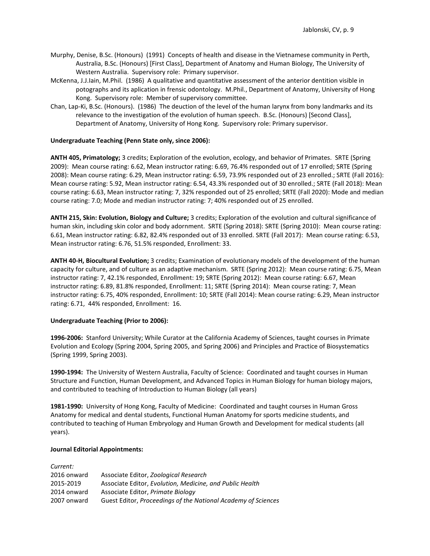- Murphy, Denise, B.Sc. (Honours) (1991) Concepts of health and disease in the Vietnamese community in Perth, Australia, B.Sc. (Honours) [First Class], Department of Anatomy and Human Biology, The University of Western Australia. Supervisory role: Primary supervisor.
- McKenna, J.J.Iain, M.Phil. (1986) A qualitative and quantitative assessment of the anterior dentition visible in potographs and its aplication in frensic odontology. M.Phil., Department of Anatomy, University of Hong Kong. Supervisory role: Member of supervisory committee.
- Chan, Lap-Ki, B.Sc. (Honours). (1986) The deuction of the level of the human larynx from bony landmarks and its relevance to the investigation of the evolution of human speech. B.Sc. (Honours) [Second Class], Department of Anatomy, University of Hong Kong. Supervisory role: Primary supervisor.

## **Undergraduate Teaching (Penn State only, since 2006):**

**ANTH 405, Primatology;** 3 credits; Exploration of the evolution, ecology, and behavior of Primates. SRTE (Spring 2009): Mean course rating: 6.62, Mean instructor rating: 6.69, 76.4% responded out of 17 enrolled; SRTE (Spring 2008): Mean course rating: 6.29, Mean instructor rating: 6.59, 73.9% responded out of 23 enrolled.; SRTE (Fall 2016): Mean course rating: 5.92, Mean instructor rating: 6.54, 43.3% responded out of 30 enrolled.; SRTE (Fall 2018): Mean course rating: 6.63, Mean instructor rating: 7, 32% responded out of 25 enrolled; SRTE (Fall 2020): Mode and median course rating: 7.0; Mode and median instructor rating: 7; 40% responded out of 25 enrolled.

**ANTH 215, Skin: Evolution, Biology and Culture;** 3 credits; Exploration of the evolution and cultural significance of human skin, including skin color and body adornment. SRTE (Spring 2018): SRTE (Spring 2010): Mean course rating: 6.61, Mean instructor rating: 6.82, 82.4% responded out of 33 enrolled. SRTE (Fall 2017): Mean course rating: 6.53, Mean instructor rating: 6.76, 51.5% responded, Enrollment: 33.

**ANTH 40-H, Biocultural Evolution;** 3 credits; Examination of evolutionary models of the development of the human capacity for culture, and of culture as an adaptive mechanism. SRTE (Spring 2012): Mean course rating: 6.75, Mean instructor rating: 7, 42.1% responded, Enrollment: 19; SRTE (Spring 2012): Mean course rating: 6.67, Mean instructor rating: 6.89, 81.8% responded, Enrollment: 11; SRTE (Spring 2014): Mean course rating: 7, Mean instructor rating: 6.75, 40% responded, Enrollment: 10; SRTE (Fall 2014): Mean course rating: 6.29, Mean instructor rating: 6.71, 44% responded, Enrollment: 16.

### **Undergraduate Teaching (Prior to 2006):**

**1996-2006:** Stanford University; While Curator at the California Academy of Sciences, taught courses in Primate Evolution and Ecology (Spring 2004, Spring 2005, and Spring 2006) and Principles and Practice of Biosystematics (Spring 1999, Spring 2003).

**1990-1994:** The University of Western Australia, Faculty of Science: Coordinated and taught courses in Human Structure and Function, Human Development, and Advanced Topics in Human Biology for human biology majors, and contributed to teaching of Introduction to Human Biology (all years)

**1981-1990:** University of Hong Kong, Faculty of Medicine: Coordinated and taught courses in Human Gross Anatomy for medical and dental students, Functional Human Anatomy for sports medicine students, and contributed to teaching of Human Embryology and Human Growth and Development for medical students (all years).

### **Journal Editorial Appointments:**

| Current:    |                                                               |
|-------------|---------------------------------------------------------------|
| 2016 onward | Associate Editor, Zoological Research                         |
| 2015-2019   | Associate Editor, Evolution, Medicine, and Public Health      |
| 2014 onward | Associate Editor, Primate Biology                             |
| 2007 onward | Guest Editor, Proceedings of the National Academy of Sciences |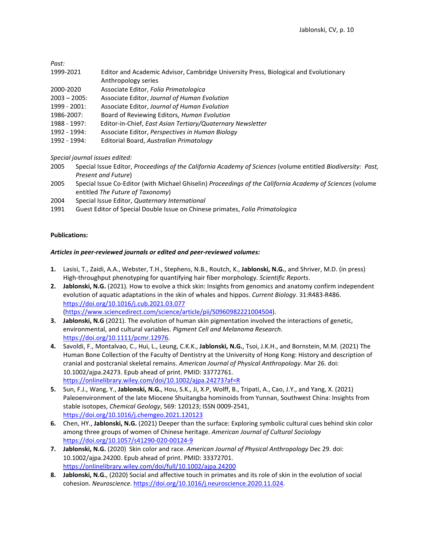*Past:*

- 1999-2021 Editor and Academic Advisor, Cambridge University Press, Biological and Evolutionary Anthropology series
- 2000-2020 Associate Editor, *Folia Primatologica*
- 2003 2005: Associate Editor, *Journal of Human Evolution*
- 1999 2001: Associate Editor, *Journal of Human Evolution*
- 1986-2007: Board of Reviewing Editors, *Human Evolution*
- 1988 1997: Editor-in-Chief, *East Asian Tertiary/Quaternary Newsletter*
- 1992 1994: Associate Editor, *Perspectives in Human Biology*
- 1992 1994: Editorial Board, *Australian Primatology*

*Special journal issues edited:*

- 2005 Special Issue Editor, *Proceedings of the California Academy of Sciences* (volume entitled *Biodiversity: Past, Present and Future*)
- 2005 Special Issue Co-Editor (with Michael Ghiselin) *Proceedings of the California Academy of Sciences* (volume entitled *The Future of Taxonomy*)
- 2004 Special Issue Editor, *Quaternary International*
- 1991 Guest Editor of Special Double Issue on Chinese primates, *Folia Primatologica*

# **Publications:**

## *Articles in peer-reviewed journals or edited and peer-reviewed volumes:*

- **1.** Lasisi, T., Zaidi, A.A., Webster, T.H., Stephens, N.B., Routch, K., **Jablonski, N.G.**, and Shriver, M.D. (in press) High-throughput phenotyping for quantifying hair fiber morphology. *Scientific Reports*.
- **2. Jablonski, N.G.** (2021)*.* How to evolve a thick skin: Insights from genomics and anatomy confirm independent evolution of aquatic adaptations in the skin of whales and hippos. *Current Biology*. 31:R483-R486. <https://doi.org/10.1016/j.cub.2021.03.077> [\(https://www.sciencedirect.com/science/article/pii/S0960982221004504\)](https://www.sciencedirect.com/science/article/pii/S0960982221004504).
- **3. Jablonski, N.G** (2021). The evolution of human skin pigmentation involved the interactions of genetic, environmental, and cultural variables. *Pigment Cell and Melanoma Research*. [https://doi.org/10.1111/pcmr.12976.](https://doi.org/10.1111/pcmr.12976)
- **4.** Savoldi, F., Montalvao, C., Hui, L., Leung, C.K.K., **Jablonski, N.G.**, Tsoi, J.K.H., and Bornstein, M.M. (2021) The Human Bone Collection of the Faculty of Dentistry at the University of Hong Kong: History and description of cranial and postcranial skeletal remains. *American Journal of Physical Anthropology*. Mar 26. doi: 10.1002/ajpa.24273. Epub ahead of print. PMID: 33772761. <https://onlinelibrary.wiley.com/doi/10.1002/ajpa.24273?af=R>
- **5.** Sun, F.J., Wang, Y., **Jablonski, N.G.**, Hou, S.K., Ji, X.P, Wolff, B., Tripati, A., Cao, J.Y., and Yang, X. (2021) Paleoenvironment of the late Miocene Shuitangba hominoids from Yunnan, Southwest China: Insights from stable isotopes, *Chemical Geology*, 569: 120123; ISSN 0009-2541, <https://doi.org/10.1016/j.chemgeo.2021.120123>
- **6.** Chen, HY., **Jablonski, N.G.** (2021) Deeper than the surface: Exploring symbolic cultural cues behind skin color among three groups of women of Chinese heritage. *American Journal of Cultural Sociology* <https://doi.org/10.1057/s41290-020-00124-9>
- **7. Jablonski, N.G.** (2020) Skin color and race. *American Journal of Physical Anthropology* Dec 29. doi: 10.1002/ajpa.24200. Epub ahead of print. PMID: 33372701. <https://onlinelibrary.wiley.com/doi/full/10.1002/ajpa.24200>
- **8. Jablonski, N.G.**, (2020) Social and affective touch in primates and its role of skin in the evolution of social cohesion. *Neuroscience*. [https://doi.org/10.1016/j.neuroscience.2020.11.024.](https://doi.org/10.1016/j.neuroscience.2020.11.024)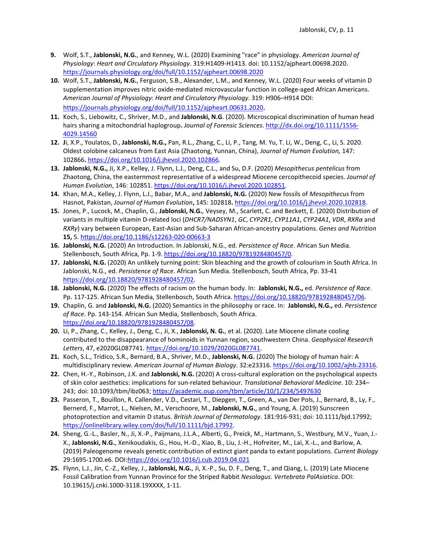- **9.** Wolf, S.T., **Jablonski, N.G.**, and Kenney, W.L. (2020) Examining "race" in physiology. *American Journal of Physiology*: *Heart and Circulatory Physiology*. 319:H1409-H1413. doi: 10.1152/ajpheart.00698.2020. <https://journals.physiology.org/doi/full/10.1152/ajpheart.00698.2020>
- **10.** Wolf, S.T., **Jablonski, N.G.**, Ferguson, S.B., Alexander, L.M., and Kenney, W.L. (2020) Four weeks of vitamin D supplementation improves nitric oxide-mediated microvascular function in college-aged African Americans. *American Journal of Physiology*: *Heart and Circulatory Physiology*. 319: H906–H914 DOI: <https://journals.physiology.org/doi/full/10.1152/ajpheart.00631.2020>.
- **11.** Koch, S., Liebowitz, C., Shriver, M.D., and **Jablonski, N.G**. (2020). Microscopical discrimination of human head hairs sharing a mitochondrial haplogroup**.** *Journal of Forensic Sciences*. [http://dx.doi.org/10.1111/1556-](http://dx.doi.org/10.1111/1556-4029.14560) [4029.14560](http://dx.doi.org/10.1111/1556-4029.14560)
- **12. J**i, X.P., Youlatos, D., **Jablonski, N.G.,** Pan, R.L., Zhang, C., Li, P., Tang, M. Yu, T. Li, W., Deng, C., Li, S. 2020. Oldest colobine calcaneus from East Asia (Zhaotong, Yunnan, China), *Journal of Human Evolution,* 147: 102866**.** [https://doi.org/10.1016/j.jhevol.2020.102866.](https://doi.org/10.1016/j.jhevol.2020.102866)
- **13. Jablonski, N.G.,** Ji, X.P., Kelley, J. Flynn, L.J., Deng, C.L., and Su, D.F. (2020) *Mesopithecus pentelicus* from Zhaotong, China, the easternmost representative of a widespread Miocene cercopithecoid species. *Journal of Human Evolution*, 146: 102851[. https://doi.org/10.1016/j.jhevol.2020.102851.](https://doi.org/10.1016/j.jhevol.2020.102851)
- **14.** Khan, M.A., Kelley, J. Flynn, L.J., Babar, M.A., and **Jablonski, N.G.** (2020) New fossils of *Mesopithecus* from Hasnot, Pakistan, *Journal of Human Evolution***,** 145: 102818**.** [https://doi.org/10.1016/j.jhevol.2020.102818.](https://doi.org/10.1016/j.jhevol.2020.102818)
- **15.** Jones, P., Lucock, M., Chaplin, G., **Jablonski, N.G.**, Veysey, M., Scarlett, C. and Beckett, E. (2020) Distribution of variants in multiple vitamin D-related loci (*DHCR7/NADSYN1*, *GC*, *CYP2R1*, *CYP11A1*, *CYP24A1*, *VDR*, *RXRα* and *RXRγ*) vary between European, East-Asian and Sub-Saharan African-ancestry populations. *Genes and Nutrition* **15,** 5.<https://doi.org/10.1186/s12263-020-00663-3>
- **16. Jablonski, N.G.** (2020) An Introduction. In Jablonski, N.G., ed. *Persistence of Race*. African Sun Media. Stellenbosch, South Africa, Pp. 1-9. [https://doi.org/10.18820/9781928480457/0.](https://nam01.safelinks.protection.outlook.com/?url=https%3A%2F%2Fdoi.org%2F10.18820%2F9781928480457%2F00&data=02%7C01%7Cngj2%40psu.edu%7C634d613fdce74abff46708d7bc6e3ad1%7C7cf48d453ddb4389a9c1c115526eb52e%7C0%7C0%7C637185053938878543&sdata=Obq11ta8fKOo9XlCqXmuW%2B%2FPuOI7BWSnquEHsgsZrxo%3D&reserved=0)
- **17. Jablonski, N.G.** (2020) An unlikely turning point: Skin bleaching and the growth of colourism in South Africa. In Jablonski, N.G., ed. *Persistence of Race*. African Sun Media. Stellenbosch, South Africa, Pp. 33-41 [https://doi.org/10.18820/9781928480457/02.](https://nam01.safelinks.protection.outlook.com/?url=https%3A%2F%2Fdoi.org%2F10.18820%2F9781928480457%2F02&data=02%7C01%7Cngj2%40psu.edu%7C634d613fdce74abff46708d7bc6e3ad1%7C7cf48d453ddb4389a9c1c115526eb52e%7C0%7C0%7C637185053938888500&sdata=Dkoc2IqPVh401JayyMqbuMMayx%2FyaNq1%2FQM6w2EgcuQ%3D&reserved=0)
- **18. Jablonski, N.G.** (2020) The effects of racism on the human body. In: **Jablonski, N.G.,** ed. *Persistence of Race*. Pp. 117-125. African Sun Media, Stellenbosch, South Africa. [https://doi.org/10.18820/9781928480457/06.](https://doi.org/10.18820/9781928480457/06)
- **19.** Chaplin, G. and **Jablonski, N.G.** (2020) Semantics in the philosophy or race. In: **Jablonski, N.G.,** ed. *Persistence of Race*. Pp. 143-154. African Sun Media, Stellenbosch, South Africa. [https://doi.org/10.18820/9781928480457/08.](https://nam01.safelinks.protection.outlook.com/?url=https%3A%2F%2Fdoi.org%2F10.18820%2F9781928480457%2F08&data=02%7C01%7Cngj2%40psu.edu%7C634d613fdce74abff46708d7bc6e3ad1%7C7cf48d453ddb4389a9c1c115526eb52e%7C0%7C0%7C637185053938918365&sdata=bI%2BFoGxhrMpeMx25J9z2Z9TIABMgbZlzt5A2aTODFqo%3D&reserved=0)
- **20.** Li, P., Zhang, C., Kelley, J., Deng, C., Ji, X., **Jablonski, N. G.**, et al. (2020). Late Miocene climate cooling contributed to the disappearance of hominoids in Yunnan region, southwestern China. *Geophysical Research Letters*, 47, e2020GL087741[. https://doi.org/10.1029/2020GL087741.](https://doi.org/10.1029/2020GL087741)
- **21.** Koch, S.L., Tridico, S.R., Bernard, B.A., Shriver, M.D., **Jablonski, N.G.** (2020) The biology of human hair: A multidisciplinary review. *American Journal of Human Biology*. 32:e23316. [https://doi.org/10.1002/ajhb.23316.](https://doi.org/10.1002/ajhb.23316)
- **22.** Chen, H.-Y., Robinson, J.K. and **Jablonski, N.G.** (2020) A cross-cultural exploration on the psychological aspects of skin color aesthetics: implications for sun-related behaviour. *Translational Behavioral Medicine*. 10: 234– 243; doi: 10.1093/tbm/ibz063[; https://academic.oup.com/tbm/article/10/1/234/5497630](https://academic.oup.com/tbm/article/10/1/234/5497630)
- **23.** Passeron, T., Bouillon, R. Callender, V.D., Cestari, T., Diepgen, T., Green, A., van Der Pols, J., Bernard, B., Ly, F., Bernerd, F., Marrot, L., Nielsen, M., Verschoore, M., **Jablonski, N.G.**, and Young, A. (2019) Sunscreen photoprotection and vitamin D status. *British Journal of Dermatology*. 181:916-931; doi: 10.1111/bjd.17992; [https://onlinelibrary.wiley.com/doi/full/10.1111/bjd.17992.](https://onlinelibrary.wiley.com/doi/full/10.1111/bjd.17992)
- **24.** Sheng, G.-L., Basler, N., Ji, X.-P., Paijmans, J.L.A., Alberti, G., Preick, M., Hartmann, S., Westbury, M.V., Yuan, J.- X., **Jablonski, N.G.**, Xenikoudakis, G., Hou, H.-D., Xiao, B., Liu, J.-H., Hofreiter, M., Lai, X.-L., and Barlow, A. (2019) Paleogenome reveals genetic contribution of extinct giant panda to extant populations. *Current Biology* 29:1695-1700.e6. DOI[:https://doi.org/10.1016/j.cub.2019.04.021](https://doi.org/10.1016/j.cub.2019.04.021)
- **25.** Flynn, L.J., Jin, C.-Z., Kelley, J., **Jablonski, N.G.**, Ji, X.-P., Su, D. F., Deng, T., and Qiang, L. (2019) Late Miocene Fossil Calibration from Yunnan Province for the Striped Rabbit *Nesolagus*. *Vertebrata PalAsiatica*. DOI: 10.19615/j.cnki.1000-3118.19XXXX, 1-11.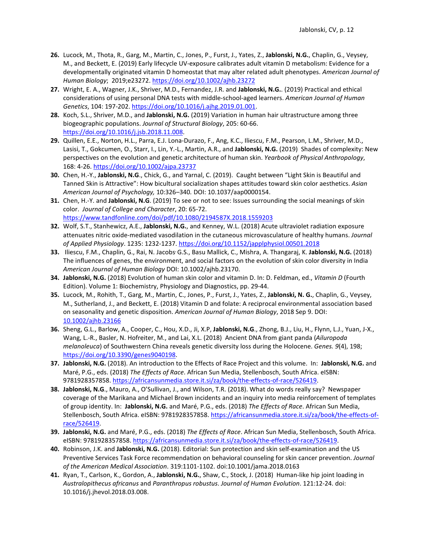- **26.** Lucock, M., Thota, R., Garg, M., Martin, C., Jones, P., Furst, J., Yates, Z., **Jablonski, N.G.**, Chaplin, G., Veysey, M., and Beckett, E. (2019) Early lifecycle UV-exposure calibrates adult vitamin D metabolism: Evidence for a developmentally originated vitamin D homeostat that may alter related adult phenotypes. *American Journal of Human Biology*; 2019;e23272. [https://doi.org/10.1002/ajhb.23272](https://nam01.safelinks.protection.outlook.com/?url=https%3A%2F%2Fdoi.org%2F10.1002%2Fajhb.23272&data=02%7C01%7Cngj2%40psu.edu%7C147b2298e86a44cccd9908d6ef12f633%7C7cf48d453ddb4389a9c1c115526eb52e%7C0%7C0%7C636959262769412193&sdata=TmFDQqZ6h7SXQWofLnnYCQOcAxdg2bbsAdv3GuutZ20%3D&reserved=0)
- **27.** Wright, E. A., Wagner, J.K., Shriver, M.D., Fernandez, J.R. and **Jablonski, N.G.**. (2019) Practical and ethical considerations of using personal DNA tests with middle-school-aged learners. *American Journal of Human Genetics*, 104: 197-202. [https://doi.org/10.1016/j.ajhg.2019.01.001.](https://doi.org/10.1016/j.ajhg.2019.01.001)
- **28.** Koch, S.L., Shriver, M.D., and **Jablonski, N.G.** (2019) Variation in human hair ultrastructure among three biogeographic populations. *Journal of Structural Biology*, 205: 60-66. [https://doi.org/10.1016/j.jsb.2018.11.008.](https://doi.org/10.1016/j.jsb.2018.11.008)
- **29.** Quillen, E.E., Norton, H.L., Parra, E.J. Lona-Durazo, F., Ang, K.C., Iliescu, F.M., Pearson, L.M., Shriver, M.D., Lasisi, T., Gokcumen, O., Starr, I., Lin, Y.-L., Martin, A.R., and **Jablonski, N.G.** (2019) Shades of complexity: New perspectives on the evolution and genetic architecture of human skin. *Yearbook of Physical Anthropology*, 168: 4-26.<https://doi.org/10.1002/ajpa.23737>
- **30.** Chen, H.-Y., **Jablonski, N.G**., Chick, G., and Yarnal, C. (2019). Caught between "Light Skin is Beautiful and Tanned Skin is Attractive": How bicultural socialization shapes attitudes toward skin color aesthetics. *Asian American Journal of Psychology,* 10:326–340*.* DOI: 10.1037/aap0000154.
- **31.** Chen, H.-Y. and **Jablonski, N.G**. (2019) To see or not to see: Issues surrounding the social meanings of skin color. *Journal of College and Character*, 20: 65-72. <https://www.tandfonline.com/doi/pdf/10.1080/2194587X.2018.1559203>
- **32.** Wolf, S.T., Stanhewicz, A.E., **Jablonski, N.G.**, and Kenney, W.L. (2018) Acute ultraviolet radiation exposure attenuates nitric oxide-mediated vasodilation in the cutaneous microvasculature of healthy humans. *Journal of Applied Physiology*. 1235: 1232-1237.<https://doi.org/10.1152/japplphysiol.00501.2018>
- **33.** Iliescu, F.M., Chaplin, G., Rai, N. Jacobs, G.S., Basu Mallick, C., Mishra, A. Thangaraj, K. **Jablonski, N.G.** (2018) The influences of genes, the environment, and social factors on the evolution of skin color diversity in India *American Journal of Human Biology* DOI: 10.1002/ajhb.23170.
- **34. Jablonski, N.G.** (2018) Evolution of human skin color and vitamin D. In: D. Feldman, ed., *Vitamin D* (Fourth Edition). Volume 1: Biochemistry, Physiology and Diagnostics, pp. 29-44.
- **35.** Lucock, M., Rohith, T., Garg, M., Martin, C., Jones, P., Furst, J., Yates, Z., **Jablonski, N. G.**, Chaplin, G., Veysey, M., Sutherland, J., and Beckett, E. (2018) Vitamin D and folate: A reciprocal environmental association based on seasonality and genetic disposition. *American Journal of Human Biology*, 2018 Sep 9. DOI: [10.1002/ajhb.23166](https://doi.org/10.1002/ajhb.23166)
- **36.** Sheng, G.L., Barlow, A., Cooper, C., Hou, X.D., Ji, X.P, **Jablonski, N.G**., Zhong, B.J., Liu, H., Flynn, L.J., Yuan, J-X., Wang, L.-R., Basler, N. Hofreiter, M., and Lai, X.L. (2018) Ancient DNA from giant panda (*Ailuropoda melanoleuca*) of Southwestern China reveals genetic diversity loss during the Holocene. *Genes. 9*(4), 198; [https://doi.org/10.3390/genes9040198.](https://doi.org/10.3390/genes9040198)
- **37. Jablonski, N.G.** (2018). An introduction to the Effects of Race Project and this volume. In: **Jablonski, N.G.** and Maré, P.G., eds. (2018) *The Effects of Race*. African Sun Media, Stellenbosch, South Africa. eISBN: 9781928357858[. https://africansunmedia.store.it.si/za/book/the-effects-of-race/526419.](https://africansunmedia.store.it.si/za/book/the-effects-of-race/526419)
- **38. Jablonski, N.G**., Mauro, A., O'Sullivan, J., and Wilson, T.R. (2018). What do words really say? Newspaper coverage of the Marikana and Michael Brown incidents and an inquiry into media reinforcement of templates of group identity. In: **Jablonski, N.G.** and Maré, P.G., eds. (2018) *The Effects of Race*. African Sun Media, Stellenbosch, South Africa. eISBN: 9781928357858[. https://africansunmedia.store.it.si/za/book/the-effects-of](https://africansunmedia.store.it.si/za/book/the-effects-of-race/526419)[race/526419.](https://africansunmedia.store.it.si/za/book/the-effects-of-race/526419)
- **39. Jablonski, N.G.** and Maré, P.G., eds. (2018) *The Effects of Race*. African Sun Media, Stellenbosch, South Africa. eISBN: 9781928357858[. https://africansunmedia.store.it.si/za/book/the-effects-of-race/526419.](https://africansunmedia.store.it.si/za/book/the-effects-of-race/526419)
- **40.** Robinson, J.K. and **Jablonski, N.G.** (2018). Editorial: Sun protection and skin self-examination and the US Preventive Services Task Force recommendation on behavioral counseling for skin cancer prevention. *Journal of the American Medical Association*. 319:1101-1102. doi:10.1001/jama.2018.0163
- **41.** Ryan, T., Carlson, K., Gordon, A., **Jablonski, N.G.**, Shaw, C., Stock, J. (2018) Human-like hip joint loading in *Australopithecus africanus* and *Paranthropus robustus*. *Journal of Human Evolution*. 121:12-24. doi: 10.1016/j.jhevol.2018.03.008.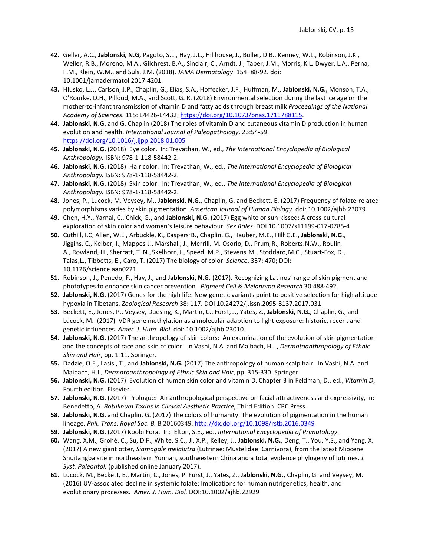- **42.** Geller, A.C., **Jablonski, N.G,** Pagoto, S.L., Hay, J.L., Hillhouse, J., Buller, D.B., Kenney, W.L., Robinson, J.K., Weller, R.B., Moreno, M.A., Gilchrest, B.A., Sinclair, C., Arndt, J., Taber, J.M., Morris, K.L. Dwyer, L.A., Perna, F.M., Klein, W.M., and Suls, J.M. (2018). *JAMA Dermatology*. 154: 88-92. doi: 10.1001/jamadermatol.2017.4201.
- **43.** Hlusko, L.J., Carlson, J.P., Chaplin, G., Elias, S.A., Hoffecker, J.F., Huffman, M., **Jablonski, N.G.,** Monson, T.A., O'Rourke, D.H., Pilloud, M.A., and Scott, G. R. (2018) Environmental selection during the last ice age on the mother-to-infant transmission of vitamin D and fatty acids through breast milk *Proceedings of the National Academy of Sciences*. 115: E4426-E4432; [https://doi.org/10.1073/pnas.1711788115.](https://doi.org/10.1073/pnas.1711788115)
- **44. Jablonski, N.G.** and G. Chaplin (2018) The roles of vitamin D and cutaneous vitamin D production in human evolution and health. *International Journal of Paleopathology*. 23:54-59. <https://doi.org/10.1016/j.ijpp.2018.01.005>
- **45. Jablonski, N.G.** (2018) Eye color. In: Trevathan, W., ed., *The International Encyclopedia of Biological Anthropology.* ISBN: 978-1-118-58442-2.
- **46. Jablonski, N.G.** (2018) Hair color. In: Trevathan, W., ed., *The International Encyclopedia of Biological Anthropology.* ISBN: 978-1-118-58442-2.
- **47. Jablonski, N.G.** (2018) Skin color. In: Trevathan, W., ed., *The International Encyclopedia of Biological Anthropology.* ISBN: 978-1-118-58442-2.
- **48.** Jones, P., Lucock, M. Veysey, M., **Jablonski, N.G.**, Chaplin, G. and Beckett, E. (2017) Frequency of folate-related polymorphisms varies by skin pigmentation. *American Journal of Human Biology*. doi: 10.1002/ajhb.23079
- **49.** Chen, H.Y., Yarnal, C., Chick, G., and **Jablonski, N.G**. (2017) Egg white or sun-kissed: A cross-cultural exploration of skin color and women's leisure behaviour. *Sex Roles*. DOI 10.1007/s11199-017-0785-4
- **50.** Cuthill, I.C, Allen, W.L., Arbuckle, K., Caspers, B., Chaplin, G., Hauber, M.E., Hill, G.E., **Jablonski, N.G.**, Jiggins, C., Kelber, I., Mappes<sup>, J.</sup>, Marshall, J., Merrill, M. Osorio, D., Prum, R., Roberts, N.W., Roulin, A., Rowland, H., Sherratt, T. N., Skelhorn, J., Speed, M.P., Stevens, M., Stoddard, M.C., Stuart-Fox, D., Talas, L., Tibbetts, E., Caro, T. (2017) The biology of color. *Science*. 357: 470; DOI: 10.1126/science.aan0221.
- **51.** Robinson, J., Penedo, F., Hay, J., and **Jablonski, N.G.** (2017). Recognizing Latinos' range of skin pigment and phototypes to enhance skin cancer prevention. *Pigment Cell & Melanoma Research* 30:488-492.
- **52. Jablonski, N.G.** (2017) Genes for the high life: New genetic variants point to positive selection for high altitude hypoxia in Tibetans. *Zoological Research* 38: 117. DOI 10.24272/j.issn.2095-8137.2017.031
- **53.** Beckett, E., Jones, P., Veysey, Duesing, K., Martin, C., Furst, J., Yates, Z., **Jablonski, N.G.**, Chaplin, G., and Lucock, M. (2017) VDR gene methylation as a molecular adaption to light exposure: historic, recent and genetic influences. *Amer. J. Hum. Biol.* doi: 10.1002/ajhb.23010.
- **54. Jablonski, N.G.** (2017) The anthropology of skin colors: An examination of the evolution of skin pigmentation and the concepts of race and skin of color. In Vashi, N.A. and Maibach, H.I., *Dermatoanthropology of Ethnic Skin and Hair*, pp. 1-11. Springer.
- **55.** Dadzie, O.E., Lasisi, T., and **Jablonski, N.G.** (2017) The anthropology of human scalp hair. In Vashi, N.A. and Maibach, H.I., *Dermatoanthropology of Ethnic Skin and Hair*, pp. 315-330. Springer.
- **56. Jablonski, N.G.** (2017) Evolution of human skin color and vitamin D. Chapter 3 in Feldman, D., ed., *Vitamin D*, Fourth edition. Elsevier.
- **57. Jablonski, N.G.** (2017) Prologue: An anthropological perspective on facial attractiveness and expressivity, In: Benedetto, A. *Botulinum Toxins in Clinical Aesthetic Practice*, Third Edition. CRC Press.
- **58. Jablonski, N.G.** and Chaplin, G. (2017) The colors of humanity: The evolution of pigmentation in the human lineage. *Phil. Trans. Royal Soc. B.* B 20160349[. http://dx.doi.org/10.1098/rstb.2016.0349](http://dx.doi.org/10.1098/rstb.2016.0349)
- **59. Jablonski, N.G.** (2017) Koobi Fora. In: Elton, S.E., ed., *International Encyclopedia of Primatology*.
- **60.** Wang, X.M., Grohé, C., Su, D.F., White, S.C., Ji, X.P., Kelley, J., **Jablonski, N.G.**, Deng, T., You, Y.S., and Yang, X. (2017) A new giant otter, *Siamogale melalutra* (Lutrinae: Mustelidae: Carnivora), from the latest Miocene Shuitangba site in northeastern Yunnan, southwestern China and a total evidence phylogeny of lutrines. *J. Syst. Paleontol.* (published online January 2017).
- **61.** Lucock, M., Beckett, E., Martin, C., Jones, P. Furst, J., Yates, Z., **Jablonski, N.G.**, Chaplin, G. and Veysey, M. (2016) UV-associated decline in systemic folate: Implications for human nutrigenetics, health, and evolutionary processes. *Amer. J. Hum. Biol.* DOI:10.1002/ajhb.22929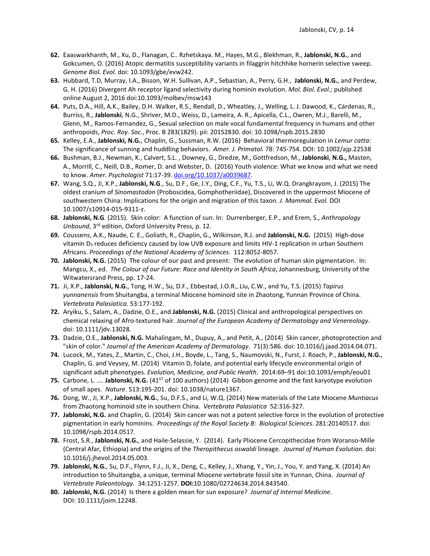- **62.** Eaaswarkhanth, M., Xu, D., Flanagan, C.. Rzhetskaya. M., Hayes, M.G., Blekhman, R., **Jablonski, N.G.**, and Gokcumen, O. (2016) Atopic dermatitis susceptibility variants in filaggrin hitchhike hornerin selective sweep. *Genome Biol. Evol.* doi: 10.1093/gbe/evw242.
- **63.** Hubbard, T.D, Murray, I.A., Bisson, W.H. Sullivan, A.P., Sebastian, A., Perry, G.H., **Jablonski, N.G.**, and Perdew, G. H. (2016) Divergent Ah receptor ligand selectivity during hominin evolution. *Mol. Biol. Evol.;* published online August 2, 2016 doi:10.1093/molbev/msw143
- **64.** Puts, D.A., Hill, A.K., Bailey, D.H. Walker, R.S., Rendall, D., Wheatley, J., Welling, L. J. Dawood, K., Cárdenas, R., Burriss, R., **Jablonski**, N.G., Shriver, M.D., Weiss, D., Lameira, A. R., Apicella, C.L., Owren, M.J., Barelli, M., Glenn, M., Ramos-Fernandez, G., Sexual selection on male vocal fundamental frequency in humans and other anthropoids, *Proc. Roy. Soc.*, Proc. B 283(1829). pii: 20152830. doi: 10.1098/rspb.2015.2830
- **65.** Kelley, E.A., **Jablonski, N.G.**, Chaplin, G., Sussman, R.W. (2016) Behavioral thermoregulation in *Lemur catta*: The significance of sunning and huddling behaviors. *Amer. J. Primatol.* 78: 745-754. DOI: 10.1002/ajp.22538
- **66.** Bushman, B.J., Newman, K., Calvert, S.L. , Downey, G., Dredze, M., Gottfredson, M., **Jablonski**, **N.G.,** Masten, A., Morrill, C., Neill, D.B., Romer, D. and Webster, D. (2016) Youth violence: What we know and what we need to know. *Amer. Psychologist* 71:17-39. [doi.org/10.1037/a0039687.](http://psycnet.apa.org/doi/10.1037/a0039687)
- **67.** Wang, S.Q., Ji, X.P., **Jablonski, N.G**., Su, D.F., Ge, J.Y., Ding, C.F., Yu, T.S., Li, W.Q. Drangkrayom, J. (2015) The oldest cranium of *Sinomastodon* (Proboscidea, Gomphotheriidae), Discovered in the uppermost Miocene of southwestern China: Implications for the origin and migration of this taxon. *J. Mammal. Evol.* DOI 10.1007/s10914-015-9311-z.
- **68. Jablonski, N.G**. (2015). Skin color: A function of sun. In: Durrenberger, E.P., and Erem, S., *Anthropology Unbound*, 3rd edition, Oxford University Press, p. 12.
- **69.** Coussens, A.K., Naude, C. E., Goliath, R., Chaplin, G., Wilkinson, R.J. and **Jablonski, N.G.** (2015) High-dose vitamin D<sub>3</sub> reduces deficiency caused by low UVB exposure and limits HIV-1 replication in urban Southern Africans. *Proceedings of the National Academy of Sciences*. 112:8052-8057.
- **70. Jablonski, N.G.** (2015) The colour of our past and present: The evolution of human skin pigmentation. In: Mangcu, X., ed. *The Colour of our Future: Race and Identity in South Africa*, Johannesburg, University of the Witwatersrand Press, pp. 17-24.
- **71.** Ji, X.P., **Jablonski, N.G.**, Tong, H.W., Su, D.F., Ebbestad, J.O.R., Liu, C.W., and Yu, T.S. (2015) *Tapirus yunnanensis* from Shuitangba, a terminal Miocene hominoid site in Zhaotong, Yunnan Province of China. *Vertebrata Palasiatica.* 53:177-192.
- **72.** Aryiku, S., Salam, A., Dadzie, O.E., and **Jablonski, N.G.** (2015) Clinical and anthropological perspectives on chemical relaxing of Afro-textured hair. *Journal of the European Academy of Dermatology and Venereology*. doi: 10.1111/jdv.13028.
- **73.** Dadzie, O.E., **Jablonski, N.G.** Mahalingam, M., Dupuy, A., and Petit, A., (2014) Skin cancer, photoprotection and "skin of color." *Journal of the American Academy of Dermatology*. 71(3):586. doi: 10.1016/j.jaad.2014.04.071.
- **74.** Lucock, M., Yates, Z., Martin, C., Choi, J.H., Boyde, L., Tang, S., Naumovski, N., Furst, J. Roach, P., **Jablonski, N.G.**, Chaplin, G. and Veysey, M. (2014) Vitamin D, folate, and potential early lifecycle environmental origin of significant adult phenotypes. *Evolution, Medicine, and Public Health*. 2014:69–91 doi:10.1093/emph/eou01
- **75.** Carbone, L. .... Jablonski, N.G. (41<sup>ST</sup> of 100 authors) (2014) Gibbon genome and the fast karyotype evolution of small apes. *Nature*. 513:195-201. doi: 10.1038/nature1367.
- **76.** Dong, W., Ji, X.P., **Jablonski, N.G.**, Su, D.F.S., and Li, W.Q. (2014) New materials of the Late Miocene *Muntiacus*  from Zhaotong hominoid site in southern China. *Vertebrata Palasiatica* 52:316-327.
- **77. Jablonski, N.G.** and Chaplin, G. (2014) Skin cancer was not a potent selective force in the evolution of protective pigmentation in early hominins. *Proceedings of the Royal Society B: Biological Sciences*. 281:20140517. doi: 10.1098/rspb.2014.0517.
- **78.** Frost, S.R., **Jablonski, N.G.**, and Haile-Selassie, Y. (2014). Early Pliocene Cercopithecidae from Woranso-Mille (Central Afar, Ethiopia) and the origins of the *Theropithecus oswaldi* lineage. *Journal of Human Evolution*. doi: 10.1016/j.jhevol.2014.05.003.
- **79. Jablonski, N.G.**, Su, D.F., Flynn, F.J., Ji, X., Deng, C., Kelley, J., Xhang, Y., Yin, J., You, Y. and Yang, X. (2014) An introduction to Shuitangba, a unique, terminal Miocene vertebrate fossil site in Yunnan, China. *Journal of Vertebrate Paleontology.* 34:1251-1257. **DOI:**10.1080/02724634.2014.843540.
- **80. Jablonski, N.G.** (2014) Is there a golden mean for sun exposure? *Journal of Internal Medicine*. DOI: 10.1111/joim.12248.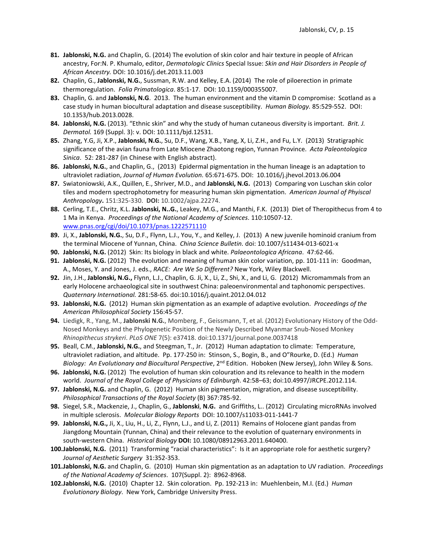- **81. Jablonski, N.G.** and Chaplin, G. (2014) The evolution of skin color and hair texture in people of African ancestry, For:N. P. Khumalo, editor, *Dermatologic Clinics* Special Issue: *Skin and Hair Disorders in People of African Ancestry.* DOI: 10.1016/j.det.2013.11.003
- **82.** Chaplin, G., **Jablonski, N.G.**, Sussman, R.W. and Kelley, E.A. (2014) The role of piloerection in primate thermoregulation. *Folia Primatologica*. 85:1-17. DOI: 10.1159/000355007.
- **83.** Chaplin, G. and **Jablonski, N.G**. 2013. The human environment and the vitamin D compromise: Scotland as a case study in human biocultural adaptation and disease susceptibility. *Human Biology.* 85:529-552. DOI: 10.1353/hub.2013.0028.
- **84. Jablonski, N.G.** (2013). "Ethnic skin" and why the study of human cutaneous diversity is important. *Brit. J. Dermatol.* 169 (Suppl. 3): v. DOI: 10.1111/bjd.12531.
- **85.** Zhang, Y.G, Ji, X.P., **Jablonski, N.G.**, Su, D.F., Wang, X.B., Yang, X, Li, Z.H., and Fu, L.Y. (2013) Stratigraphic significance of the avian fauna from Late Miocene Zhaotong region, Yunnan Province. *Acta Paleontologica Sinica*. 52: 281-287 (in Chinese with English abstract).
- **86. Jablonski, N.G.**, and Chaplin, G., (2013) Epidermal pigmentation in the human lineage is an adaptation to ultraviolet radiation, *Journal of Human Evolution.* 65:671-675. DOI: 10.1016/j.jhevol.2013.06.004
- **87.** Swiatoniowski, A.K., Quillen, E., Shriver, M.D., and **Jablonski, N.G.** (2013) Comparing von Luschan skin color tiles and modern spectrophotometry for measuring human skin pigmentation. *American Journal of Phyiscal Anthropology***.** 151:325-330. **DOI:** 10.1002/ajpa.22274.
- **88.** Cerling, T.E., Chritz, K.L. **Jablonski, N..G.**, Leakey, M.G., and Manthi, F.K. (2013) Diet of Theropithecus from 4 to 1 Ma in Kenya. *Proceedings of the National Academy of Sciences*. 110:10507-12. [www.pnas.org/cgi/doi/10.1073/pnas.1222571110](http://www.pnas.org/cgi/doi/10.1073/pnas.1222571110)
- **89.** Ji, X., **Jablonski, N.G.**, Su, D.F., Flynn, L.J., You, Y., and Kelley, J. (2013) A new juvenile hominoid cranium from the terminal Miocene of Yunnan, China. *China Science Bulletin.* doi: 10.1007/s11434-013-6021-x
- **90. Jablonski, N.G.** (2012) Skin: Its biology in black and white. *Palaeontologica Africana*. 47:62-66.
- **91. Jablonski, N.G.** (2012) The evolution and meaning of human skin color variation, pp. 101-111 in: Goodman, A., Moses, Y. and Jones, J. eds., *RACE: Are We So Different?* New York, Wiley Blackwell.
- **92.** Jin, J.H., **Jablonski, N.G.,** Flynn, L.J., Chaplin, G. Ji, X., Li, Z., Shi, X., and Li, G. (2012) Micromammals from an early Holocene archaeological site in southwest China: paleoenvironmental and taphonomic perspectives. *Quaternary International.* 281:58-65*.* doi:10.1016/j.quaint.2012.04.012
- **93. Jablonski, N.G.** (2012) Human skin pigmentation as an example of adaptive evolution. *Proceedings of the American Philosophical Society* 156:45-57.
- **94.** Liedigk, R., Yang, M., **Jablonski N.G.**, Momberg, F., Geissmann, T, et al. (2012) Evolutionary History of the Odd-Nosed Monkeys and the Phylogenetic Position of the Newly Described Myanmar Snub-Nosed Monkey *Rhinopithecus strykeri*. *PLoS ONE* 7(5): e37418. doi:10.1371/journal.pone.0037418
- **95.** Beall, C.M., **Jablonski, N.G.**, and Steegman, T., Jr. (2012) Human adaptation to climate: Temperature, ultraviolet radiation, and altitude. Pp. 177-250 in: Stinson, S., Bogin, B., and O"Rourke, D. (Ed.) *Human*  Biology: An Evolutionary and Biocultural Perspective, 2<sup>nd</sup> Edition. Hoboken (New Jersey), John Wiley & Sons.
- **96. Jablonski, N.G.** (2012) The evolution of human skin colouration and its relevance to health in the modern world. *Journal of the Royal College of Physicians of Edinburgh*. 42:58–63; doi:10.4997/JRCPE.2012.114.
- **97. Jablonski, N.G.** and Chaplin, G. (2012) Human skin pigmentation, migration, and disease susceptibility. *Philosophical Transactions of the Royal Society* (B) 367:785-92.
- **98.** Siegel, S.R., Mackenzie, J., Chaplin, G., **Jablonski**, **N.G.** and Griffiths, L.. (2012) Circulating microRNAs involved in multiple sclerosis. *Molecular Biology Reports* DOI: 10.1007/s11033-011-1441-7
- **99. Jablonski, N.G.,** [Ji, X.,](http://www.tandfonline.com/action/doSearch?action=runSearch&type=advanced&result=true&prevSearch=%2Bauthorsfield%3A(Xueping%2C+Ji)) [Liu, H., Li, Z., Flynn, L.J., and Li, Z.](http://www.tandfonline.com/action/doSearch?action=runSearch&type=advanced&result=true&prevSearch=%2Bauthorsfield%3A(Hong%2C+Liu)) (2011) Remains of Holocene giant pandas from Jiangdong Mountain (Yunnan, China) and their relevance to the evolution of quaternary environments in south-western China. *Historical Biology* **DOI:** 10.1080/08912963.2011.640400.
- **100.Jablonski, N.G.** (2011) Transforming "racial characteristics": Is it an appropriate role for aesthetic surgery? *Journal of Aesthetic Surgery* 31:352-353.
- **101.Jablonski, N.G.** and Chaplin, G. (2010) Human skin pigmentation as an adaptation to UV radiation. *Proceedings of the National Academy of Sciences*. 107(Suppl. 2): 8962-8968.
- **102.Jablonski, N.G.** (2010) Chapter 12. Skin coloration. Pp. 192-213 in: Muehlenbein, M.I. (Ed.) *Human Evolutionary Biology*. New York, Cambridge University Press.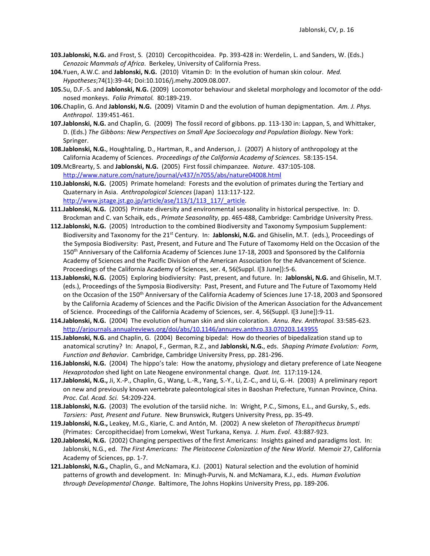- **103.Jablonski, N.G.** and Frost, S. (2010) Cercopithcoidea. Pp. 393-428 in: Werdelin, L. and Sanders, W. (Eds.) *Cenozoic Mammals of Africa*. Berkeley, University of California Press.
- **104.**Yuen, A.W.C. and **Jablonski, N.G.** (2010) Vitamin D: In the evolution of human skin colour. *Med. Hypotheses*;74(1):39-44; Doi:10.1016/j.mehy.2009.08.007.
- **105.**Su, D**.**F.-S. and **Jablonski, N.G.** (2009) Locomotor behaviour and skeletal morphology and locomotor of the oddnosed monkeys. *Folia Primatol.* 80:189-219.
- **106.**Chaplin, G. And **Jablonski, N.G.** (2009) Vitamin D and the evolution of human depigmentation. *Am. J. Phys. Anthropol*. 139:451-461.
- **107.Jablonski, N.G.** and Chaplin, G. (2009) The fossil record of gibbons. pp. 113-130 in: Lappan, S, and Whittaker, D. (Eds.) *The Gibbons: New Perspectives on Small Ape Socioecology and Population Biology*. New York: Springer.
- **108.Jablonski, N.G.**, Houghtaling, D., Hartman, R., and Anderson, J. (2007) A history of anthropology at the California Academy of Sciences. *Proceedings of the California Academy of Sciences.* 58:135-154.
- **109.**McBrearty, S. and **Jablonski, N.G.** (2005) First fossil chimpanzee. *Nature*. 437:105-108. <http://www.nature.com/nature/journal/v437/n7055/abs/nature04008.html>
- **110.Jablonski, N.G.** (2005) Primate homeland: Forests and the evolution of primates during the Tertiary and Quaternary in Asia. *Anthropological Sciences* (Japan) 113:117-122. [http://www.jstage.jst.go.jp/article/ase/113/1/113\\_117/\\_article.](http://www.jstage.jst.go.jp/article/ase/113/1/113_117/_article)
- **111.Jablonski, N.G.** (2005) Primate diversity and environmental seasonality in historical perspective. In: D. Brockman and C. van Schaik, eds., *Primate Seasonality*, pp. 465-488, Cambridge: Cambridge University Press.
- **112.Jablonski, N.G.** (2005) Introduction to the combined Biodiversity and Taxonomy Symposium Supplement: Biodiversity and Taxonomy for the 21<sup>st</sup> Century. In: Jablonski, N.G. and Ghiselin, M.T. (eds.), Proceedings of the Symposia Biodiversity: Past, Present, and Future and The Future of Taxomomy Held on the Occasion of the 150<sup>th</sup> Anniversary of the California Academy of Sciences June 17-18, 2003 and Sponsored by the California Academy of Sciences and the Pacific Division of the American Association for the Advancement of Science. Proceedings of the California Academy of Sciences, ser. 4, 56(Suppl. I[3 June]):5-6.
- **113.Jablonski, N.G.** (2005) Exploring biodiviersity: Past, present, and future. In: **Jablonski, N.G.** and Ghiselin, M.T. (eds.), Proceedings of the Symposia Biodiversity: Past, Present, and Future and The Future of Taxomomy Held on the Occasion of the 150<sup>th</sup> Anniversary of the California Academy of Sciences June 17-18, 2003 and Sponsored by the California Academy of Sciences and the Pacific Division of the American Association for the Advancement of Science. Proceedings of the California Academy of Sciences, ser. 4, 56(Suppl. I[3 June]):9-11.
- **114.Jablonski, N.G.** (2004) The evolution of human skin and skin coloration. *Annu. Rev. Anthropol.* 33:585-623. <http://arjournals.annualreviews.org/doi/abs/10.1146/annurev.anthro.33.070203.143955>
- **115.Jablonski, N.G.** and Chaplin, G. (2004) Becoming bipedal: How do theories of bipedalization stand up to anatomical scrutiny? In: Anapol, F., German, R.Z., and **Jablonski, N.G.**, eds. *Shaping Primate Evolution: Form, Function and Behavior*. Cambridge, Cambridge University Press, pp. 281-296.
- **116.Jablonski, N.G.** (2004) The hippo's tale: How the anatomy, physiology and dietary preference of Late Neogene *Hexaprotodon* shed light on Late Neogene environmental change. *Quat. Int.* 117:119-124.
- **117.Jablonski, N.G.,** Ji, X.-P., Chaplin, G., Wang, L.-R., Yang, S.-Y., Li, Z.-C., and Li, G.-H. (2003) A preliminary report on new and previously known vertebrate paleontological sites in Baoshan Prefecture, Yunnan Province, China. *Proc. Cal. Acad. Sci.* 54:209-224.
- **118.Jablonski, N.G.** (2003) The evolution of the tarsiid niche. In: Wright, P.C., Simons, E.L., and Gursky, S., eds. *Tarsiers: Past, Present and Future*. New Brunswick, Rutgers University Press, pp. 35-49.
- **119.Jablonski, N.G.,** Leakey, M.G., Kiarie, C. and Antón, M. (2002) A new skeleton of *Theropithecus brumpti* (Primates: Cercopithecidae) from Lomekwi, West Turkana, Kenya. *J. Hum. Evol*. 43:887-923.
- **120.Jablonski, N.G.** (2002) Changing perspectives of the first Americans: Insights gained and paradigms lost. In: Jablonski, N.G., ed. *The First Americans: The Pleistocene Colonization of the New World*. Memoir 27, California Academy of Sciences, pp. 1-7.
- **121.Jablonski, N.G.,** Chaplin, G., and McNamara, K.J. (2001) Natural selection and the evolution of hominid patterns of growth and development. In: Minugh-Purvis, N. and McNamara, K.J., eds. *Human Evolution through Developmental Change*. Baltimore, The Johns Hopkins University Press, pp. 189-206.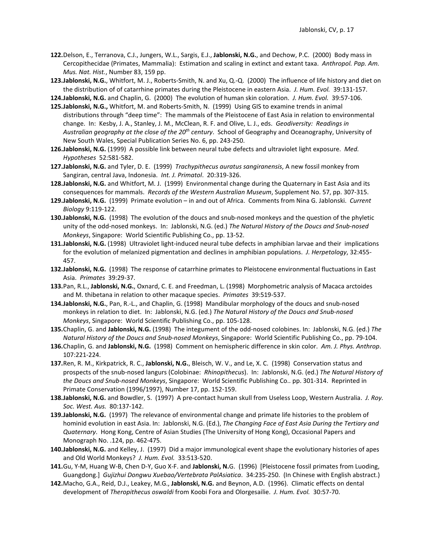- **122.**Delson, E., Terranova, C.J., Jungers, W.L., Sargis, E.J., **Jablonski, N.G.**, and Dechow, P.C. (2000) Body mass in Cercopithecidae (Primates, Mammalia): Estimation and scaling in extinct and extant taxa. *Anthropol. Pap. Am. Mus. Nat. Hist.*, Number 83, 159 pp.
- **123.Jablonski, N.G.**, Whitfort, M. J., Roberts-Smith, N. and Xu, Q.-Q. (2000) The influence of life history and diet on the distribution of of catarrhine primates during the Pleistocene in eastern Asia. *J. Hum. Evol.* 39:131-157.

**124.Jablonski, N.G.** and Chaplin, G. (2000) The evolution of human skin coloration. *J. Hum. Evol.* 39:57-106.

- **125.Jablonski, N.G.,** Whitfort, M. and Roberts-Smith, N. (1999) Using GIS to examine trends in animal distributions through "deep time": The mammals of the Pleistocene of East Asia in relation to environmental change. In: Kesby, J. A., Stanley, J. M., McClean, R. F. and Olive, L. J., eds. *Geodiversity: Readings in Australian geography at the close of the 20th century*. School of Geography and Oceanography, University of New South Wales, Special Publication Series No. 6, pp. 243-250.
- **126.Jablonski, N.G.** (1999) A possible link between neural tube defects and ultraviolet light exposure. *Med. Hypotheses* 52:581-582.
- **127.Jablonski, N.G.** and Tyler, D. E. (1999) *Trachypithecus auratus sangiranensis*, A new fossil monkey from Sangiran, central Java, Indonesia. *Int. J. Primatol*. 20:319-326.
- **128.Jablonski, N.G.** and Whitfort, M. J. (1999) Environmental change during the Quaternary in East Asia and its consequences for mammals. *Records of the Western Australian Museum*, Supplement No. 57, pp. 307-315.
- **129.Jablonski, N.G.** (1999) Primate evolution in and out of Africa. Comments from Nina G. Jablonski. *Current Biology* 9:119-122.
- **130.Jablonski, N.G.** (1998) The evolution of the doucs and snub-nosed monkeys and the question of the phyletic unity of the odd-nosed monkeys. In: Jablonski, N.G. (ed.) *The Natural History of the Doucs and Snub-nosed Monkeys*, Singapore: World Scientific Publishing Co., pp. 13-52.
- **131.Jablonski, N.G.** (1998) Ultraviolet light-induced neural tube defects in amphibian larvae and their implications for the evolution of melanized pigmentation and declines in amphibian populations. *J. Herpetology*, 32:455- 457.
- **132.Jablonski, N.G.** (1998) The response of catarrhine primates to Pleistocene environmental fluctuations in East Asia. *Primates* 39:29-37.
- **133.**Pan, R.L., **Jablonski, N.G.**, Oxnard, C. E. and Freedman, L. (1998) Morphometric analysis of Macaca arctoides and M. thibetana in relation to other macaque species. *Primates* 39:519-537.
- **134.Jablonski, N.G.**, Pan, R.-L., and Chaplin, G. (1998) Mandibular morphology of the doucs and snub-nosed monkeys in relation to diet. In: Jablonski, N.G. (ed.) *The Natural History of the Doucs and Snub-nosed Monkeys*, Singapore: World Scientific Publishing Co., pp. 105-128.
- **135.**Chaplin, G. and **Jablonski, N.G.** (1998) The integument of the odd-nosed colobines. In: Jablonski, N.G. (ed.) *The Natural History of the Doucs and Snub-nosed Monkeys*, Singapore: World Scientific Publishing Co., pp. 79-104.
- **136.**Chaplin, G. and **Jablonski, N.G.** (1998) Comment on hemispheric difference in skin color. *Am. J. Phys. Anthrop*. 107:221-224.
- **137.**Ren, R. M., Kirkpatrick, R. C., **Jablonski, N.G.**, Bleisch, W. V., and Le, X. C. (1998) Conservation status and prospects of the snub-nosed langurs (Colobinae: *Rhinopithecus*). In: Jablonski, N.G. (ed.) *The Natural History of the Doucs and Snub-nosed Monkeys*, Singapore: World Scientific Publishing Co.. pp. 301-314. Reprinted in Primate Conservation (1996/1997), Number 17, pp. 152-159.
- **138.Jablonski, N.G.** and Bowdler, S. (1997) A pre-contact human skull from Useless Loop, Western Australia. *J. Roy. Soc. West. Aus.* 80:137-142.
- **139.Jablonski, N.G.** (1997) The relevance of environmental change and primate life histories to the problem of hominid evolution in east Asia. In: Jablonski, N.G. (Ed.), *The Changing Face of East Asia During the Tertiary and Quaternary*. Hong Kong, Centre of Asian Studies (The University of Hong Kong), Occasional Papers and Monograph No. .124, pp. 462-475.
- **140.Jablonski, N.G.** and Kelley, J. (1997) Did a major immunological event shape the evolutionary histories of apes and Old World Monkeys? *J. Hum. Evol.* 33:513-520.
- **141.**Gu, Y-M, Huang W-B, Chen D-Y, Guo X-F. and **Jablonski, N.**G. (1996) [Pleistocene fossil primates from Luoding, Guangdong.] *Gujizhui Dongwu Xuebao/Vertebrata PalAsiatica*. 34:235-250. (In Chinese with English abstract.)
- **142.**Macho, G.A., Reid, D.J., Leakey, M.G., **Jablonski, N.G.** and Beynon, A.D. (1996). Climatic effects on dental development of *Theropithecus oswaldi* from Koobi Fora and Olorgesailie. *J. Hum. Evol.* 30:57-70.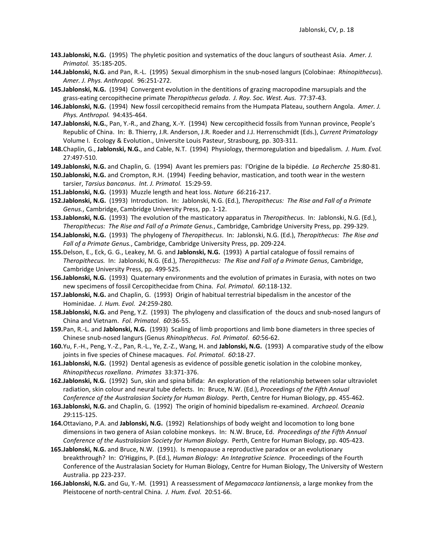- **143.Jablonski, N.G.** (1995) The phyletic position and systematics of the douc langurs of southeast Asia. *Amer. J. Primatol.* 35:185-205.
- **144.Jablonski, N.G.** and Pan, R.-L. (1995) Sexual dimorphism in the snub-nosed langurs (Colobinae: *Rhinopithecus*). *Amer. J. Phys. Anthropol.* 96:251-272.
- **145.Jablonski, N.G.** (1994) Convergent evolution in the dentitions of grazing macropodine marsupials and the grass-eating cercopithecine primate *Theropithecus gelada*. *J. Roy. Soc. West. Aus.* 77:37-43.
- **146.Jablonski, N.G.** (1994) New fossil cercopithecid remains from the Humpata Plateau, southern Angola. *Amer. J. Phys. Anthropol.* 94:435-464.
- **147.Jablonski, N.G.**, Pan, Y.-R., and Zhang, X.-Y. (1994) New cercopithecid fossils from Yunnan province, People's Republic of China. In: B. Thierry, J.R. Anderson, J.R. Roeder and J.J. Herrenschmidt (Eds.), *Current Primatology* Volume I. Ecology & Evolution., Universite Louis Pasteur, Strasbourg, pp. 303-311.
- **148.**Chaplin, G., **Jablonski, N.G.**, and Cable, N.T. (1994) Physiology, thermoregulation and bipedalism. *J. Hum. Evol.* 27:497-510.
- **149.Jablonski, N.G.** and Chaplin, G. (1994) Avant les premiers pas: l'Origine de la bipédie. *La Recherche* 25:80-81.
- **150.Jablonski, N.G.** and Crompton, R.H. (1994) Feeding behavior, mastication, and tooth wear in the western tarsier, *Tarsius bancanus*. *Int. J. Primatol.* 15:29-59.
- **151.Jablonski, N.G.** (1993) Muzzle length and heat loss. *Nature 66*:216-217.
- **152.Jablonski, N.G.** (1993) Introduction. In: Jablonski, N.G. (Ed.), *Theropithecus: The Rise and Fall of a Primate Genus.*, Cambridge, Cambridge University Press, pp. 1-12.
- **153.Jablonski, N.G.** (1993) The evolution of the masticatory apparatus in *Theropithecus*. In: Jablonski, N.G. (Ed.), *Theropithecus: The Rise and Fall of a Primate Genus.*, Cambridge, Cambridge University Press, pp. 299-329.
- **154.Jablonski, N.G.** (1993) The phylogeny of *Theropithecus*. In: Jablonski, N.G. (Ed.), *Theropithecus: The Rise and Fall of a Primate Genus.*, Cambridge, Cambridge University Press, pp. 209-224.
- **155.**Delson, E., Eck, G. G., Leakey, M. G. and **Jablonski, N.G.** (1993) A partial catalogue of fossil remains of *Theropithecus.* In: Jablonski, N.G. (Ed.), *Theropithecus: The Rise and Fall of a Primate Genus*, Cambridge, Cambridge University Press, pp. 499-525.
- **156.Jablonski, N.G.** (1993) Quaternary environments and the evolution of primates in Eurasia, with notes on two new specimens of fossil Cercopithecidae from China. *Fol. Primatol*. *60*:118-132.
- **157.Jablonski, N.G.** and Chaplin, G. (1993) Origin of habitual terrestrial bipedalism in the ancestor of the Hominidae. *J. Hum. Evol. 24*:259-280.
- **158.Jablonski, N.G.** and Peng, Y.Z. (1993) The phylogeny and classification of the doucs and snub-nosed langurs of China and Vietnam. *Fol. Primatol*. *60*:36-55.
- **159.**Pan, R.-L. and **Jablonski, N.G.** (1993) Scaling of limb proportions and limb bone diameters in three species of Chinese snub-nosed langurs (Genus *Rhinopithecus*. *Fol. Primatol*. *60*:56-62.
- **160.**Yu, F.-H., Peng, Y.-Z., Pan, R.-L., Ye, Z.-Z., Wang, H. and **Jablonski, N.G.** (1993) A comparative study of the elbow joints in five species of Chinese macaques. *Fol. Primatol*. *60*:18-27.
- **161.Jablonski, N.G.** (1992) Dental agenesis as evidence of possible genetic isolation in the colobine monkey, *Rhinopithecus roxellana*. *Primates* 33:371-376.
- **162.Jablonski, N.G.** (1992) Sun, skin and spina bifida: An exploration of the relationship between solar ultraviolet radiation, skin colour and neural tube defects. In: Bruce, N.W. (Ed.), *Proceedings of the Fifth Annual Conference of the Australasian Society for Human Biology*. Perth, Centre for Human Biology, pp. 455-462.
- **163.Jablonski, N.G.** and Chaplin, G. (1992) The origin of hominid bipedalism re-examined. *Archaeol. Oceania 29*:115-125.
- **164.**Ottaviano, P.A. and **Jablonski, N.G.** (1992) Relationships of body weight and locomotion to long bone dimensions in two genera of Asian colobine monkeys. In: N.W. Bruce, Ed. *Proceedings of the Fifth Annual Conference of the Australasian Society for Human Biology*. Perth, Centre for Human Biology, pp. 405-423.
- **165.Jablonski, N.G.** and Bruce, N.W. (1991). Is menopause a reproductive paradox or an evolutionary breakthrough? In: O'Higgins, P. (Ed.), *Human Biology: An Integrative Science.* Proceedings of the Fourth Conference of the Australasian Society for Human Biology, Centre for Human Biology, The University of Western Australia. pp 223-237.
- **166.Jablonski, N.G.** and Gu, Y.-M. (1991) A reassessment of *Megamacaca lantianensis*, a large monkey from the Pleistocene of north-central China. *J. Hum. Evol.* 20:51-66.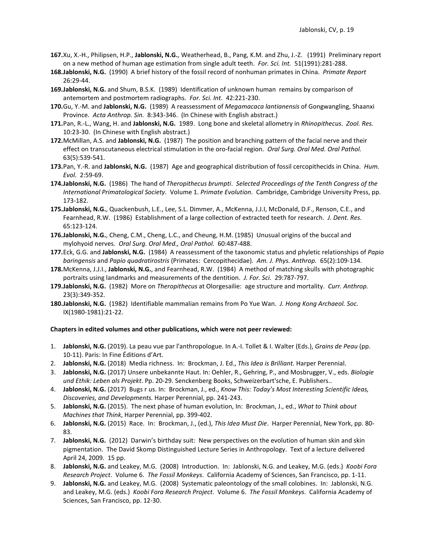- **167.**Xu, X.-H., Philipsen, H.P., **Jablonski, N.G.**, Weatherhead, B., Pang, K.M. and Zhu, J.-Z. (1991) Preliminary report on a new method of human age estimation from single adult teeth. *For. Sci. Int.* 51(1991):281-288.
- **168.Jablonski, N.G.** (1990) A brief history of the fossil record of nonhuman primates in China. *Primate Report* 26:29-44.
- **169.Jablonski, N.G.** and Shum, B.S.K. (1989) Identification of unknown human remains by comparison of antemortem and postmortem radiographs. *For. Sci. Int.* 42:221-230.
- **170.**Gu, Y.-M. and **Jablonski, N.G.** (1989) A reassessment of *Megamacaca lantianensis* of Gongwangling, Shaanxi Province. *Acta Anthrop. Sin.* 8:343-346. (In Chinese with English abstract.)
- **171.**Pan, R.-L., Wang, H. and **Jablonski, N.G.** 1989. Long bone and skeletal allometry in *Rhinopithecus*. *Zool. Res.* 10:23-30. (In Chinese with English abstract.)
- **172.**McMillan, A.S. and **Jablonski, N.G.** (1987) The position and branching pattern of the facial nerve and their effect on transcutaneous electrical stimulation in the oro-facial region. *Oral Surg. Oral Med. Oral Pathol.* 63(5):539-541.
- **173.**Pan, Y.-R. and **Jablonski, N.G.** (1987) Age and geographical distribution of fossil cercopithecids in China. *Hum. Evol.* 2:59-69.
- **174.Jablonski, N.G.** (1986) The hand of *Theropithecus brumpti*. *Selected Proceedings of the Tenth Congress of the International Primatological Society*. Volume 1. *Primate Evolution*. Cambridge, Cambridge University Press, pp. 173-182.
- **175.Jablonski, N.G.**, Quackenbush, L.E., Lee, S.L. Dimmer, A., McKenna, J.J.I, McDonald, D.F., Renson, C.E., and Fearnhead, R.W. (1986) Establishment of a large collection of extracted teeth for research. *J. Dent. Res.* 65:123-124.
- **176.Jablonski, N.G.**, Cheng, C.M., Cheng, L.C., and Cheung, H.M. (1985) Unusual origins of the buccal and mylohyoid nerves. *Oral Surg. Oral Med., Oral Pathol.* 60:487-488.
- **177.**Eck, G.G. and **Jablonski, N.G.** (1984) A reassessment of the taxonomic status and phyletic relationships of *Papio baringensis* and *Papio quadratirostris* (Primates: Cercopithecidae). *Am. J. Phys. Anthrop.* 65(2):109-134.
- **178.**McKenna, J.J.I., **Jablonski, N.G.**, and Fearnhead, R.W. (1984) A method of matching skulls with photographic portraits using landmarks and measurements of the dentition. *J. For. Sci.* 29:787-797.
- **179.Jablonski, N.G.** (1982) More on *Theropithecus* at Olorgesailie: age structure and mortality. *Curr. Anthrop.* 23(3):349-352.
- **180.Jablonski, N.G.** (1982) Identifiable mammalian remains from Po Yue Wan. *J. Hong Kong Archaeol. Soc.* IX(1980-1981):21-22.

#### **Chapters in edited volumes and other publications, which were not peer reviewed:**

- 1. **Jablonski, N.G.** (2019). La peau vue par l'anthropologue. In A.-I. Tollet & I. Walter (Eds.), *Grains de Peau* (pp. 10-11). Paris: In Fine Éditions d'Art.
- 2. **Jablonski, N.G.** (2018) Media richness. In: Brockman, J. Ed., *This Idea is Brilliant.* Harper Perennial.
- 3. **Jablonski, N.G.** (2017) Unsere unbekannte Haut. In: Oehler, R., Gehring, P., and Mosbrugger, V., eds. *Biologie und Ethik: Leben als Projekt*. Pp. 20-29. Senckenberg Books, Schweizerbart'sche, E. Publishers..
- 4. **Jablonski, N.G.** (2017) Bugs r us. In: Brockman, J., ed., *Know This: Today's Most Interesting Scientific Ideas, Discoveries, and Developments.* Harper Perennial, pp. 241-243.
- 5. **Jablonski, N.G.** (2015). The next phase of human evolution, In: Brockman, J., ed., *What to Think about Machines that Think*, Harper Perennial, pp. 399-402.
- 6. **Jablonski, N.G.** (2015)Race. In: Brockman, J., (ed.), *This Idea Must Die*. Harper Perennial, New York, pp. 80- 83.
- 7. **Jablonski, N.G.** (2012) Darwin's birthday suit: New perspectives on the evolution of human skin and skin pigmentation. The David Skomp Distinguished Lecture Series in Anthropology. Text of a lecture delivered April 24, 2009. 15 pp.
- 8. **Jablonski, N.G.** and Leakey, M.G. (2008) Introduction. In: Jablonski, N.G. and Leakey, M.G. (eds.) *Koobi Fora Research Project*. Volume 6. *The Fossil Monkeys*. California Academy of Sciences, San Francisco, pp. 1-11.
- 9. **Jablonski, N.G.** and Leakey, M.G. (2008) Systematic paleontology of the small colobines. In: Jablonski, N.G. and Leakey, M.G. (eds.) *Koobi Fora Research Project*. Volume 6. *The Fossil Monkeys*. California Academy of Sciences, San Francisco, pp. 12-30.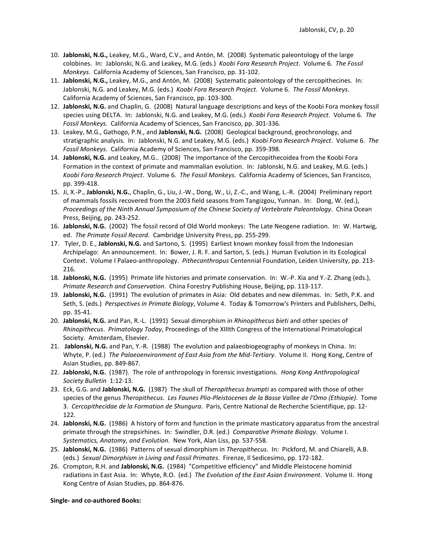- 10. **Jablonski, N.G.,** Leakey, M.G., Ward, C.V., and Antón, M. (2008) Systematic paleontology of the large colobines. In: Jablonski, N.G. and Leakey, M.G. (eds.) *Koobi Fora Research Project*. Volume 6. *The Fossil Monkeys*. California Academy of Sciences, San Francisco, pp. 31-102.
- 11. **Jablonski, N.G.,** Leakey, M.G., and Antón, M. (2008) Systematic paleontology of the cercopithecines. In: Jablonski, N.G. and Leakey, M.G. (eds.) *Koobi Fora Research Project*. Volume 6. *The Fossil Monkeys*. California Academy of Sciences, San Francisco, pp. 103-300.
- 12. **Jablonski, N.G.** and Chaplin, G. (2008) Natural language descriptions and keys of the Koobi Fora monkey fossil species using DELTA. In: Jablonski, N.G. and Leakey, M.G. (eds.) *Koobi Fora Research Project*. Volume 6. *The Fossil Monkeys*. California Academy of Sciences, San Francisco, pp. 301-336.
- 13. Leakey, M.G., Gathogo, P.N., and **Jablonski, N.G.** (2008) Geological background, geochronology, and stratigraphic analysis. In: Jablonski, N.G. and Leakey, M.G. (eds.) *Koobi Fora Research Project*. Volume 6. *The Fossil Monkeys*. California Academy of Sciences, San Francisco, pp. 359-398.
- 14. **Jablonski, N.G.** and Leakey, M.G.. (2008) The importance of the Cercopithecoidea from the Koobi Fora Formation in the context of primate and mammalian evolution. In: Jablonski, N.G. and Leakey, M.G. (eds.) *Koobi Fora Research Project*. Volume 6. *The Fossil Monkeys*. California Academy of Sciences, San Francisco, pp. 399-418.
- 15. Ji, X.-P., **Jablonski, N.G.**, Chaplin, G., Liu, J.-W., Dong, W., Li, Z.-C., and Wang, L.-R. (2004) Preliminary report of mammals fossils recovered from the 2003 field seasons from Tangizgou, Yunnan. In: Dong, W. (ed.), *Proceedings of the Ninth Annual Symposium of the Chinese Society of Vertebrate Paleontology*. China Ocean Press, Beijing, pp. 243-252.
- 16. **Jablonski, N.G.** (2002) The fossil record of Old World monkeys: The Late Neogene radiation. In: W. Hartwig, ed. *The Primate Fossil Record*. Cambridge University Press, pp. 255-299.
- 17. Tyler, D. E., **Jablonski, N.G.** and Sartono, S. (1995) Earliest known monkey fossil from the Indonesian Archipelago: An announcement. In: Bower, J. R. F. and Sarton, S. (eds.) Human Evolution in its Ecological Context. Volume I Palaeo-anthropology. *Pithecanthropus* Centennial Foundation, Leiden University, pp. 213- 216.
- 18. **Jablonski, N.G.** (1995) Primate life histories and primate conservation. In: W.-P. Xia and Y.-Z. Zhang (eds.), *Primate Research and Conservation*. China Forestry Publishing House, Beijing, pp. 113-117.
- 19. **Jablonski, N.G.** (1991) The evolution of primates in Asia: Old debates and new dilemmas. In: Seth, P.K. and Seth, S. (eds.) *Perspectives in Primate Biology*, Volume 4. Today & Tomorrow's Printers and Publishers, Delhi, pp. 35-41.
- 20. **Jablonski, N.G.** and Pan, R.-L. (1991) Sexual dimorphism in *Rhinopithecus bieti* and other species of *Rhinopithecus*. *Primatology Today*, Proceedings of the XIIIth Congress of the International Primatological Society. Amsterdam, Elsevier.
- 21. **Jablonski, N.G.** and Pan, Y.-R. (1988) The evolution and palaeobiogeography of monkeys in China. In: Whyte, P. (ed.) *The Palaeoenvironment of East Asia from the Mid-Tertiary*. Volume II. Hong Kong, Centre of Asian Studies, pp. 849-867.
- 22. **Jablonski, N.G.** (1987). The role of anthropology in forensic investigations. *Hong Kong Anthropological Society Bulletin* 1:12-13.
- 23. Eck, G.G. and **Jablonski, N.G.** (1987) The skull of *Theropithecus brumpti* as compared with those of other species of the genus *Theropithecus*. *Les Faunes Plio-Pleistocenes de la Basse Vallee de l'Omo (Ethiopie)*. Tome 3. *Cercopithecidae de la Formation de Shungura*. Paris, Centre National de Recherche Scientifique, pp. 12- 122.
- 24. **Jablonski, N.G.** (1986) A history of form and function in the primate masticatory apparatus from the ancestral primate through the strepsirhines. In: Swindler, D.R. (ed.) *Comparative Primate Biology*. Volume I. *Systematics, Anatomy, and Evolution*. New York, Alan Liss, pp. 537-558.
- 25. **Jablonski, N.G.** (1986) Patterns of sexual dimorphism in *Theropithecus*. In: Pickford, M. and Chiarelli, A.B. (eds.) *Sexual Dimorphism in Living and Fossil Primates*. Firenze, Il Sedicesimo, pp. 172-182.
- 26. Crompton, R.H. and **Jablonski, N.G.** (1984) "Competitive efficiency" and Middle Pleistocene hominid radiations in East Asia. In: Whyte, R.O. (ed.) *The Evolution of the East Asian Environment*. Volume II. Hong Kong Centre of Asian Studies, pp. 864-876.

**Single- and co-authored Books:**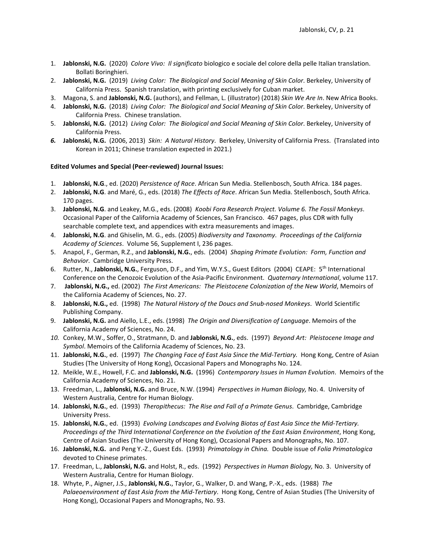- 1. **Jablonski, N.G.** (2020) *Colore Vivo: Il significato* biologico e sociale del colore della pelle Italian translation. Bollati Boringhieri.
- 2. **Jablonski, N.G.** (2019) *Living Color: The Biological and Social Meaning of Skin Color*. Berkeley, University of California Press. Spanish translation, with printing exclusively for Cuban market.
- 3. Magona, S. and **Jablonski, N.G.** (authors), and Fellman, L. (illustrator) (2018) *Skin We Are In*. New Africa Books.
- 4. **Jablonski, N.G.** (2018) *Living Color: The Biological and Social Meaning of Skin Color*. Berkeley, University of California Press. Chinese translation.
- 5. **Jablonski, N.G.** (2012) *Living Color: The Biological and Social Meaning of Skin Color*. Berkeley, University of California Press.
- *6.* **Jablonski, N.G.** (2006, 2013)*Skin: A Natural History*. Berkeley, University of California Press. (Translated into Korean in 2011; Chinese translation expected in 2021.)

## **Edited Volumes and Special (Peer-reviewed) Journal Issues:**

- 1. **Jablonski, N.G**., ed. (2020) *Persistence of Race*. African Sun Media. Stellenbosch, South Africa. 184 pages.
- 2. **Jablonski, N.G**. and Maré, G., eds. (2018) *The Effects of Race*. African Sun Media. Stellenbosch, South Africa. 170 pages.
- 3. **Jablonski, N.G**. and Leakey, M.G., eds. (2008) *Koobi Fora Research Project. Volume 6. The Fossil Monkeys*. Occasional Paper of the California Academy of Sciences, San Francisco. 467 pages, plus CDR with fully searchable complete text, and appendices with extra measurements and images.
- 4. **Jablonski, N.G**. and Ghiselin, M. G., eds. (2005) *Biodiversity and Taxonomy*. *Proceedings of the California Academy of Sciences*. Volume 56, Supplement I, 236 pages.
- 5. Anapol, F., German, R.Z., and **Jablonski, N.G.**, eds. (2004) *Shaping Primate Evolution: Form, Function and Behavior*. Cambridge University Press.
- 6. Rutter, N., **Jablonski, N.G.**, Ferguson, D.F., and Yim, W.Y.S., Guest Editors (2004) CEAPE: 5th International Conference on the Cenozoic Evolution of the Asia-Pacific Environment. *Quaternary International*, volume 117.
- 7. **Jablonski, N.G.,** ed. (2002) *The First Americans: The Pleistocene Colonization of the New World*, Memoirs of the California Academy of Sciences, No. 27.
- 8. **Jablonski, N.G.,** ed. (1998) *The Natural History of the Doucs and Snub-nosed Monkeys*. World Scientific Publishing Company.
- 9. **Jablonski, N.G.** and Aiello, L.E., eds. (1998) *The Origin and Diversification of Language*. Memoirs of the California Academy of Sciences, No. 24.
- *10.* Conkey, M.W., Soffer, O., Stratmann, D. and **Jablonski, N.G.**, eds. (1997) *Beyond Art: Pleistocene Image and Symbol*. Memoirs of the California Academy of Sciences, No. 23.
- 11. **Jablonski, N.G.**, ed. (1997) *The Changing Face of East Asia Since the Mid-Tertiary.* Hong Kong, Centre of Asian Studies (The University of Hong Kong), Occasional Papers and Monographs No. 124.
- 12. Meikle, W.E., Howell, F.C. and **Jablonski, N.G.** (1996) *Contemporary Issues in Human Evolution*. Memoirs of the California Academy of Sciences, No. 21.
- 13. Freedman, L., **Jablonski, N.G.** and Bruce, N.W. (1994) *Perspectives in Human Biology,* No. 4. University of Western Australia, Centre for Human Biology.
- 14. **Jablonski, N.G.**, ed.(1993) *Theropithecus: The Rise and Fall of a Primate Genus*. Cambridge, Cambridge University Press.
- 15. **Jablonski, N.G.**, ed.(1993) *Evolving Landscapes and Evolving Biotas of East Asia Since the Mid-Tertiary. Proceedings of the Third International Conference on the Evolution of the East Asian Environment*, Hong Kong, Centre of Asian Studies (The University of Hong Kong), Occasional Papers and Monographs, No. 107.
- 16. **Jablonski, N.G.** and Peng Y.-Z., Guest Eds. (1993) *Primatology in China.* Double issue of *Folia Primatologica* devoted to Chinese primates.
- 17. Freedman, L., **Jablonski, N.G.** and Holst, R., eds. (1992) *Perspectives in Human Biology,* No. 3. University of Western Australia, Centre for Human Biology.
- 18. Whyte, P., Aigner, J.S., **Jablonski, N.G.**, Taylor, G., Walker, D. and Wang, P.-X., eds. (1988) *The Palaeoenvironment of East Asia from the Mid-Tertiary*. Hong Kong, Centre of Asian Studies (The University of Hong Kong), Occasional Papers and Monographs, No. 93.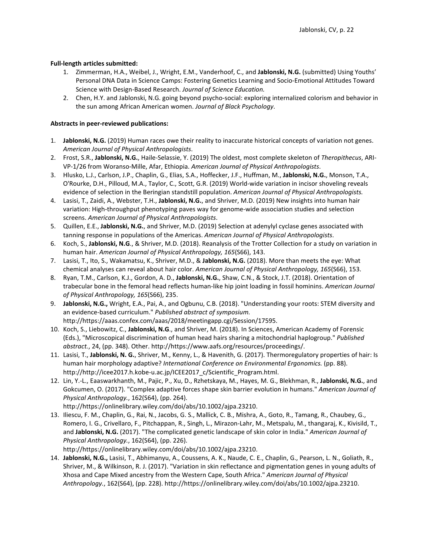## **Full-length articles submitted:**

- 1. Zimmerman, H.A., Weibel, J., Wright, E.M., Vanderhoof, C., and **Jablonski, N.G.** (submitted) Using Youths' Personal DNA Data in Science Camps: Fostering Genetics Learning and Socio-Emotional Attitudes Toward Science with Design-Based Research. *Journal of Science Education.*
- 2. Chen, H.Y. and Jablonski, N.G. going beyond psycho-social: exploring internalized colorism and behavior in the sun among African American women. *Journal of Black Psychology*.

## **Abstracts in peer-reviewed publications:**

- 1. **Jablonski, N.G.** (2019) Human races owe their reality to inaccurate historical concepts of variation not genes. *American Journal of Physical Anthropologists*.
- 2. Frost, S.R., **Jablonski, N.G.**, Haile-Selassie, Y. (2019) The oldest, most complete skeleton of *Theropithecus*, ARI-VP-1/26 from Woranso-Mille, Afar, Ethiopia. *American Journal of Physical Anthropologists*.
- 3. Hlusko, L.J., Carlson, J.P., Chaplin, G., Elias, S.A., Hoffecker, J.F., Huffman, M., **Jablonski, N.G.**, Monson, T.A., O'Rourke, D.H., Pilloud, M.A., Taylor, C., Scott, G.R. (2019) World-wide variation in incisor shoveling reveals evidence of selection in the Beringian standstill population. *American Journal of Physical Anthropologists.*
- 4. Lasisi, T., Zaidi, A., Webster, T.H., **Jablonski, N.G.**, and Shriver, M.D. (2019) New insights into human hair variation: High-throughput phenotyping paves way for genome-wide association studies and selection screens. *American Journal of Physical Anthropologists*.
- 5. Quillen, E.E., **Jablonski, N.G.**, and Shriver, M.D. (2019) Selection at adenylyl cyclase genes associated with tanning response in populations of the Americas. *American Journal of Physical Anthropologists*.
- 6. Koch, S., **Jablonski, N.G**., & Shriver, M.D. (2018). Reanalysis of the Trotter Collection for a study on variation in human hair. *American Journal of Physical Anthropology, 165*(S66), 143.
- 7. Lasisi, T., Ito, S., Wakamatsu, K., Shriver, M.D., & **Jablonski, N.G.** (2018). More than meets the eye: What chemical analyses can reveal about hair color. *American Journal of Physical Anthropology, 165*(S66), 153.
- 8. Ryan, T.M., Carlson, K.J., Gordon, A. D., **Jablonski, N.G.**, Shaw, C.N., & Stock, J.T. (2018). Orientation of trabecular bone in the femoral head reflects human-like hip joint loading in fossil hominins. *American Journal of Physical Anthropology, 165*(S66), 235.
- 9. **Jablonski, N.G.,** Wright, E.A., Pai, A., and Ogbunu, C.B. (2018). "Understanding your roots: STEM diversity and an evidence-based curriculum." *Published abstract of symposium.*  http://https://aaas.confex.com/aaas/2018/meetingapp.cgi/Session/17595.
- 10. Koch, S., Liebowitz, C., **Jablonski, N.G**., and Shriver, M. (2018). In Sciences, American Academy of Forensic (Eds.), "Microscopical discrimination of human head hairs sharing a mitochondrial haplogroup." *Published abstract.*, 24, (pp. 348). Other. http://https://www.aafs.org/resources/proceedings/.
- 11. Lasisi, T., **Jablonski, N. G.**, Shriver, M., Kenny, L., & Havenith, G. (2017). Thermoregulatory properties of hair: Is human hair morphology adaptive? *International Conference on Environmental Ergonomics.* (pp. 88). http://http://icee2017.h.kobe-u.ac.jp/ICEE2017\_c/Scientific\_Program.html.
- 12. Lin, Y.-L., Eaaswarkhanth, M., Pajic, P., Xu, D., Rzhetskaya, M., Hayes, M. G., Blekhman, R., **Jablonski, N.G.**, and Gokcumen, O. (2017). "Complex adaptive forces shape skin barrier evolution in humans." *American Journal of Physical Anthropology.*, 162(S64), (pp. 264). http://https://onlinelibrary.wiley.com/doi/abs/10.1002/ajpa.23210.
- 13. Iliescu, F. M., Chaplin, G., Rai, N., Jacobs, G. S., Mallick, C. B., Mishra, A., Goto, R., Tamang, R., Chaubey, G., Romero, I. G., Crivellaro, F., Pitchappan, R., Singh, L., Mirazon-Lahr, M., Metspalu, M., thangaraj, K., Kivisild, T., and **Jablonski, N.G.** (2017). "The complicated genetic landscape of skin color in India." *American Journal of Physical Anthropology.*, 162(S64), (pp. 226). http://https://onlinelibrary.wiley.com/doi/abs/10.1002/ajpa.23210.
- 14. **Jablonski, N.G.,** Lasisi, T., Abhimanyu, A., Coussens, A. K., Naude, C. E., Chaplin, G., Pearson, L. N., Goliath, R., Shriver, M., & Wilkinson, R. J. (2017). "Variation in skin reflectance and pigmentation genes in young adults of Xhosa and Cape Mixed ancestry from the Western Cape, South Africa." *American Journal of Physical Anthropology.*, 162(S64), (pp. 228). http://https://onlinelibrary.wiley.com/doi/abs/10.1002/ajpa.23210.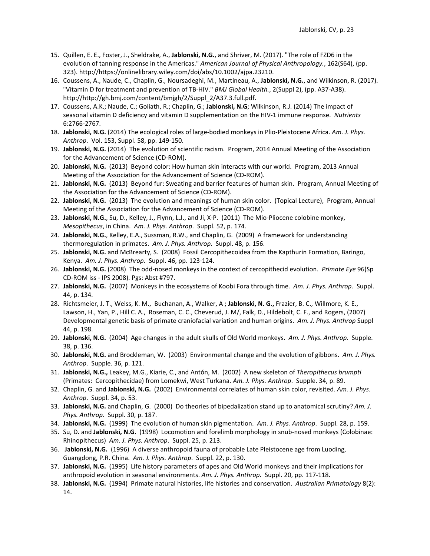- 15. Quillen, E. E., Foster, J., Sheldrake, A., **Jablonski, N.G.**, and Shriver, M. (2017). "The role of FZD6 in the evolution of tanning response in the Americas." *American Journal of Physical Anthropology.*, 162(S64), (pp. 323). http://https://onlinelibrary.wiley.com/doi/abs/10.1002/ajpa.23210.
- 16. Coussens, A., Naude, C., Chaplin, G., Noursadeghi, M., Martineau, A., **Jablonski, N.G.**, and Wilkinson, R. (2017). "Vitamin D for treatment and prevention of TB-HIV." *BMJ Global Health.*, 2(Suppl 2), (pp. A37-A38). http://http://gh.bmj.com/content/bmjgh/2/Suppl\_2/A37.3.full.pdf.
- 17. Coussens, A.K.; Naude, C.; Goliath, R.; Chaplin, G.; **Jablonski, N.G**; Wilkinson, R.J. (2014) The impact of seasonal vitamin D deficiency and vitamin D supplementation on the HIV-1 immune response. *Nutrients* 6:2766-2767.
- 18. **Jablonski, N.G.** (2014) The ecological roles of large-bodied monkeys in Plio-Pleistocene Africa. *Am. J. Phys. Anthrop*. Vol. 153, Suppl. 58, pp. 149-150.
- 19. **Jablonski, N.G.** (2014) The evolution of scientific racism. Program, 2014 Annual Meeting of the Association for the Advancement of Science (CD-ROM).
- 20. **Jablonski, N.G.** (2013) Beyond color: How human skin interacts with our world. Program, 2013 Annual Meeting of the Association for the Advancement of Science (CD-ROM).
- 21. **Jablonski, N.G.** (2013) Beyond fur: Sweating and barrier features of human skin. Program, Annual Meeting of the Association for the Advancement of Science (CD-ROM).
- 22. **Jablonski, N.G.** (2013) The evolution and meanings of human skin color. (Topical Lecture), Program, Annual Meeting of the Association for the Advancement of Science (CD-ROM).
- 23. **Jablonski, N.G.**, Su, D., Kelley, J., Flynn, L.J., and Ji, X-P. (2011) The Mio-Pliocene colobine monkey, *Mesopithecus*, in China. *Am. J. Phys. Anthrop*. Suppl. 52, p. 174.
- 24. **Jablonski, N.G.**, Kelley, E.A., Sussman, R.W., and Chaplin, G. (2009) A framework for understanding thermoregulation in primates. *Am. J. Phys. Anthrop*. Suppl. 48, p. 156.
- 25. **Jablonski, N.G.** and McBrearty, S. (2008) Fossil Cercopithecoidea from the Kapthurin Formation, Baringo, Kenya. *Am. J. Phys. Anthrop*. Suppl. 46, pp. 123-124.
- 26. **Jablonski, N.G.** (2008) The odd-nosed monkeys in the context of cercopithecid evolution. *Primate Eye* 96(Sp CD-ROM iss - IPS 2008). Pgs: Abst #797.
- 27. **Jablonski, N.G.** (2007) Monkeys in the ecosystems of Koobi Fora through time. *Am. J. Phys. Anthrop*. Suppl. 44, p. 134.
- 28. Richtsmeier, J. T., Weiss, K. M., Buchanan, A., Walker, A ; **Jablonski, N. G.,** Frazier, B. C., Willmore, K. E., Lawson, H., Yan, P., Hill C. A., Roseman, C. C., Cheverud, J. M/, Falk, D., Hildebolt, C. F., and Rogers, (2007) Developmental genetic basis of primate craniofacial variation and human origins. *Am. J. Phys. Anthrop* Suppl 44, p. 198.
- 29. **Jablonski, N.G.** (2004) Age changes in the adult skulls of Old World monkeys. *Am. J. Phys. Anthrop*. Supple. 38, p. 136.
- 30. **Jablonski, N.G.** and Brockleman, W. (2003) Environmental change and the evolution of gibbons. *Am. J. Phys. Anthrop*. Supple. 36, p. 121.
- 31. **Jablonski, N.G.,** Leakey, M.G., Kiarie, C., and Antón, M. (2002) A new skeleton of *Theropithecus brumpti*  (Primates: Cercopithecidae) from Lomekwi, West Turkana. *Am. J. Phys. Anthrop*. Supple. 34, p. 89.
- 32. Chaplin, G. and **Jablonski, N.G.** (2002) Environmental correlates of human skin color, revisited. *Am. J. Phys. Anthrop*. Suppl. 34, p. 53.
- 33. **Jablonski, N.G.** and Chaplin, G. (2000) Do theories of bipedalization stand up to anatomical scrutiny? *Am. J. Phys. Anthrop*. Suppl. 30, p. 187.
- 34. **Jablonski, N.G.** (1999) The evolution of human skin pigmentation. *Am. J. Phys. Anthrop*. Suppl. 28, p. 159.
- 35. Su, D. and **Jablonski, N.G.** (1998) Locomotion and forelimb morphology in snub-nosed monkeys (Colobinae: Rhinopithecus) *Am. J. Phys. Anthrop*. Suppl. 25, p. 213.
- 36. **Jablonski, N.G.** (1996) A diverse anthropoid fauna of probable Late Pleistocene age from Luoding, Guangdong, P.R. China. *Am. J. Phys. Anthrop*. Suppl. 22, p. 130.
- 37. **Jablonski, N.G.** (1995) Life history parameters of apes and Old World monkeys and their implications for anthropoid evolution in seasonal environments. *Am. J. Phys. Anthrop.* Suppl. 20, pp. 117-118.
- 38. **Jablonski, N.G.** (1994) Primate natural histories, life histories and conservation. *Australian Primatology* 8(2): 14.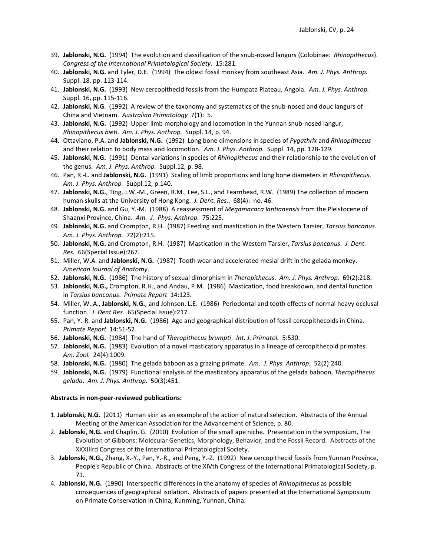- 39. **Jablonski, N.G.** (1994) The evolution and classification of the snub-nosed langurs (Colobinae: *Rhinopithecus*). *Congress of the International Primatological Society*. 15:281.
- 40. **Jablonski, N.G.** and Tyler, D.E. (1994) The oldest fossil monkey from southeast Asia. *Am. J. Phys. Anthrop.* Suppl. 18, pp. 113-114.
- 41. **Jablonski, N.G.** (1993) New cercopithecid fossils from the Humpata Plateau, Angola. *Am. J. Phys. Anthrop.* Suppl. 16, pp. 115-116.
- 42. **Jablonski, N.G**. (1992) A review of the taxonomy and systematics of the snub-nosed and douc langurs of China and Vietnam. *Australian Primatology* 7(1): 5.
- 43. **Jablonski, N.G.** (1992) Upper limb morphology and locomotion in the Yunnan snub-nosed langur, *Rhinopithecus bieti*. *Am. J. Phys. Anthrop.* Suppl. 14, p. 94.
- 44. Ottaviano, P.A. and **Jablonski, N.G.** (1992) Long bone dimensions in species of *Pygathrix* and *Rhinopithecus* and their relation to body mass and locomotion. *Am. J. Phys. Anthrop.* Suppl. 14, pp. 128-129.
- 45. **Jablonski, N.G.** (1991) Dental variations in species of *Rhinopithecus* and their relationship to the evolution of the genus. *Am. J. Phys. Anthrop.* Suppl.12, p. 98.
- 46. Pan, R.-L. and **Jablonski, N.G.** (1991) Scaling of limb proportions and long bone diameters in *Rhinopithecus*. *Am. J. Phys. Anthrop.* Suppl.12, p.140.
- 47. **Jablonski, N.G.**, Ting, J.W.-M., Green, R.M., Lee, S.L., and Fearnhead, R.W. (1989) The collection of modern human skulls at the University of Hong Kong. *J. Dent. Res.*. 68(4): no. 46.
- 48. **Jablonski, N.G.** and Gu, Y.-M. (1988) A reassessment of *Megamacaca lantianensis* from the Pleistocene of Shaanxi Province, China. *Am. J. Phys. Anthrop.* 75:225.
- 49. **Jablonski, N.G.** and Crompton, R.H. (1987) Feeding and mastication in the Western Tarsier, *Tarsius bancanus*. *Am. J. Phys. Anthrop.* 72(2):215.
- 50. **Jablonski, N.G.** and Crompton, R.H. (1987) Mastication in the Western Tarsier, *Tarsius bancanus*. *J. Dent. Res.* 66(Special Issue):267.
- 51. Miller, W.A. and **Jablonski, N.G.** (1987) Tooth wear and accelerated mesial drift in the gelada monkey. *American Journal of Anatomy*.
- 52. **Jablonski, N.G.** (1986) The history of sexual dimorphism in *Theropithecus*. *Am. J. Phys. Anthrop.* 69(2):218.
- 53. **Jablonski, N.G.,** Crompton, R.H., and Andau, P.M. (1986) Mastication, food breakdown, and dental function in *Tarsius bancanus*. *Primate Report* 14:123.
- 54. Miller, W..A., **Jablonski, N.G.**, and Johnson, L.E. (1986) Periodontal and tooth effects of normal heavy occlusal function. *J. Dent Res.* 65(Special Issue):217.
- 55. Pan, Y.-R. and **Jablonski, N.G.** (1986) Age and geographical distribution of fossil cercopithecoids in China. *Primate Report* 14:51-52.
- 56. **Jablonski, N.G.** (1984) The hand of *Theropithecus brumpti*. *Int. J. Primatol.* 5:530.
- 57. **Jablonski, N.G.** (1983) Evolution of a novel masticatory apparatus in a lineage of cercopithecoid primates. *Am. Zool.* 24(4):1009.
- 58. **Jablonski, N.G.** (1980) The gelada baboon as a grazing primate. *Am. J. Phys. Anthrop.* 52(2):240.
- 59. **Jablonski, N.G.** (1979) Functional analysis of the masticatory apparatus of the gelada baboon, *Theropithecus gelada*. *Am. J. Phys. Anthrop.* 50(3):451.

#### **Abstracts in non-peer-reviewed publications:**

- 1. **Jablonski, N.G.** (2011) Human skin as an example of the action of natural selection. Abstracts of the Annual Meeting of the American Association for the Advancement of Science, p. 80.
- 2. **Jablonski, N.G.** and Chaplin, G. (2010) Evolution of the small ape niche. Presentation in the symposium, The Evolution of Gibbons: Molecular Genetics, Morphology, Behavior, and the Fossil Record. Abstracts of the XXXIIIrd Congress of the International Primatological Society.
- 3. **Jablonski, N.G.**, Zhang, X.-Y., Pan, Y.-R., and Peng, Y.-Z. (1992) New cercopithecid fossils from Yunnan Province, People's Republic of China. Abstracts of the XIVth Congress of the International Primatological Society, p. 71.
- 4. **Jablonski, N.G.** (1990) Interspecific differences in the anatomy of species of *Rhinopithecus* as possible consequences of geographical isolation. Abstracts of papers presented at the International Symposium on Primate Conservation in China, Kunming, Yunnan, China.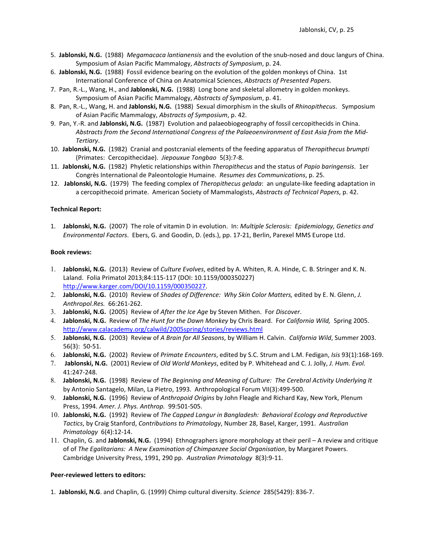- 5. **Jablonski, N.G.** (1988) *Megamacaca lantianensis* and the evolution of the snub-nosed and douc langurs of China. Symposium of Asian Pacific Mammalogy, *Abstracts of Symposium*, p. 24.
- 6. **Jablonski, N.G.** (1988) Fossil evidence bearing on the evolution of the golden monkeys of China. 1st International Conference of China on Anatomical Sciences, *Abstracts of Presented Papers.*
- 7. Pan, R.-L., Wang, H., and **Jablonski, N.G.** (1988) Long bone and skeletal allometry in golden monkeys. Symposium of Asian Pacific Mammalogy, *Abstracts of Symposium*, p. 41.
- 8. Pan, R.-L., Wang, H. and **Jablonski, N.G.** (1988) Sexual dimorphism in the skulls of *Rhinopithecus*. Symposium of Asian Pacific Mammalogy, *Abstracts of Symposium*, p. 42.
- 9. Pan, Y.-R. and **Jablonski, N.G.** (1987) Evolution and palaeobiogeography of fossil cercopithecids in China. *Abstracts from the Second International Congress of the Palaeoenvironment of East Asia from the Mid-Tertiary*.
- 10. **Jablonski, N.G.** (1982) Cranial and postcranial elements of the feeding apparatus of *Theropithecus brumpti* (Primates: Cercopithecidae). *Jiepouxue Tongbao* 5(3):7-8.
- 11. **Jablonski, N.G.** (1982) Phyletic relationships within *Theropithecus* and the status of *Papio baringensis*. 1er Congrès International de Paleontologie Humaine. *Resumes des Communications*, p. 25.
- 12. **Jablonski, N.G.** (1979) The feeding complex of *Theropithecus gelada*: an ungulate-like feeding adaptation in a cercopithecoid primate. American Society of Mammalogists, *Abstracts of Technical Papers*, p. 42.

#### **Technical Report:**

1. **Jablonski, N.G.** (2007) The role of vitamin D in evolution. In: *Multiple Sclerosis: Epidemiology, Genetics and Environmental Factors*. Ebers, G. and Goodin, D. (eds.), pp. 17-21, Berlin, Parexel MMS Europe Ltd.

#### **Book reviews:**

- 1. **Jablonski, N.G.** (2013) Review of *Culture Evolves*, edited by A. Whiten, R. A. Hinde, C. B. Stringer and K. N. Laland. Folia Primatol 2013;84:115-117 (DOI: 10.1159/000350227) [http://www.karger.com/DOI/10.1159/000350227.](http://www.karger.com/DOI/10.1159/000350227)
- 2. **Jablonski, N.G.** (2010) Review of *Shades of Difference: Why Skin Color Matters,* edited by E. N. Glenn, *J. Anthropol.Res.* 66:261-262.
- 3. **Jablonski, N.G.** (2005) Review of *After the Ice Age* by Steven Mithen. For *Discover*.
- 4. **Jablonski, N.G.** Review of *The Hunt for the Dawn Monkey* by Chris Beard. For *California Wild,* Spring 2005. <http://www.calacademy.org/calwild/2005spring/stories/reviews.html>
- 5. **Jablonski, N.G.** (2003) Review of *A Brain for All Seasons*, by William H. Calvin. *California Wild*, Summer 2003. 56(3): 50-51.
- 6. **Jablonski, N.G.** (2002) Review of *Primate Encounters*, edited by S.C. Strum and L.M. Fedigan, *Isis* 93(1):168-169.
- 7. **Jablonski, N.G.** (2001) Review of *Old World Monkeys*, edited by P. Whitehead and C. J. Jolly, *J. Hum. Evol.*  41:247-248.
- 8. **Jablonski, N.G.** (1998) Review of *The Beginning and Meaning of Culture: The Cerebral Activity Underlying It*  by Antonio Santagelo, Milan, La Pietro, 1993. Anthropological Forum VII(3):499-500.
- 9. **Jablonski, N.G.** (1996) Review of *Anthropoid Origins* by John Fleagle and Richard Kay, New York, Plenum Press, 1994. *Amer. J. Phys. Anthrop.* 99:501-505.
- 10. **Jablonski, N.G.** (1992) Review of *The Capped Langur in Bangladesh: Behavioral Ecology and Reproductive Tactics*, by Craig Stanford, *Contributions to Primatology*, Number 28, Basel, Karger, 1991. *Australian Primatology* 6(4):12-14.
- 11. Chaplin, G. and **Jablonski, N.G.** (1994) Ethnographers ignore morphology at their peril A review and critique of of *The Egalitarians: A New Examination of Chimpanzee Social Organisation*, by Margaret Powers. Cambridge University Press, 1991, 290 pp. *Australian Primatology* 8(3):9-11.

### **Peer-reviewed letters to editors:**

1. **Jablonski, N.G**. and Chaplin, G. (1999) Chimp cultural diversity. *Science* 285(5429): 836-7.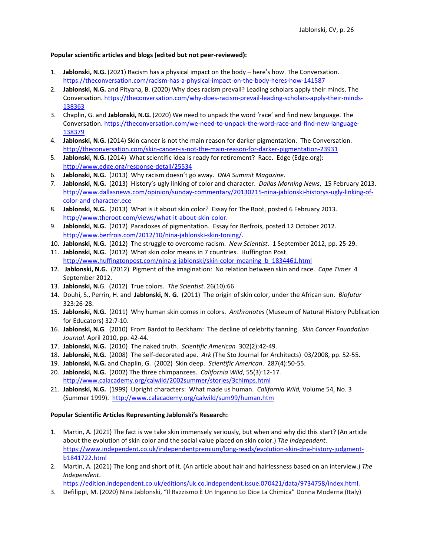## **Popular scientific articles and blogs (edited but not peer-reviewed):**

- 1. **Jablonski, N.G.** (2021) Racism has a physical impact on the body here's how. The Conversation. <https://theconversation.com/racism-has-a-physical-impact-on-the-body-heres-how-141587>
- 2. **Jablonski, N.G.** and Pityana, B. (2020) Why does racism prevail? Leading scholars apply their minds. The Conversation[. https://theconversation.com/why-does-racism-prevail-leading-scholars-apply-their-minds-](https://theconversation.com/why-does-racism-prevail-leading-scholars-apply-their-minds-138363)[138363](https://theconversation.com/why-does-racism-prevail-leading-scholars-apply-their-minds-138363)
- 3. Chaplin, G. and **Jablonski, N.G.** (2020) We need to unpack the word 'race' and find new language. The Conversation[. https://theconversation.com/we-need-to-unpack-the-word-race-and-find-new-language-](https://theconversation.com/we-need-to-unpack-the-word-race-and-find-new-language-138379)[138379](https://theconversation.com/we-need-to-unpack-the-word-race-and-find-new-language-138379)
- 4. **Jablonski, N.G.** (2014) Skin cancer is not the main reason for darker pigmentation. The Conversation. <http://theconversation.com/skin-cancer-is-not-the-main-reason-for-darker-pigmentation-23931>
- 5. **Jablonski, N.G.** (2014) What scientific idea is ready for retirement? Race. Edge (Edge.org): <http://www.edge.org/response-detail/25534>
- 6. **Jablonski, N.G.** (2013) Why racism doesn't go away. *DNA Summit Magazine*.
- 7. **Jablonski, N.G.** (2013) History's ugly linking of color and character. *Dallas Morning News*, 15 February 2013. [http://www.dallasnews.com/opinion/sunday-commentary/20130215-nina-jablonski-historys-ugly-linking-of](http://www.dallasnews.com/opinion/sunday-commentary/20130215-nina-jablonski-historys-ugly-linking-of-color-and-character.ece)[color-and-character.ece](http://www.dallasnews.com/opinion/sunday-commentary/20130215-nina-jablonski-historys-ugly-linking-of-color-and-character.ece)
- 8. **Jablonski, N.G.** (2013) What is it about skin color? Essay for The Root, posted 6 February 2013. [http://www.theroot.com/views/what-it-about-skin-color.](http://www.theroot.com/views/what-it-about-skin-color)
- 9. **Jablonski, N.G.** (2012) Paradoxes of pigmentation. Essay for Berfrois, posted 12 October 2012. [http://www.berfrois.com/2012/10/nina-jablonski-skin-toning/.](http://www.berfrois.com/2012/10/nina-jablonski-skin-toning/)
- 10. **Jablonski, N.G.** (2012) The struggle to overcome racism. *New Scientist*. 1 September 2012, pp. 25-29.
- 11. **Jablonski, N.G.** (2012)What skin color means in 7 countries. Huffington Post. [http://www.huffingtonpost.com/nina-g-jablonski/skin-color-meaning\\_b\\_1834461.html](http://www.huffingtonpost.com/nina-g-jablonski/skin-color-meaning_b_1834461.html)
- 12. **Jablonski, N.G.** (2012) Pigment of the imagination: No relation between skin and race. *Cape Times* 4 September 2012.
- 13. **Jablonski, N.**G. (2012) True colors. *The Scientist*. 26(10):66.
- 14. Douhi, S., Perrin, H. and **Jablonski, N. G**. (2011) The origin of skin color, under the African sun. *Biofutur* 323:26-28.
- 15. **Jablonski, N.G.** (2011) Why human skin comes in colors. *Anthronotes* (Museum of Natural History Publication for Educators) 32:7-10.
- 16. **Jablonski, N.G**. (2010) From Bardot to Beckham: The decline of celebrity tanning. *Skin Cancer Foundation Journal*. April 2010, pp. 42-44.
- 17. **Jablonski, N.G.** (2010) The naked truth. *Scientific American* 302(2):42-49.
- 18. **Jablonski, N.G.** (2008) The self-decorated ape. *Ark* (The Sto Journal for Architects) 03/2008, pp. 52-55.
- 19. **Jablonski, N.G.** and Chaplin, G. (2002) Skin deep. *Scientific American*. 287(4):50-55.
- 20. **Jablonski, N.G.** (2002) The three chimpanzees. *California Wild*, 55(3):12-17. <http://www.calacademy.org/calwild/2002summer/stories/3chimps.html>
- 21. **Jablonski, N.G.** (1999) Upright characters: What made us human. *California Wild,* Volume 54, No. 3 (Summer 1999). <http://www.calacademy.org/calwild/sum99/human.htm>

# **Popular Scientific Articles Representing Jablonski's Research:**

- 1. Martin, A. (2021) The fact is we take skin immensely seriously, but when and why did this start? (An article about the evolution of skin color and the social value placed on skin color.) *The Independent*. [https://www.independent.co.uk/independentpremium/long-reads/evolution-skin-dna-history-judgment](https://www.independent.co.uk/independentpremium/long-reads/evolution-skin-dna-history-judgment-b1841722.html)[b1841722.html](https://www.independent.co.uk/independentpremium/long-reads/evolution-skin-dna-history-judgment-b1841722.html)
- 2. Martin, A. (2021) The long and short of it. (An article about hair and hairlessness based on an interview.) *The Independent*.

[https://edition.independent.co.uk/editions/uk.co.independent.issue.070421/data/9734758/index.html.](https://edition.independent.co.uk/editions/uk.co.independent.issue.070421/data/9734758/index.html)

3. Defilippi, M. (2020) Nina Jablonski, "Il Razzismo È Un Inganno Lo Dice La Chimica" Donna Moderna (Italy)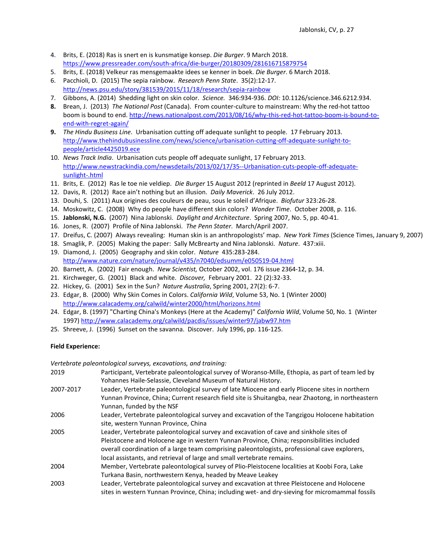- 4. Brits, E. (2018) Ras is snert en is kunsmatige konsep. *Die Burger*. 9 March 2018. <https://www.pressreader.com/south-africa/die-burger/20180309/281616715879754>
- 5. Brits, E. (2018) Velkeur ras mensgemaakte idees se kenner in boek. *Die Burger*. 6 March 2018.
- 6. Pacchioli, D. (2015) The sepia rainbow. *Research Penn State*. 35(2):12-17. <http://news.psu.edu/story/381539/2015/11/18/research/sepia-rainbow>
- 7. Gibbons, A. (2014) Shedding light on skin color. *Science.* 346:934-936. *DOI:* 10.1126/science.346.6212.934.
- **8.** Brean, J. (2013) *The National Post* (Canada). From counter-culture to mainstream: Why the red-hot tattoo boom is bound to end. [http://news.nationalpost.com/2013/08/16/why-this-red-hot-tattoo-boom-is-bound-to](http://news.nationalpost.com/2013/08/16/why-this-red-hot-tattoo-boom-is-bound-to-end-with-regret-again/)[end-with-regret-again/](http://news.nationalpost.com/2013/08/16/why-this-red-hot-tattoo-boom-is-bound-to-end-with-regret-again/)
- **9.** *The Hindu Business Line*. Urbanisation cutting off adequate sunlight to people. 17 February 2013. [http://www.thehindubusinessline.com/news/science/urbanisation-cutting-off-adequate-sunlight-to](http://www.thehindubusinessline.com/news/science/urbanisation-cutting-off-adequate-sunlight-to-people/article4425019.ece)[people/article4425019.ece](http://www.thehindubusinessline.com/news/science/urbanisation-cutting-off-adequate-sunlight-to-people/article4425019.ece)
- 10. *News Track India*. Urbanisation cuts people off adequate sunlight, 17 February 2013. [http://www.newstrackindia.com/newsdetails/2013/02/17/35--Urbanisation-cuts-people-off-adequate](http://www.newstrackindia.com/newsdetails/2013/02/17/35--Urbanisation-cuts-people-off-adequate-sunlight-.html)[sunlight-.html](http://www.newstrackindia.com/newsdetails/2013/02/17/35--Urbanisation-cuts-people-off-adequate-sunlight-.html)
- 11. Brits, E. (2012) Ras le toe nie veldiep. *Die Burger* 15 August 2012 (reprinted in *Beeld* 17 August 2012).
- 12. Davis, R. (2012) Race ain't nothing but an illusion. *Daily Maverick*. 26 July 2012.
- 13. Douhi, S. (2011) Aux origines des couleurs de peau, sous le soleil d'Afrique. *Biofutur* 323:26-28.
- 14. Moskowitz, C. (2008) Why do people have different skin colors? *Wonder Time*. October 2008, p. 116.
- 15. **Jablonski, N.G.** (2007) Nina Jablonski. *Daylight and Architecture*. Spring 2007, No. 5, pp. 40-41.
- 16. Jones, R. (2007) Profile of Nina Jablonski. *The Penn Stater*. March/April 2007.
- 17. Dreifus, C. (2007) Always revealing: Human skin is an anthropologists' map. *New York Times* (Science Times, January 9, 2007)
- 18. Smaglik, P. (2005) Making the paper: Sally McBrearty and Nina Jablonski. *Nature*. 437:xiii.
- 19. Diamond, J. (2005) Geography and skin color. *Nature* 435:283-284. <http://www.nature.com/nature/journal/v435/n7040/edsumm/e050519-04.html>
- 20. Barnett, A. (2002) Fair enough. *New Scientist,* October 2002, vol. 176 issue 2364-12, p. 34.
- 21. Kirchweger, G. (2001) Black and white. *Discover,* February 2001. 22 (2):32-33.
- 22. Hickey, G. (2001) Sex in the Sun? *Nature Australia*, Spring 2001, 27(2): 6-7.
- 23. Edgar, B. (2000) Why Skin Comes in Colors. *California Wild*, Volume 53, No. 1 (Winter 2000) <http://www.calacademy.org/calwild/winter2000/html/horizons.html>
- 24. Edgar, B. (1997) "Charting China's Monkeys (Here at the Academy)" *California Wild*, Volume 50, No. 1 (Winter 1997[\) http://www.calacademy.org/calwild/pacdis/issues/winter97/jabw97.htm](http://www.calacademy.org/calwild/pacdis/issues/winter97/jabw97.htm)
- 25. Shreeve, J. (1996) Sunset on the savanna. Discover. July 1996, pp. 116-125.

### **Field Experience:**

*Vertebrate paleontological surveys, excavations, and training:*

| 2019      | Participant, Vertebrate paleontological survey of Woranso-Mille, Ethopia, as part of team led by<br>Yohannes Haile-Selassie, Cleveland Museum of Natural History.                                                                                                                                                                                              |
|-----------|----------------------------------------------------------------------------------------------------------------------------------------------------------------------------------------------------------------------------------------------------------------------------------------------------------------------------------------------------------------|
| 2007-2017 | Leader, Vertebrate paleontological survey of late Miocene and early Pliocene sites in northern<br>Yunnan Province, China; Current research field site is Shuitangba, near Zhaotong, in northeastern<br>Yunnan, funded by the NSF                                                                                                                               |
| 2006      | Leader, Vertebrate paleontological survey and excavation of the Tangzigou Holocene habitation<br>site, western Yunnan Province, China                                                                                                                                                                                                                          |
| 2005      | Leader, Vertebrate paleontological survey and excavation of cave and sinkhole sites of<br>Pleistocene and Holocene age in western Yunnan Province, China; responsibilities included<br>overall coordination of a large team comprising paleontologists, professional cave explorers,<br>local assistants, and retrieval of large and small vertebrate remains. |
| 2004      | Member, Vertebrate paleontological survey of Plio-Pleistocene localities at Koobi Fora, Lake<br>Turkana Basin, northwestern Kenya, headed by Meave Leakey                                                                                                                                                                                                      |
| 2003      | Leader, Vertebrate paleontological survey and excavation at three Pleistocene and Holocene<br>sites in western Yunnan Province, China; including wet- and dry-sieving for micromammal fossils                                                                                                                                                                  |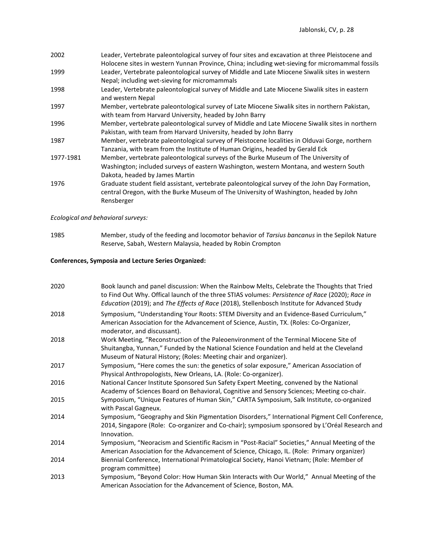| 2002      | Leader, Vertebrate paleontological survey of four sites and excavation at three Pleistocene and |
|-----------|-------------------------------------------------------------------------------------------------|
|           | Holocene sites in western Yunnan Province, China; including wet-sieving for micromammal fossils |
| 1999      | Leader, Vertebrate paleontological survey of Middle and Late Miocene Siwalik sites in western   |
|           | Nepal; including wet-sieving for micromammals                                                   |
| 1998      | Leader, Vertebrate paleontological survey of Middle and Late Miocene Siwalik sites in eastern   |
|           | and western Nepal                                                                               |
| 1997      | Member, vertebrate paleontological survey of Late Miocene Siwalik sites in northern Pakistan,   |
|           | with team from Harvard University, headed by John Barry                                         |
| 1996      | Member, vertebrate paleontological survey of Middle and Late Miocene Siwalik sites in northern  |
|           | Pakistan, with team from Harvard University, headed by John Barry                               |
| 1987      | Member, vertebrate paleontological survey of Pleistocene localities in Olduvai Gorge, northern  |
|           | Tanzania, with team from the Institute of Human Origins, headed by Gerald Eck                   |
| 1977-1981 | Member, vertebrate paleontological surveys of the Burke Museum of The University of             |
|           | Washington; included surveys of eastern Washington, western Montana, and western South          |
|           | Dakota, headed by James Martin                                                                  |
| 1976      | Graduate student field assistant, vertebrate paleontological survey of the John Day Formation,  |
|           | central Oregon, with the Burke Museum of The University of Washington, headed by John           |
|           | Rensberger                                                                                      |
|           |                                                                                                 |

*Ecological and behavioral surveys:*

1985 Member, study of the feeding and locomotor behavior of *Tarsius bancanus* in the Sepilok Nature Reserve, Sabah, Western Malaysia, headed by Robin Crompton

# **Conferences, Symposia and Lecture Series Organized:**

| 2020 | Book launch and panel discussion: When the Rainbow Melts, Celebrate the Thoughts that Tried<br>to Find Out Why. Offical launch of the three STIAS volumes: Persistence of Race (2020); Race in<br>Education (2019); and The Effects of Race (2018), Stellenbosch Institute for Advanced Study |
|------|-----------------------------------------------------------------------------------------------------------------------------------------------------------------------------------------------------------------------------------------------------------------------------------------------|
| 2018 | Symposium, "Understanding Your Roots: STEM Diversity and an Evidence-Based Curriculum,"<br>American Association for the Advancement of Science, Austin, TX. (Roles: Co-Organizer,<br>moderator, and discussant).                                                                              |
| 2018 | Work Meeting, "Reconstruction of the Paleoenvironment of the Terminal Miocene Site of<br>Shuitangba, Yunnan," Funded by the National Science Foundation and held at the Cleveland<br>Museum of Natural History; (Roles: Meeting chair and organizer).                                         |
| 2017 | Symposium, "Here comes the sun: the genetics of solar exposure," American Association of<br>Physical Anthropologists, New Orleans, LA. (Role: Co-organizer).                                                                                                                                  |
| 2016 | National Cancer Institute Sponsored Sun Safety Expert Meeting, convened by the National<br>Academy of Sciences Board on Behavioral, Cognitive and Sensory Sciences; Meeting co-chair.                                                                                                         |
| 2015 | Symposium, "Unique Features of Human Skin," CARTA Symposium, Salk Institute, co-organized<br>with Pascal Gagneux.                                                                                                                                                                             |
| 2014 | Symposium, "Geography and Skin Pigmentation Disorders," International Pigment Cell Conference,<br>2014, Singapore (Role: Co-organizer and Co-chair); symposium sponsored by L'Oréal Research and<br>Innovation.                                                                               |
| 2014 | Symposium, "Neoracism and Scientific Racism in "Post-Racial" Societies," Annual Meeting of the<br>American Association for the Advancement of Science, Chicago, IL. (Role: Primary organizer)                                                                                                 |
| 2014 | Biennial Conference, International Primatological Society, Hanoi Vietnam; (Role: Member of<br>program committee)                                                                                                                                                                              |
| 2013 | Symposium, "Beyond Color: How Human Skin Interacts with Our World," Annual Meeting of the<br>American Association for the Advancement of Science, Boston, MA.                                                                                                                                 |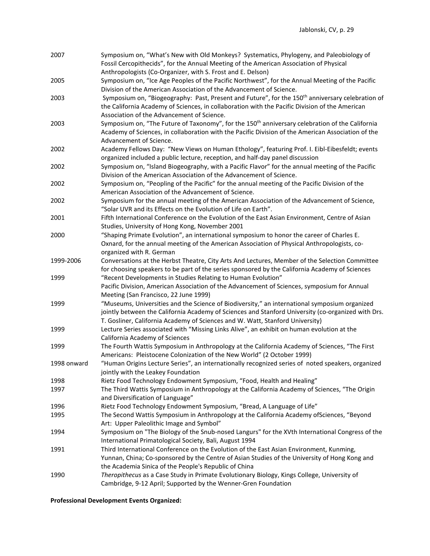| 2007         | Symposium on, "What's New with Old Monkeys? Systematics, Phylogeny, and Paleobiology of<br>Fossil Cercopithecids", for the Annual Meeting of the American Association of Physical<br>Anthropologists (Co-Organizer, with S. Frost and E. Delson) |
|--------------|--------------------------------------------------------------------------------------------------------------------------------------------------------------------------------------------------------------------------------------------------|
|              |                                                                                                                                                                                                                                                  |
| 2005         | Symposium on, "Ice Age Peoples of the Pacific Northwest", for the Annual Meeting of the Pacific<br>Division of the American Association of the Advancement of Science.                                                                           |
| 2003         | Symposium on, "Biogeography: Past, Present and Future", for the 150 <sup>th</sup> anniversary celebration of                                                                                                                                     |
|              | the California Academy of Sciences, in collaboration with the Pacific Division of the American<br>Association of the Advancement of Science.                                                                                                     |
| 2003         | Symposium on, "The Future of Taxonomy", for the 150 <sup>th</sup> anniversary celebration of the California                                                                                                                                      |
|              | Academy of Sciences, in collaboration with the Pacific Division of the American Association of the                                                                                                                                               |
|              | Advancement of Science.                                                                                                                                                                                                                          |
| 2002         | Academy Fellows Day: "New Views on Human Ethology", featuring Prof. I. Eibl-Eibesfeldt; events                                                                                                                                                   |
|              | organized included a public lecture, reception, and half-day panel discussion                                                                                                                                                                    |
| 2002         | Symposium on, "Island Biogeography, with a Pacific Flavor" for the annual meeting of the Pacific<br>Division of the American Association of the Advancement of Science.                                                                          |
| 2002         | Symposium on, "Peopling of the Pacific" for the annual meeting of the Pacific Division of the<br>American Association of the Advancement of Science.                                                                                             |
| 2002         | Symposium for the annual meeting of the American Association of the Advancement of Science,                                                                                                                                                      |
|              | "Solar UVR and its Effects on the Evolution of Life on Earth".                                                                                                                                                                                   |
| 2001         | Fifth International Conference on the Evolution of the East Asian Environment, Centre of Asian                                                                                                                                                   |
|              | Studies, University of Hong Kong, November 2001                                                                                                                                                                                                  |
| 2000         | "Shaping Primate Evolution", an international symposium to honor the career of Charles E.                                                                                                                                                        |
|              | Oxnard, for the annual meeting of the American Association of Physical Anthropologists, co-                                                                                                                                                      |
|              | organized with R. German                                                                                                                                                                                                                         |
| 1999-2006    | Conversations at the Herbst Theatre, City Arts And Lectures, Member of the Selection Committee                                                                                                                                                   |
|              | for choosing speakers to be part of the series sponsored by the California Academy of Sciences                                                                                                                                                   |
| 1999         | "Recent Developments in Studies Relating to Human Evolution"                                                                                                                                                                                     |
|              | Pacific Division, American Association of the Advancement of Sciences, symposium for Annual                                                                                                                                                      |
|              | Meeting (San Francisco, 22 June 1999)                                                                                                                                                                                                            |
| 1999         | "Museums, Universities and the Science of Biodiversity," an international symposium organized                                                                                                                                                    |
|              | jointly between the California Academy of Sciences and Stanford University (co-organized with Drs.                                                                                                                                               |
|              | T. Gosliner, California Academy of Sciences and W. Watt, Stanford University)                                                                                                                                                                    |
| 1999         | Lecture Series associated with "Missing Links Alive", an exhibit on human evolution at the                                                                                                                                                       |
|              | California Academy of Sciences                                                                                                                                                                                                                   |
| 1999         | The Fourth Wattis Symposium in Anthropology at the California Academy of Sciences, "The First                                                                                                                                                    |
|              | Americans: Pleistocene Colonization of the New World" (2 October 1999)                                                                                                                                                                           |
| 1998 onward  | "Human Origins Lecture Series", an internationally recognized series of noted speakers, organized                                                                                                                                                |
|              | jointly with the Leakey Foundation                                                                                                                                                                                                               |
| 1998         | Rietz Food Technology Endowment Symposium, "Food, Health and Healing"                                                                                                                                                                            |
| 1997         | The Third Wattis Symposium in Anthropology at the California Academy of Sciences, "The Origin<br>and Diversification of Language"                                                                                                                |
|              |                                                                                                                                                                                                                                                  |
| 1996<br>1995 | Rietz Food Technology Endowment Symposium, "Bread, A Language of Life"                                                                                                                                                                           |
|              | The Second Wattis Symposium in Anthropology at the California Academy ofSciences, "Beyond                                                                                                                                                        |
|              | Art: Upper Paleolithic Image and Symbol"<br>Symposium on "The Biology of the Snub-nosed Langurs" for the XVth International Congress of the                                                                                                      |
| 1994         | International Primatological Society, Bali, August 1994                                                                                                                                                                                          |
|              | Third International Conference on the Evolution of the East Asian Environment, Kunming,                                                                                                                                                          |
| 1991         | Yunnan, China; Co-sponsored by the Centre of Asian Studies of the University of Hong Kong and                                                                                                                                                    |
|              | the Academia Sinica of the People's Republic of China                                                                                                                                                                                            |
| 1990         | Theropithecus as a Case Study in Primate Evolutionary Biology, Kings College, University of                                                                                                                                                      |
|              | Cambridge, 9-12 April; Supported by the Wenner-Gren Foundation                                                                                                                                                                                   |

**Professional Development Events Organized:**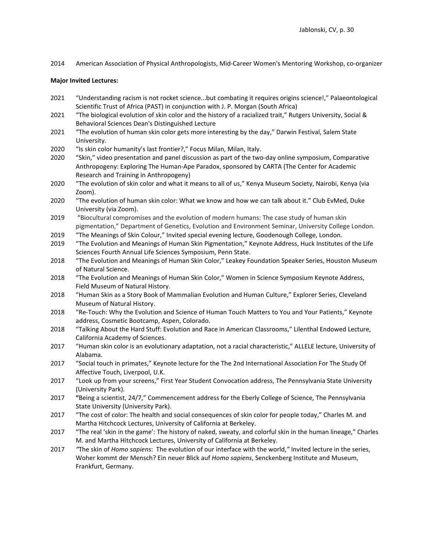2014 American Association of Physical Anthropologists, Mid-Career Women's Mentoring Workshop, co-organizer

#### **Major Invited Lectures:**

- 2021 "Understanding racism is not rocket science...but combating it requires origins science!," Palaeontological Scientific Trust of Africa (PAST) in conjunction with J. P. Morgan (South Africa)
- 2021 "The biological evolution of skin color and the history of a racialized trait," Rutgers University, Social & Behavioral Sciences Dean's Distinguished Lecture
- 2021 "The evolution of human skin color gets more interesting by the day," Darwin Festival, Salem State University.
- 2020 "Is skin color humanity's last frontier?," Focus Milan, Milan, Italy.
- 2020 "Skin," video presentation and panel discussion as part of the two-day online symposium, Comparative Anthropogeny: Exploring The Human-Ape Paradox, sponsored by CARTA (The Center for Academic Research and Training in Anthropogeny)
- 2020 "The evolution of skin color and what it means to all of us," Kenya Museum Society, Nairobi, Kenya (via Zoom).
- 2020 "The evolution of human skin color: What we know and how we can talk about it." Club EvMed, Duke University (via Zoom).
- 2019 "Biocultural compromises and the evolution of modern humans: The case study of human skin pigmentation," Department of Genetics, Evolution and Environment Seminar, University College London.
- 2019 "The Meanings of Skin Colour," Invited special evening lecture, Goodenough College, London.
- 2019 "The Evolution and Meanings of Human Skin Pigmentation," Keynote Address, Huck Institutes of the Life Sciences Fourth Annual Life Sciences Symposium, Penn State.
- 2018 "The Evolution and Meanings of Human Skin Color," Leakey Foundation Speaker Series, Houston Museum of Natural Science.
- 2018 "The Evolution and Meanings of Human Skin Color," Women in Science Symposium Keynote Address, Field Museum of Natural History.
- 2018 "Human Skin as a Story Book of Mammalian Evolution and Human Culture," Explorer Series, Cleveland Museum of Natural History.
- 2018 "Re-Touch: Why the Evolution and Science of Human Touch Matters to You and Your Patients," Keynote address, Cosmetic Bootcamp, Aspen, Colorado.
- 2018 "Talking About the Hard Stuff: Evolution and Race in American Classrooms," Lilenthal Endowed Lecture, California Academy of Sciences.
- 2017 "Human skin color is an evolutionary adaptation, not a racial characteristic," ALLELE lecture, University of Alabama.
- 2017 "Social touch in primates," Keynote lecture for the The 2nd International Association For The Study Of Affective Touch, Liverpool, U.K.
- 2017 "Look up from your screens," First Year Student Convocation address, The Pennsylvania State University (University Park).
- 2017 **"**Being a scientist, 24/7," Commencement address for the Eberly College of Science, The Pennsylvania State University (University Park).
- 2017 "The cost of color: The health and social consequences of skin color for people today," Charles M. and Martha Hitchcock Lectures, University of California at Berkeley.
- 2017 "The real 'skin in the game': The history of naked, sweaty, and colorful skin in the human lineage," Charles M. and Martha Hitchcock Lectures, University of California at Berkeley.
- 2017 *"*The skin of *Homo sapiens*: The evolution of our interface with the world,*"* Invited lecture in the series, Woher kommt der Mensch? Ein neuer Blick auf *Homo sapiens*, Senckenberg Institute and Museum, Frankfurt, Germany.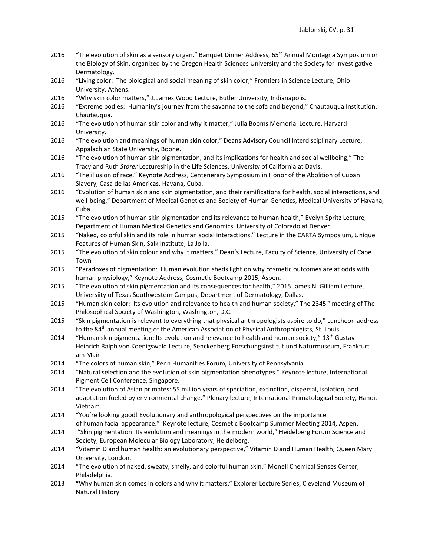- 2016 "The evolution of skin as a sensory organ," Banquet Dinner Address, 65<sup>th</sup> Annual Montagna Symposium on the Biology of Skin, organized by the Oregon Health Sciences University and the Society for Investigative Dermatology.
- 2016 "Living color: The biological and social meaning of skin color," Frontiers in Science Lecture, Ohio University, Athens.
- 2016 "Why skin color matters," J. James Wood Lecture, Butler University, Indianapolis.
- 2016 "Extreme bodies: Humanity's journey from the savanna to the sofa and beyond," Chautauqua Institution, Chautauqua.
- 2016 "The evolution of human skin color and why it matter," Julia Booms Memorial Lecture, Harvard University.
- 2016 "The evolution and meanings of human skin color," Deans Advisory Council Interdisciplinary Lecture, Appalachian State University, Boone.
- 2016 "The evolution of human skin pigmentation, and its implications for health and social wellbeing," The Tracy and Ruth *Storer* Lectureship in the Life Sciences, University of California at Davis.
- 2016 "The illusion of race," Keynote Address, Centenerary Symposium in Honor of the Abolition of Cuban Slavery, Casa de las Americas, Havana, Cuba.
- 2016 "Evolution of human skin and skin pigmentation, and their ramifications for health, social interactions, and well-being," Department of Medical Genetics and Society of Human Genetics, Medical University of Havana, Cuba.
- 2015 "The evolution of human skin pigmentation and its relevance to human health," Evelyn Spritz Lecture, Department of Human Medical Genetics and Genomics, University of Colorado at Denver.
- 2015 "Naked, colorful skin and its role in human social interactions," Lecture in the CARTA Symposium, Unique Features of Human Skin, Salk Institute, La Jolla.
- 2015 "The evolution of skin colour and why it matters," Dean's Lecture, Faculty of Science, University of Cape Town
- 2015 "Paradoxes of pigmentation: Human evolution sheds light on why cosmetic outcomes are at odds with human physiology," Keynote Address, Cosmetic Bootcamp 2015, Aspen.
- 2015 "The evolution of skin pigmentation and its consequences for health," 2015 James N. Gilliam Lecture, Universiity of Texas Southwestern Campus, Department of Dermatology, Dallas.
- 2015 "Human skin color: Its evolution and relevance to health and human society," The 2345<sup>th</sup> meeting of The Philosophical Society of Washington, Washington, D.C.
- 2015 "Skin pigmentation is relevant to everything that physical anthropologists aspire to do," Luncheon address to the 84<sup>th</sup> annual meeting of the American Association of Physical Anthropologists, St. Louis.
- 2014 "Human skin pigmentation: Its evolution and relevance to health and human society,"  $13<sup>th</sup>$  Gustav Heinrich Ralph von Koenigswald Lecture, Senckenberg Forschungsinstitut und Naturmuseum, Frankfurt am Main
- 2014 "The colors of human skin," Penn Humanities Forum, University of Pennsylvania
- 2014 "Natural selection and the evolution of skin pigmentation phenotypes." Keynote lecture, International Pigment Cell Conference, Singapore.
- 2014 "The evolution of Asian primates: 55 million years of speciation, extinction, dispersal, isolation, and adaptation fueled by environmental change." Plenary lecture, International Primatological Society, Hanoi, Vietnam.
- 2014 "You're looking good! Evolutionary and anthropological perspectives on the importance of human facial appearance." Keynote lecture, Cosmetic Bootcamp Summer Meeting 2014, Aspen.
- 2014 "Skin pigmentation: Its evolution and meanings in the modern world," Heidelberg Forum Science and Society, European Molecular Biology Laboratory, Heidelberg.
- 2014 "Vitamin D and human health: an evolutionary perspective," Vitamin D and Human Health, Queen Mary University, London.
- 2014 "The evolution of naked, sweaty, smelly, and colorful human skin," Monell Chemical Senses Center, Philadelphia.
- 2013 **"**Why human skin comes in colors and why it matters," Explorer Lecture Series, Cleveland Museum of Natural History.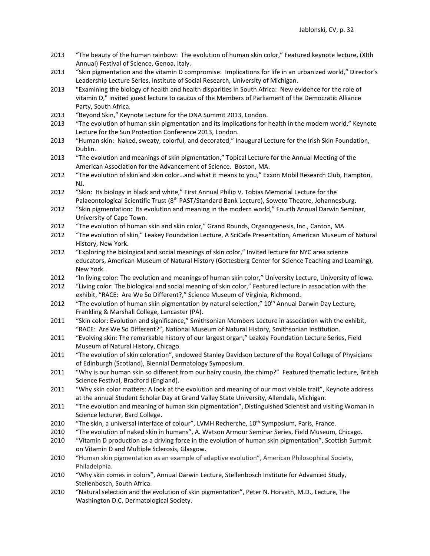- 2013 "The beauty of the human rainbow: The evolution of human skin color," Featured keynote lecture, (XIth Annual) Festival of Science, Genoa, Italy.
- 2013 "Skin pigmentation and the vitamin D compromise: Implications for life in an urbanized world," Director's Leadership Lecture Series, Institute of Social Research, University of Michigan.
- 2013 "Examining the biology of health and health disparities in South Africa: New evidence for the role of vitamin D," invited guest lecture to caucus of the Members of Parliament of the Democratic Alliance Party, South Africa.
- 2013 "Beyond Skin," Keynote Lecture for the DNA Summit 2013, London.
- 2013 "The evolution of human skin pigmentation and its implications for health in the modern world," Keynote Lecture for the Sun Protection Conference 2013, London.
- 2013 "Human skin: Naked, sweaty, colorful, and decorated," Inaugural Lecture for the Irish Skin Foundation, Dublin.
- 2013 "The evolution and meanings of skin pigmentation," Topical Lecture for the Annual Meeting of the American Association for the Advancement of Science. Boston, MA.
- 2012 "The evolution of skin and skin color…and what it means to you," Exxon Mobil Research Club, Hampton, NJ.
- 2012 "Skin: Its biology in black and white," First Annual Philip V. Tobias Memorial Lecture for the Palaeontological Scientific Trust (8th PAST/Standard Bank Lecture), Soweto Theatre, Johannesburg.
- 2012 "Skin pigmentation: Its evolution and meaning in the modern world," Fourth Annual Darwin Seminar, University of Cape Town.
- 2012 "The evolution of human skin and skin color," Grand Rounds, Organogenesis, Inc., Canton, MA.
- 2012 "The evolution of skin," Leakey Foundation Lecture, A SciCafe Presentation, American Museum of Natural History, New York.
- 2012 "Exploring the biological and social meanings of skin color," Invited lecture for NYC area science educators, American Museum of Natural History (Gottesberg Center for Science Teaching and Learning), New York.
- 2012 "In living color: The evolution and meanings of human skin color," University Lecture, University of Iowa.
- 2012 "Living color: The biological and social meaning of skin color," Featured lecture in association with the exhibit, "RACE: Are We So Different?," Science Museum of Virginia, Richmond.
- 2012 "The evolution of human skin pigmentation by natural selection," 10<sup>th</sup> Annual Darwin Day Lecture, Frankling & Marshall College, Lancaster (PA).
- 2011 "Skin color: Evolution and significance," Smithsonian Members Lecture in association with the exhibit, "RACE: Are We So Different?", National Museum of Natural History, Smithsonian Institution.
- 2011 "Evolving skin: The remarkable history of our largest organ," Leakey Foundation Lecture Series, Field Museum of Natural History, Chicago.
- 2011 "The evolution of skin coloration", endowed Stanley Davidson Lecture of the Royal College of Physicians of Edinburgh (Scotland), Biennial Dermatology Symposium.
- 2011 "Why is our human skin so different from our hairy cousin, the chimp?" Featured thematic lecture, British Science Festival, Bradford (England).
- 2011 "Why skin color matters: A look at the evolution and meaning of our most visible trait", Keynote address at the annual Student Scholar Day at Grand Valley State University, Allendale, Michigan.
- 2011 "The evolution and meaning of human skin pigmentation", Distinguished Scientist and visiting Woman in Science lecturer, Bard College.
- 2010 "The skin, a universal interface of colour", LVMH Recherche, 10<sup>th</sup> Symposium, Paris, France.
- 2010 "The evolution of naked skin in humans", A. Watson Armour Seminar Series, Field Museum, Chicago.
- 2010 "Vitamin D production as a driving force in the evolution of human skin pigmentation", Scottish Summit on Vitamin D and Multiple Sclerosis, Glasgow.
- 2010 "Human skin pigmentation as an example of adaptive evolution", American Philosophical Society, Philadelphia.
- 2010 "Why skin comes in colors", Annual Darwin Lecture, Stellenbosch Institute for Advanced Study, Stellenbosch, South Africa.
- 2010 "Natural selection and the evolution of skin pigmentation", Peter N. Horvath, M.D., Lecture, The Washington D.C. Dermatological Society.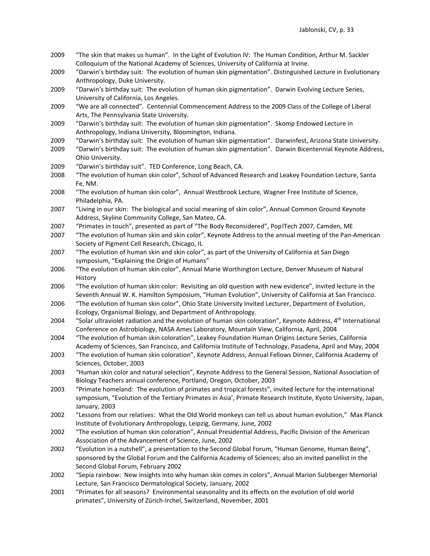- 2009 "The skin that makes us human". In the Light of Evolution IV: The Human Condition, Arthur M. Sackler Colloquium of the National Academy of Sciences, University of California at Irvine.
- 2009 "Darwin's birthday suit: The evolution of human skin pigmentation". Distinguished Lecture in Evolutionary Anthropology, Duke University.
- 2009 "Darwin's birthday suit: The evolution of human skin pigmentation". Darwin Evolving Lecture Series, University of California, Los Angeles.
- 2009 "We are all connected". Centennial Commencement Address to the 2009 Class of the College of Liberal Arts, The Pennsylvania State University.
- 2009 "Darwin's birthday suit: The evolution of human skin pigmentation". Skomp Endowed Lecture in Anthropology, Indiana University, Bloomington, Indiana.
- 2009 "Darwin's birthday suit: The evolution of human skin pigmentation". Darwinfest, Arizona State University.
- 2009 "Darwin's birthday suit: The evolution of human skin pigmentation". Darwin Bicentennial Keynote Address, Ohio University.
- 2009 "Darwin's birthday suit". TED Conference, Long Beach, CA.
- 2008 "The evolution of human skin color", School of Advanced Research and Leakey Foundation Lecture, Santa Fe, NM.
- 2008 "The evolution of human skin color", Annual Westbrook Lecture, Wagner Free Institute of Science, Philadelphia, PA.
- 2007 "Living in our skin: The biological and social meaning of skin color", Annual Common Ground Keynote Address, Skyline Community College, San Mateo, CA.
- 2007 "Primates in touch", presented as part of "The Body Reconsidered", Pop!Tech 2007, Camden, ME
- 2007 "The evolution of human skin and skin color", Keynote Address to the annual meeting of the Pan-American Society of Pigment Cell Research, Chicago, IL
- 2007 "The evolution of human skin and skin color", as part of the University of California at San Diego symposium, "Explaining the Origin of Humans"
- 2006 "The evolution of human skin color", Annual Marie Worthington Lecture, Denver Museum of Natural History
- 2006 "The evolution of human skin color: Revisiting an old question with new evidence", invited lecture in the Seventh Annual W. K. Hamilton Symposium, "Human Evolution", University of California at San Francisco.
- 2006 "The evolution of human skin color", Ohio State University Invited Lecturer, Department of Evolution, Ecology, Organismal Biology, and Department of Anthropology.
- 2004 "Solar ultraviolet radiation and the evolution of human skin coloration", Keynote Address,  $4<sup>th</sup>$  International Conference on Astrobiology, NASA Ames Laboratory, Mountain View, California, April, 2004
- 2004 "The evolution of human skin coloration", Leakey Foundation Human Origins Lecture Series, California Academy of Sciences, San Francisco, and California Institute of Technology, Pasadena, April and May, 2004
- 2003 "The evolution of human skin coloration", Keynote Address, Annual Fellows Dinner, California Academy of Sciences, October, 2003
- 2003 "Human skin color and natural selection", Keynote Address to the General Session, National Association of Biology Teachers annual conference, Portland, Oregon, October, 2003
- 2003 "Primate homeland: The evolution of primates and tropical forests", invited lecture for the international symposium, "Evolution of the Tertiary Primates in Asia', Primate Research Institute, Kyoto University, Japan, January, 2003
- 2002 "Lessons from our relatives: What the Old World monkeys can tell us about human evolution," Max Planck Institute of Evolutionary Anthropology, Leipzig, Germany, June, 2002
- 2002 "The evolution of human skin coloration", Annual Presidential Address, Pacific Division of the American Association of the Advancement of Science, June, 2002
- 2002 "Evolution in a nutshell", a presentation to the Second Global Forum, "Human Genome, Human Being", sponsored by the Global Forum and the California Academy of Sciences; also an invited panellist in the Second Global Forum, February 2002
- 2002 "Sepia rainbow: New insights into why human skin comes in colors", Annual Marion Sulzberger Memorial Lecture, San Francisco Dermatological Society, January, 2002
- 2001 "Primates for all seasons? Environmental seasonality and its effects on the evolution of old world primates", University of Zürich-Irchel, Switzerland, November, 2001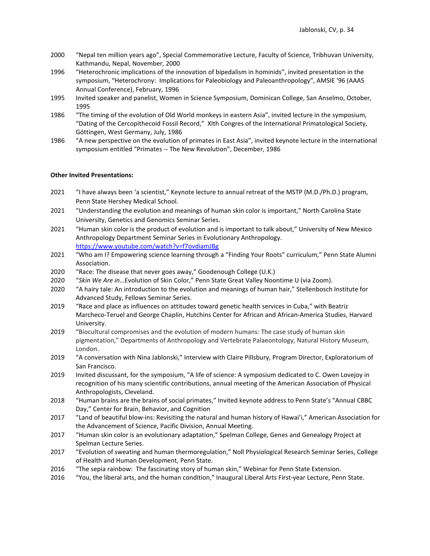- 2000 "Nepal ten million years ago", Special Commemorative Lecture, Faculty of Science, Tribhuvan University, Kathmandu, Nepal, November, 2000
- 1996 "Heterochronic implications of the innovation of bipedalism in hominids", invited presentation in the symposium, "Heterochrony: Implications for Paleobiology and Paleoanthropology", AMSIE '96 (AAAS Annual Conference), February, 1996
- 1995 Invited speaker and panelist, Women in Science Symposium, Dominican College, San Anselmo, October, 1995
- 1986 "The timing of the evolution of Old World monkeys in eastern Asia", invited lecture in the symposium, "Dating of the Cercopithecoid Fossil Record," XIth Congres of the International Primatological Society, Göttingen, West Germany, July, 1986
- 1986 "A new perspective on the evolution of primates in East Asia", invited keynote lecture in the international symposium entitled "Primates -- The New Revolution", December, 1986

#### **Other Invited Presentations:**

- 2021 "I have always been 'a scientist," Keynote lecture to annual retreat of the MSTP (M.D./Ph.D.) program, Penn State Hershey Medical School.
- 2021 "Understanding the evolution and meanings of human skin color is important," North Carolina State University, Genetics and Genomics Seminar Series.
- 2021 "Human skin color is the product of evolution and is important to talk about," University of New Mexico Anthropology Department Seminar Series in Evolutionary Anthropology. <https://www.youtube.com/watch?v=f7ovdiamJBg>
- 2021 ["Who am I? Empowering science learning through a "Finding Your Roots" curriculum,](https://nam10.safelinks.protection.outlook.com/?url=http%3A%2F%2Femclick.imodules.com%2Fls%2Fclick%3Fupn%3DPiZohG0f9QyQWEQk70KI0T0DL9FX6hDCQco-2FjQiv3PWa3fC81GncA1Mp-2B7-2FElPGxbUQi53PfiY2YwCht5M-2BPBMgo5CA-2BYnu5G-2BLoG8Q1jXLER0xy0LkiTCG7l4tE1kiU729l0jflw-2B4ef-2F6fee5pDA-3D-3Dhf_N_21hS0ZZkj-2FziXA8E19jvUehQK7ExG7zsdHf-2FktR1GSXGQf-2F4GjT6EOLaL8LJqu09mQZhFdEqsHzKRBAzMSMze-2FJOllckZGLazv9N5sqLmc-2Bb3VFJ97-2FfdyQ3kKPwPJOjQEOShlM5frW4de4bxivB-2F93vepSHkroKXeqkOXrkEmnB5SDECgpquY8Vg-2BlPzphyXGppBQyGAMk4kn2rc4LRRJVN5StSm5GVnsrHvVz-2FBGIv7LZX1OmAz-2FjbFI-2B0k5MqUEvOqUl4QL5aak3CATDCtnBOtmq1h8zglF-2FT6ayqCtZVJADDGwfl7p4ZJhXFNAq5S5EBkh24TgZ-2BjezZIJcWPDVXSlqi9gEx6O0g2yB5thUUv-2FhQBe-2FQqsdRgAkm-2BI1tpM7pRwdnQ56Lru2Rs4aR5crkFBt2Xjl9p1yMU6Yc0sQ4b1gMIj57FpnDQa2E8nJ0tV9oQRWgelZ50bvGYi29jlGzPwTneP-2FpboW5KVwclT0-3D&data=04%7C01%7Cngj2%40psu.edu%7Cc1ac72e7df5640d1780608d8b1060a2f%7C7cf48d453ddb4389a9c1c115526eb52e%7C0%7C0%7C637453986801310139%7CUnknown%7CTWFpbGZsb3d8eyJWIjoiMC4wLjAwMDAiLCJQIjoiV2luMzIiLCJBTiI6Ik1haWwiLCJXVCI6Mn0%3D%7C1000&sdata=FxGUUIMaIi9oiDxivu6wfrZ%2BV7UcGrE3%2FhhtPGCneuY%3D&reserved=0)" Penn State Alumni Association.
- 2020 "Race: The disease that never goes away," Goodenough College (U.K.)
- 2020 "*Skin We Are in…*Evolution of Skin Color," Penn State Great Valley Noontime U (via Zoom).
- 2020 "A hairy tale: An introduction to the evolution and meanings of human hair," Stellenbosch Institute for Advanced Study, Fellows Seminar Series.
- 2019 "Race and place as influences on attitudes toward genetic health services in Cuba," with Beatriz Marcheco-Teruel and George Chaplin, Hutchins Center for African and African-America Studies, Harvard University.
- 2019 "Biocultural compromises and the evolution of modern humans: The case study of human skin pigmentation," Departments of Anthropology and Vertebrate Palaeontology, Natural History Museum, London.
- 2019 "A conversation with Nina Jablonski," Interview with Claire Pillsbury, Program Director, Exploratorium of San Francisco.
- 2019 Invited discussant, for the symposium, "A life of science: A symposium dedicated to C. Owen Lovejoy in recognition of his many scientific contributions, annual meeting of the American Association of Physical Anthropologists, Cleveland.
- 2018 "Human brains are the brains of social primates," Invited keynote address to Penn State's "Annual CBBC Day," Center for Brain, Behavior, and Cognition
- 2017 "Land of beautiful blow-ins: Revisiting the natural and human history of Hawai'i," American Association for the Advancement of Science, Pacific Division, Annual Meeting.
- 2017 "Human skin color is an evolutionary adaptation," Spelman College, Genes and Genealogy Project at Spelman Lecture Series.
- 2017 "Evolution of sweating and human thermoregulation," Noll Physiological Research Seminar Series, College of Health and Human Development, Penn State.
- 2016 "The sepia rainbow: The fascinating story of human skin," Webinar for Penn State Extension.
- 2016 "You, the liberal arts, and the human condition," Inaugural Liberal Arts First-year Lecture, Penn State.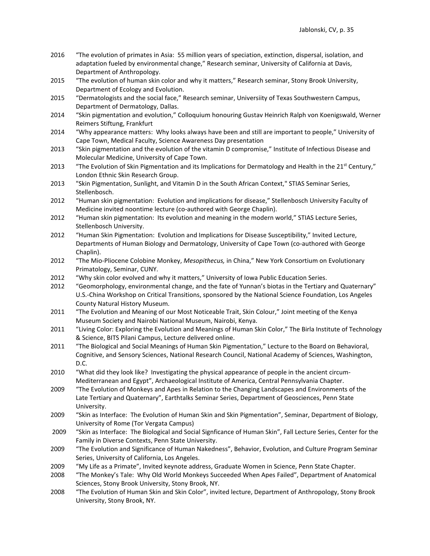- 2016 "The evolution of primates in Asia: 55 million years of speciation, extinction, dispersal, isolation, and adaptation fueled by environmental change," Research seminar, University of California at Davis, Department of Anthropology.
- 2015 "The evolution of human skin color and why it matters," Research seminar, Stony Brook University, Department of Ecology and Evolution.
- 2015 "Dermatologists and the social face," Research seminar, Universiity of Texas Southwestern Campus, Department of Dermatology, Dallas.
- 2014 "Skin pigmentation and evolution," Colloquium honouring Gustav Heinrich Ralph von Koenigswald, Werner Reimers Stiftung, Frankfurt
- 2014 "Why appearance matters: Why looks always have been and still are important to people," University of Cape Town, Medical Faculty, Science Awareness Day presentation
- 2013 "Skin pigmentation and the evolution of the vitamin D compromise," Institute of Infectious Disease and Molecular Medicine, University of Cape Town.
- 2013 "The Evolution of Skin Pigmentation and its Implications for Dermatology and Health in the 21<sup>st</sup> Century," London Ethnic Skin Research Group.
- 2013 "Skin Pigmentation, Sunlight, and Vitamin D in the South African Context," STIAS Seminar Series, Stellenbosch.
- 2012 "Human skin pigmentation: Evolution and implications for disease," Stellenbosch University Faculty of Medicine invited noontime lecture (co-authored with George Chaplin).
- 2012 "Human skin pigmentation: Its evolution and meaning in the modern world," STIAS Lecture Series, Stellenbosch University.
- 2012 "Human Skin Pigmentation: Evolution and Implications for Disease Susceptibility," Invited Lecture, Departments of Human Biology and Dermatology, University of Cape Town (co-authored with George Chaplin).
- 2012 "The Mio-Pliocene Colobine Monkey, *Mesopithecus,* in China," New York Consortium on Evolutionary Primatology, Seminar, CUNY.
- 2012 "Why skin color evolved and why it matters," University of Iowa Public Education Series.
- 2012 "Geomorphology, environmental change, and the fate of Yunnan's biotas in the Tertiary and Quaternary" U.S.-China Workshop on Critical Transitions, sponsored by the National Science Foundation, Los Angeles County Natural History Museum.
- 2011 "The Evolution and Meaning of our Most Noticeable Trait, Skin Colour," Joint meeting of the Kenya Museum Society and Nairobi National Museum, Nairobi, Kenya.
- 2011 "Living Color: Exploring the Evolution and Meanings of Human Skin Color," The Birla Institute of Technology & Science, BITS Pilani Campus, Lecture delivered online.
- 2011 "The Biological and Social Meanings of Human Skin Pigmentation," Lecture to the Board on Behavioral, Cognitive, and Sensory Sciences, National Research Council, National Academy of Sciences, Washington, D.C.
- 2010 "What did they look like? Investigating the physical appearance of people in the ancient circum-Mediterranean and Egypt", Archaeological Institute of America, Central Pennsylvania Chapter.
- 2009 "The Evolution of Monkeys and Apes in Relation to the Changing Landscapes and Environments of the Late Tertiary and Quaternary", Earthtalks Seminar Series, Department of Geosciences, Penn State University.
- 2009 "Skin as Interface: The Evolution of Human Skin and Skin Pigmentation", Seminar, Department of Biology, University of Rome (Tor Vergata Campus)
- 2009 "Skin as Interface: The Biological and Social Signficance of Human Skin", Fall Lecture Series, Center for the Family in Diverse Contexts, Penn State University.
- 2009 "The Evolution and Significance of Human Nakedness", Behavior, Evolution, and Culture Program Seminar Series, University of California, Los Angeles.
- 2009 "My Life as a Primate", Invited keynote address, Graduate Women in Science, Penn State Chapter.
- 2008 "The Monkey's Tale: Why Old World Monkeys Succeeded When Apes Failed", Department of Anatomical Sciences, Stony Brook University, Stony Brook, NY.
- 2008 "The Evolution of Human Skin and Skin Color", invited lecture, Department of Anthropology, Stony Brook University, Stony Brook, NY.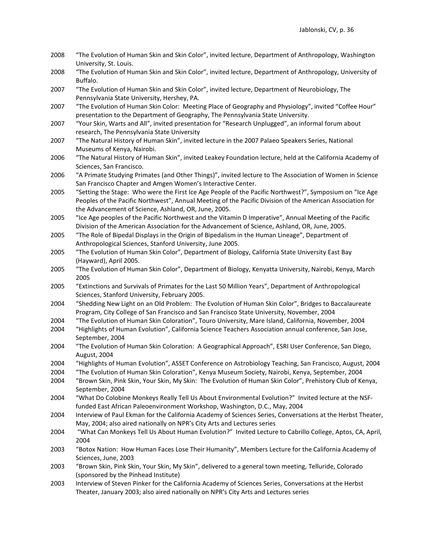- 2008 "The Evolution of Human Skin and Skin Color", invited lecture, Department of Anthropology, Washington University, St. Louis.
- 2008 "The Evolution of Human Skin and Skin Color", invited lecture, Department of Anthropology, University of Buffalo.
- 2007 "The Evolution of Human Skin and Skin Color", invited lecture, Department of Neurobiology, The Pennsylvania State University, Hershey, PA.
- 2007 "The Evolution of Human Skin Color: Meeting Place of Geography and Physiology", invited "Coffee Hour" presentation to the Department of Geography, The Pennsylvania State University.
- 2007 "Your Skin, Warts and All", invited presentation for "Research Unplugged", an informal forum about research, The Pennsylvania State University
- 2007 "The Natural History of Human Skin", invited lecture in the 2007 Palaeo Speakers Series, National Museums of Kenya, Nairobi.
- 2006 "The Natural History of Human Skin", invited Leakey Foundation lecture, held at the California Academy of Sciences, San Francisco.
- 2006 "A Primate Studying Primates (and Other Things)", invited lecture to The Association of Women in Science San Francisco Chapter and Amgen Women's Interactive Center.
- 2005 "Setting the Stage: Who were the First Ice Age People of the Pacific Northwest?", Symposium on "Ice Age Peoples of the Pacific Northwest", Annual Meeting of the Pacific Division of the American Association for the Advancement of Science, Ashland, OR, June, 2005.
- 2005 "Ice Age peoples of the Pacific Northwest and the Vitamin D Imperative", Annual Meeting of the Pacific Division of the American Association for the Advancement of Science, Ashland, OR, June, 2005.
- 2005 "The Role of Bipedal Displays in the Origin of Bipedalism in the Human Lineage", Department of Anthropological Sciences, Stanford University, June 2005.
- 2005 "The Evolution of Human Skin Color", Department of Biology, California State University East Bay (Hayward), April 2005.
- 2005 "The Evolution of Human Skin Color", Department of Biology, Kenyatta University, Nairobi, Kenya, March 2005
- 2005 "Extinctions and Survivals of Primates for the Last 50 Million Years", Department of Anthropological Sciences, Stanford University, February 2005.
- 2004 "Shedding New Light on an Old Problem: The Evolution of Human Skin Color", Bridges to Baccalaureate Program, City College of San Francisco and San Francisco State University, November, 2004
- 2004 "The Evolution of Human Skin Coloration", Touro University, Mare Island, California, November, 2004 2004 "Highlights of Human Evolution", California Science Teachers Association annual conference, San Jose,
- September, 2004 2004 "The Evolution of Human Skin Coloration: A Geographical Approach", ESRI User Conference, San Diego, August, 2004
- 2004 "Highlights of Human Evolution", ASSET Conference on Astrobiology Teaching, San Francisco, August, 2004
- 2004 "The Evolution of Human Skin Coloration", Kenya Museum Society, Nairobi, Kenya, September, 2004
- 2004 "Brown Skin, Pink Skin, Your Skin, My Skin: The Evolution of Human Skin Color", Prehistory Club of Kenya, September, 2004
- 2004 "What Do Colobine Monkeys Really Tell Us About Environmental Evolution?" Invited lecture at the NSFfunded East African Paleoenvironment Workshop, Washington, D.C., May, 2004
- 2004 Interview of Paul Ekman for the California Academy of Sciences Series, Conversations at the Herbst Theater, May, 2004; also aired nationally on NPR's City Arts and Lectures series
- 2004 "What Can Monkeys Tell Us About Human Evolution?" Invited Lecture to Cabrillo College, Aptos, CA, April, 2004
- 2003 "Botox Nation: How Human Faces Lose Their Humanity", Members Lecture for the California Academy of Sciences, June, 2003
- 2003 "Brown Skin, Pink Skin, Your Skin, My Skin", delivered to a general town meeting, Telluride, Colorado (sponsored by the Pinhead Institute)
- 2003 Interview of Steven Pinker for the California Academy of Sciences Series, Conversations at the Herbst Theater, January 2003; also aired nationally on NPR's City Arts and Lectures series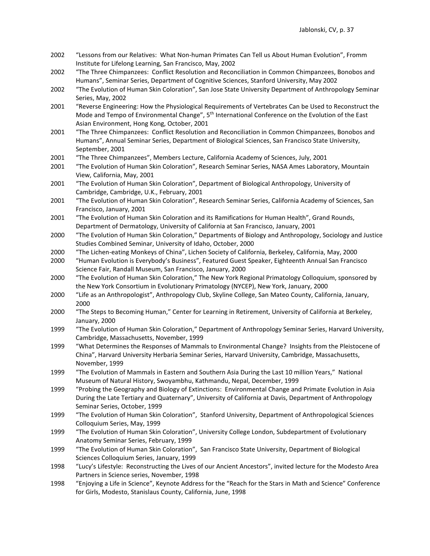- 2002 "Lessons from our Relatives: What Non-human Primates Can Tell us About Human Evolution", Fromm Institute for Lifelong Learning, San Francisco, May, 2002
- 2002 "The Three Chimpanzees: Conflict Resolution and Reconciliation in Common Chimpanzees, Bonobos and Humans", Seminar Series, Department of Cognitive Sciences, Stanford University, May 2002
- 2002 "The Evolution of Human Skin Coloration", San Jose State University Department of Anthropology Seminar Series, May, 2002
- 2001 "Reverse Engineering: How the Physiological Requirements of Vertebrates Can be Used to Reconstruct the Mode and Tempo of Environmental Change", 5<sup>th</sup> International Conference on the Evolution of the East Asian Environment, Hong Kong, October, 2001
- 2001 "The Three Chimpanzees: Conflict Resolution and Reconciliation in Common Chimpanzees, Bonobos and Humans", Annual Seminar Series, Department of Biological Sciences, San Francisco State University, September, 2001
- 2001 "The Three Chimpanzees", Members Lecture, California Academy of Sciences, July, 2001
- 2001 "The Evolution of Human Skin Coloration", Research Seminar Series, NASA Ames Laboratory, Mountain View, California, May, 2001
- 2001 "The Evolution of Human Skin Coloration", Department of Biological Anthropology, University of Cambridge, Cambridge, U.K., February, 2001
- 2001 "The Evolution of Human Skin Coloration", Research Seminar Series, California Academy of Sciences, San Francisco, January, 2001
- 2001 "The Evolution of Human Skin Coloration and its Ramifications for Human Health", Grand Rounds, Department of Dermatology, University of California at San Francisco, January, 2001
- 2000 "The Evolution of Human Skin Coloration," Departments of Biology and Anthropology, Sociology and Justice Studies Combined Seminar, University of Idaho, October, 2000
- 2000 "The Lichen-eating Monkeys of China", Lichen Society of California, Berkeley, California, May, 2000
- 2000 "Human Evolution is Everybody's Business", Featured Guest Speaker, Eighteenth Annual San Francisco Science Fair, Randall Museum, San Francisco, January, 2000
- 2000 "The Evolution of Human Skin Coloration," The New York Regional Primatology Colloquium, sponsored by the New York Consortium in Evolutionary Primatology (NYCEP), New York, January, 2000
- 2000 "Life as an Anthropologist", Anthropology Club, Skyline College, San Mateo County, California, January, 2000
- 2000 "The Steps to Becoming Human," Center for Learning in Retirement, University of California at Berkeley, January, 2000
- 1999 "The Evolution of Human Skin Coloration," Department of Anthropology Seminar Series, Harvard University, Cambridge, Massachusetts, November, 1999
- 1999 "What Determines the Responses of Mammals to Environmental Change? Insights from the Pleistocene of China", Harvard University Herbaria Seminar Series, Harvard University, Cambridge, Massachusetts, November, 1999
- 1999 "The Evolution of Mammals in Eastern and Southern Asia During the Last 10 million Years," National Museum of Natural History, Swoyambhu, Kathmandu, Nepal, December, 1999
- 1999 "Probing the Geography and Biology of Extinctions: Environmental Change and Primate Evolution in Asia During the Late Tertiary and Quaternary", University of California at Davis, Department of Anthropology Seminar Series, October, 1999
- 1999 "The Evolution of Human Skin Coloration", Stanford University, Department of Anthropological Sciences Colloquium Series, May, 1999
- 1999 "The Evolution of Human Skin Coloration", University College London, Subdepartment of Evolutionary Anatomy Seminar Series, February, 1999
- 1999 "The Evolution of Human Skin Coloration", San Francisco State University, Department of Biological Sciences Colloquium Series, January, 1999
- 1998 "Lucy's Lifestyle: Reconstructing the Lives of our Ancient Ancestors", invited lecture for the Modesto Area Partners in Science series, November, 1998
- 1998 "Enjoying a Life in Science", Keynote Address for the "Reach for the Stars in Math and Science" Conference for Girls, Modesto, Stanislaus County, California, June, 1998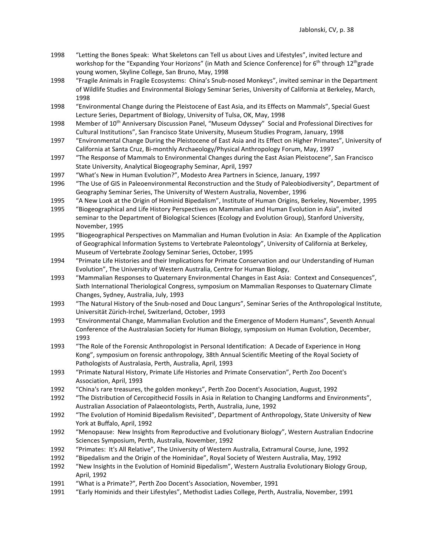- 1998 "Letting the Bones Speak: What Skeletons can Tell us about Lives and Lifestyles", invited lecture and workshop for the "Expanding Your Horizons" (in Math and Science Conference) for 6<sup>th</sup> through 12<sup>th</sup>grade young women, Skyline College, San Bruno, May, 1998
- 1998 "Fragile Animals in Fragile Ecosystems: China's Snub-nosed Monkeys", invited seminar in the Department of Wildlife Studies and Environmental Biology Seminar Series, University of California at Berkeley, March, 1998
- 1998 "Environmental Change during the Pleistocene of East Asia, and its Effects on Mammals", Special Guest Lecture Series, Department of Biology, University of Tulsa, OK, May, 1998
- 1998 Member of 10<sup>th</sup> Anniversary Discussion Panel, "Museum Odyssey" Social and Professional Directives for Cultural Institutions", San Francisco State University, Museum Studies Program, January, 1998
- 1997 "Environmental Change During the Pleistocene of East Asia and its Effect on Higher Primates", University of California at Santa Cruz, Bi-monthly Archaeology/Physical Anthropology Forum, May, 1997
- 1997 "The Response of Mammals to Environmental Changes during the East Asian Pleistocene", San Francisco State University, Analytical Biogeography Seminar, April, 1997
- 1997 "What's New in Human Evolution?", Modesto Area Partners in Science, January, 1997
- 1996 "The Use of GIS in Paleoenvironmental Reconstruction and the Study of Paleobiodiversity", Department of Geography Seminar Series, The University of Western Australia, November, 1996
- 1995 "A New Look at the Origin of Hominid Bipedalism", Institute of Human Origins, Berkeley, November, 1995
- 1995 "Biogeographical and Life History Perspectives on Mammalian and Human Evolution in Asia", invited seminar to the Department of Biological Sciences (Ecology and Evolution Group), Stanford University, November, 1995
- 1995 "Biogeographical Perspectives on Mammalian and Human Evolution in Asia: An Example of the Application of Geographical Information Systems to Vertebrate Paleontology", University of California at Berkeley, Museum of Vertebrate Zoology Seminar Series, October, 1995
- 1994 "Primate Life Histories and their Implications for Primate Conservation and our Understanding of Human Evolution", The University of Western Australia, Centre for Human Biology,
- 1993 "Mammalian Responses to Quaternary Environmental Changes in East Asia: Context and Consequences", Sixth International Theriological Congress, symposium on Mammalian Responses to Quaternary Climate Changes, Sydney, Australia, July, 1993
- 1993 "The Natural History of the Snub-nosed and Douc Langurs", Seminar Series of the Anthropological Institute, Universität Zürich-Irchel, Switzerland, October, 1993
- 1993 "Environmental Change, Mammalian Evolution and the Emergence of Modern Humans", Seventh Annual Conference of the Australasian Society for Human Biology, symposium on Human Evolution, December, 1993
- 1993 "The Role of the Forensic Anthropologist in Personal Identification: A Decade of Experience in Hong Kong", symposium on forensic anthropology, 38th Annual Scientific Meeting of the Royal Society of Pathologists of Australasia, Perth, Australia, April, 1993
- 1993 "Primate Natural History, Primate Life Histories and Primate Conservation", Perth Zoo Docent's Association, April, 1993
- 1992 "China's rare treasures, the golden monkeys", Perth Zoo Docent's Association, August, 1992
- 1992 "The Distribution of Cercopithecid Fossils in Asia in Relation to Changing Landforms and Environments", Australian Association of Palaeontologists, Perth, Australia, June, 1992
- 1992 "The Evolution of Hominid Bipedalism Revisited", Department of Anthropology, State University of New York at Buffalo, April, 1992
- 1992 "Menopause: New Insights from Reproductive and Evolutionary Biology", Western Australian Endocrine Sciences Symposium, Perth, Australia, November, 1992
- 1992 "Primates: It's All Relative", The University of Western Australia, Extramural Course, June, 1992
- 1992 "Bipedalism and the Origin of the Hominidae", Royal Society of Western Australia, May, 1992
- 1992 "New Insights in the Evolution of Hominid Bipedalism", Western Australia Evolutionary Biology Group, April, 1992
- 1991 "What is a Primate?", Perth Zoo Docent's Association, November, 1991
- 1991 "Early Hominids and their Lifestyles", Methodist Ladies College, Perth, Australia, November, 1991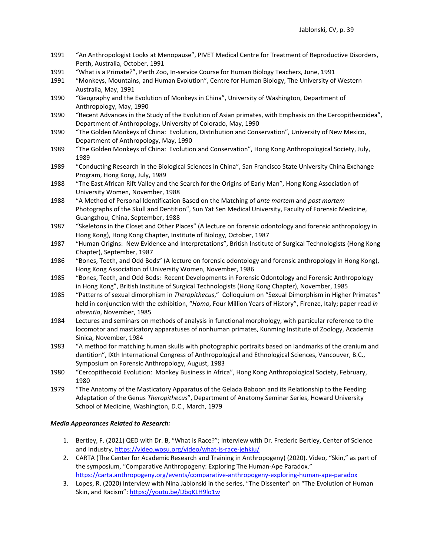- 1991 "An Anthropologist Looks at Menopause", PIVET Medical Centre for Treatment of Reproductive Disorders, Perth, Australia, October, 1991
- 1991 "What is a Primate?", Perth Zoo, In-service Course for Human Biology Teachers, June, 1991
- 1991 "Monkeys, Mountains, and Human Evolution", Centre for Human Biology, The University of Western Australia, May, 1991
- 1990 "Geography and the Evolution of Monkeys in China", University of Washington, Department of Anthropology, May, 1990
- 1990 "Recent Advances in the Study of the Evolution of Asian primates, with Emphasis on the Cercopithecoidea", Department of Anthropology, University of Colorado, May, 1990
- 1990 "The Golden Monkeys of China: Evolution, Distribution and Conservation", University of New Mexico, Department of Anthropology, May, 1990
- 1989 "The Golden Monkeys of China: Evolution and Conservation", Hong Kong Anthropological Society, July, 1989
- 1989 "Conducting Research in the Biological Sciences in China", San Francisco State University China Exchange Program, Hong Kong, July, 1989
- 1988 "The East African Rift Valley and the Search for the Origins of Early Man", Hong Kong Association of University Women, November, 1988
- 1988 "A Method of Personal Identification Based on the Matching of *ante mortem* and *post mortem* Photographs of the Skull and Dentition", Sun Yat Sen Medical University, Faculty of Forensic Medicine, Guangzhou, China, September, 1988
- 1987 "Skeletons in the Closet and Other Places" (A lecture on forensic odontology and forensic anthropology in Hong Kong), Hong Kong Chapter, Institute of Biology, October, 1987
- 1987 "Human Origins: New Evidence and Interpretations", British Institute of Surgical Technologists (Hong Kong Chapter), September, 1987
- 1986 "Bones, Teeth, and Odd Bods" (A lecture on forensic odontology and forensic anthropology in Hong Kong), Hong Kong Association of University Women, November, 1986
- 1985 "Bones, Teeth, and Odd Bods: Recent Developments in Forensic Odontology and Forensic Anthropology in Hong Kong", British Institute of Surgical Technologists (Hong Kong Chapter), November, 1985
- 1985 "Patterns of sexual dimorphism in *Theropithecus*," Colloquium on "Sexual Dimorphism in Higher Primates" held in conjunction with the exhibition, "*Homo*, Four Million Years of History", Firenze, Italy; paper read *in absentia*, November, 1985
- 1984 Lectures and seminars on methods of analysis in functional morphology, with particular reference to the locomotor and masticatory apparatuses of nonhuman primates, Kunming Institute of Zoology, Academia Sinica, November, 1984
- 1983 "A method for matching human skulls with photographic portraits based on landmarks of the cranium and dentition", IXth International Congress of Anthropological and Ethnological Sciences, Vancouver, B.C., Symposium on Forensic Anthropology, August, 1983
- 1980 "Cercopithecoid Evolution: Monkey Business in Africa", Hong Kong Anthropological Society, February, 1980
- 1979 "The Anatomy of the Masticatory Apparatus of the Gelada Baboon and its Relationship to the Feeding Adaptation of the Genus *Theropithecus*", Department of Anatomy Seminar Series, Howard University School of Medicine, Washington, D.C., March, 1979

### *Media Appearances Related to Research:*

- 1. Bertley, F. (2021) QED with Dr. B, "What is Race?"; Interview with Dr. Frederic Bertley, Center of Science and Industry,<https://video.wosu.org/video/what-is-race-jehkiu/>
- 2. CARTA (The Center for Academic Research and Training in Anthropogeny) (2020). Video, "Skin," as part of the symposium, "Comparative Anthropogeny: Exploring The Human-Ape Paradox." <https://carta.anthropogeny.org/events/comparative-anthropogeny-exploring-human-ape-paradox>
- 3. Lopes, R. (2020) Interview with Nina Jablonski in the series, "The Dissenter" on "The Evolution of Human Skin, and Racism": [https://youtu.be/DbqKLH9lo1w](https://nam01.safelinks.protection.outlook.com/?url=https%3A%2F%2Fyoutu.be%2FDbqKLH9lo1w&data=02%7C01%7Cngj2%40psu.edu%7Ccebf09394f2d4e8be16f08d855b37633%7C7cf48d453ddb4389a9c1c115526eb52e%7C0%7C0%7C637353576559257486&sdata=%2FnqPqdxtdhJpVWER5ezvwH4fhoFqDQmTlwkL1N7Jjlk%3D&reserved=0)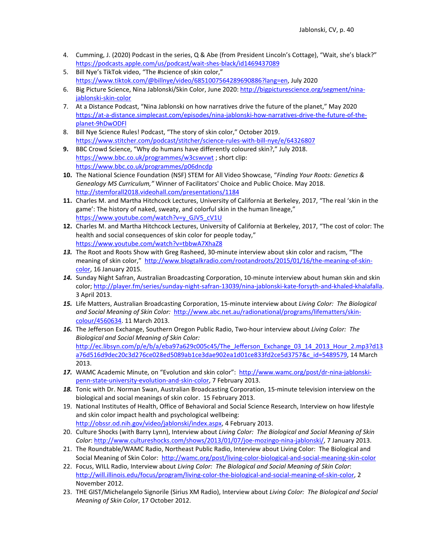- 4. Cumming, J. (2020) Podcast in the series, Q & Abe (from President Lincoln's Cottage), "Wait, she's black?" <https://podcasts.apple.com/us/podcast/wait-shes-black/id1469437089>
- 5. Bill Nye's TikTok video, "The #science of skin color," [https://www.tiktok.com/@billnye/video/6851007564289690886?lang=en,](https://www.tiktok.com/@billnye/video/6851007564289690886?lang=en) July 2020
- 6. Big Picture Science, Nina Jablonski/Skin Color, June 2020: [http://bigpicturescience.org/segment/nina](http://bigpicturescience.org/segment/nina-jablonski-skin-color)[jablonski-skin-color](http://bigpicturescience.org/segment/nina-jablonski-skin-color)
- 7. At a Distance Podcast, "Nina Jablonski on how narratives drive the future of the planet," May 2020 [https://at-a-distance.simplecast.com/episodes/nina-jablonski-how-narratives-drive-the-future-of-the](https://at-a-distance.simplecast.com/episodes/nina-jablonski-how-narratives-drive-the-future-of-the-planet-9hDwODFl)[planet-9hDwODFl](https://at-a-distance.simplecast.com/episodes/nina-jablonski-how-narratives-drive-the-future-of-the-planet-9hDwODFl)
- 8. Bill Nye Science Rules! Podcast, "The story of skin color," October 2019. <https://www.stitcher.com/podcast/stitcher/science-rules-with-bill-nye/e/64326807>
- **9.** BBC Crowd Science, "Why do humans have differently coloured skin?," July 2018. <https://www.bbc.co.uk/programmes/w3cswvwt> ; short clip: <https://www.bbc.co.uk/programmes/p06dncdp>
- **10.** The National Science Foundation (NSF) STEM for All Video Showcase, "*Finding Your Roots: Genetics & Genealogy MS Curriculum,"* Winner of Facilitators' Choice and Public Choice. May 2018. <http://stemforall2018.videohall.com/presentations/1184>
- **11.** Charles M. and Martha Hitchcock Lectures, University of California at Berkeley, 2017, "The real 'skin in the game': The history of naked, sweaty, and colorful skin in the human lineage," [https://www.youtube.com/watch?v=y\\_GJV5\\_cV1U](https://www.youtube.com/watch?v=y_GJV5_cV1U)
- **12.** Charles M. and Martha Hitchcock Lectures, University of California at Berkeley, 2017, "The cost of color: The health and social consequences of skin color for people today," <https://www.youtube.com/watch?v=tbbwA7XhaZ8>
- *13.* The Root and Roots Show with Greg Rasheed, 30-minute interview about skin color and racism, "The meaning of skin color," [http://www.blogtalkradio.com/rootandroots/2015/01/16/the-meaning-of-skin](http://www.blogtalkradio.com/rootandroots/2015/01/16/the-meaning-of-skin-color)[color,](http://www.blogtalkradio.com/rootandroots/2015/01/16/the-meaning-of-skin-color) 16 January 2015.
- *14.* Sunday Night Safran, Australian Broadcasting Corporation, 10-minute interview about human skin and skin color[; http://player.fm/series/sunday-night-safran-13039/nina-jablonski-kate-forsyth-and-khaled-khalafalla.](http://player.fm/series/sunday-night-safran-13039/nina-jablonski-kate-forsyth-and-khaled-khalafalla)  3 April 2013.
- *15.* Life Matters, Australian Broadcasting Corporation, 15-minute interview about *Living Color: The Biological and Social Meaning of Skin Color:* [http://www.abc.net.au/radionational/programs/lifematters/skin](http://www.abc.net.au/radionational/programs/lifematters/skin-colour/4560634)[colour/4560634.](http://www.abc.net.au/radionational/programs/lifematters/skin-colour/4560634) 11 March 2013.
- *16.* The Jefferson Exchange, Southern Oregon Public Radio, Two-hour interview about *Living Color: The Biological and Social Meaning of Skin Color:* http://ec.libsyn.com/p/e/b/a/eba97a629c005c45/The Jefferson Exchange 03 14 2013 Hour 2.mp3?d13 [a76d516d9dec20c3d276ce028ed5089ab1ce3dae902ea1d01ce833fd2ce5d3757&c\\_id=5489579,](http://ec.libsyn.com/p/e/b/a/eba97a629c005c45/The_Jefferson_Exchange_03_14_2013_Hour_2.mp3?d13a76d516d9dec20c3d276ce028ed5089ab1ce3dae902ea1d01ce833fd2ce5d3757&c_id=5489579) 14 March 2013.
- *17.* WAMC Academic Minute, on "Evolution and skin color": [http://www.wamc.org/post/dr-nina-jablonski](http://www.wamc.org/post/dr-nina-jablonski-penn-state-university-evolution-and-skin-color)[penn-state-university-evolution-and-skin-color,](http://www.wamc.org/post/dr-nina-jablonski-penn-state-university-evolution-and-skin-color) 7 February 2013.
- *18.* Tonic with Dr. Norman Swan, Australian Broadcasting Corporation, 15-minute television interview on the biological and social meanings of skin color. 15 February 2013.
- 19. National Institutes of Health, Office of Behavioral and Social Science Research, Interview on how lifestyle and skin color impact health and psychological wellbeing:
	- [http://obssr.od.nih.gov/video/jablonski/index.aspx,](http://obssr.od.nih.gov/video/jablonski/index.aspx) 4 February 2013.
- 20. Culture Shocks (with Barry Lynn), Interview about *Living Color: The Biological and Social Meaning of Skin Color*: [http://www.cultureshocks.com/shows/2013/01/07/joe-mozingo-nina-jablonski/,](http://www.cultureshocks.com/shows/2013/01/07/joe-mozingo-nina-jablonski/) 7 January 2013.
- 21. The Roundtable/WAMC Radio, Northeast Public Radio, Interview about Living Color: The Biological and Social Meaning of Skin Color: <http://wamc.org/post/living-color-biological-and-social-meaning-skin-color>
- 22. Focus, WILL Radio, Interview about *Living Color: The Biological and Social Meaning of Skin Color*: [http://will.illinois.edu/focus/program/living-color-the-biological-and-social-meaning-of-skin-color,](http://will.illinois.edu/focus/program/living-color-the-biological-and-social-meaning-of-skin-color) 2 November 2012.
- 23. THE GIST/Michelangelo Signorile (Sirius XM Radio), Interview about *Living Color: The Biological and Social Meaning of Skin Color*, 17 October 2012.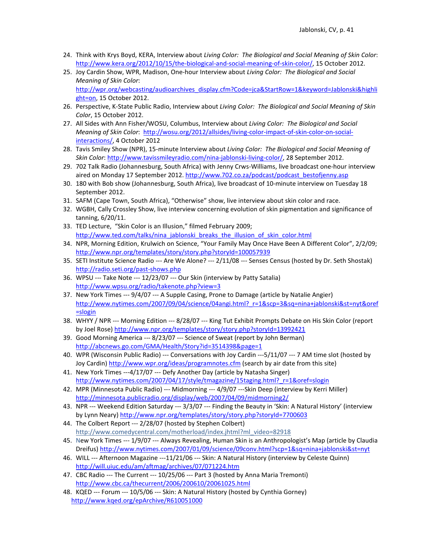- 24. Think with Krys Boyd, KERA, Interview about *Living Color: The Biological and Social Meaning of Skin Color*: [http://www.kera.org/2012/10/15/the-biological-and-social-meaning-of-skin-color/,](http://www.kera.org/2012/10/15/the-biological-and-social-meaning-of-skin-color/) 15 October 2012.
- 25. Joy Cardin Show, WPR, Madison, One-hour Interview about *Living Color: The Biological and Social Meaning of Skin Color*: [http://wpr.org/webcasting/audioarchives\\_display.cfm?Code=jca&StartRow=1&keyword=Jablonski&highli](http://wpr.org/webcasting/audioarchives_display.cfm?Code=jca&StartRow=1&keyword=Jablonski&highlight=on) [ght=on,](http://wpr.org/webcasting/audioarchives_display.cfm?Code=jca&StartRow=1&keyword=Jablonski&highlight=on) 15 October 2012.
- 26. Perspective, K-State Public Radio, Interview about *Living Color: The Biological and Social Meaning of Skin Color*, 15 October 2012.
- 27. All Sides with Ann Fisher/WOSU, Columbus, Interview about *Living Color: The Biological and Social Meaning of Skin Color*: [http://wosu.org/2012/allsides/living-color-impact-of-skin-color-on-social](http://wosu.org/2012/allsides/living-color-impact-of-skin-color-on-social-interactions/)[interactions/,](http://wosu.org/2012/allsides/living-color-impact-of-skin-color-on-social-interactions/) 4 October 2012
- 28. Tavis Smiley Show (NPR), 15-minute Interview about *Living Color: The Biological and Social Meaning of Skin Color*: [http://www.tavissmileyradio.com/nina-jablonski-living-color/,](http://www.tavissmileyradio.com/nina-jablonski-living-color/) 28 September 2012.
- 29. 702 Talk Radio (Johannesburg, South Africa) with Jenny Crws-Williams, live broadcast one-hour interview aired on Monday 17 September 2012. [http://www.702.co.za/podcast/podcast\\_bestofjenny.asp](http://www.702.co.za/podcast/podcast_bestofjenny.asp)
- 30. 180 with Bob show (Johannesburg, South Africa), live broadcast of 10-minute interview on Tuesday 18 September 2012.
- 31. SAFM (Cape Town, South Africa), "Otherwise" show, live interview about skin color and race.
- 32. WGBH, Cally Crossley Show, live interview concerning evolution of skin pigmentation and significance of tanning, 6/20/11.
- 33. TED Lecture, "Skin Color is an Illusion," filmed February 2009; [http://www.ted.com/talks/nina\\_jablonski\\_breaks\\_the\\_illusion\\_of\\_skin\\_color.html](http://www.ted.com/talks/nina_jablonski_breaks_the_illusion_of_skin_color.html)
- 34. NPR, Morning Edition, Krulwich on Science, "Your Family May Once Have Been A Different Color", 2/2/09; <http://www.npr.org/templates/story/story.php?storyId=100057939>
- 35. SETI Institute Science Radio --- Are We Alone? --- 2/11/08 --- Senses Census (hosted by Dr. Seth Shostak) <http://radio.seti.org/past-shows.php>
- 36. WPSU --- Take Note --- 12/23/07 --- Our Skin (interview by Patty Satalia) <http://www.wpsu.org/radio/takenote.php?view=3>
- 37. New York Times --- 9/4/07 --- A Supple Casing, Prone to Damage (article by Natalie Angier) [http://www.nytimes.com/2007/09/04/science/04angi.html?\\_r=1&scp=3&sq=nina+jablonski&st=nyt&oref](http://www.nytimes.com/2007/09/04/science/04angi.html?_r=1&scp=3&sq=nina+jablonski&st=nyt&oref=slogin) [=slogin](http://www.nytimes.com/2007/09/04/science/04angi.html?_r=1&scp=3&sq=nina+jablonski&st=nyt&oref=slogin)
- 38. WHYY / NPR --- Morning Edition --- 8/28/07 --- King Tut Exhibit Prompts Debate on His Skin Color (report by Joel Rose)<http://www.npr.org/templates/story/story.php?storyId=13992421>
- 39. Good Morning America --- 8/23/07 --- Science of Sweat (report by John Berman) <http://abcnews.go.com/GMA/Health/Story?id=3514398&page=1>
- 40. WPR (Wisconsin Public Radio) --- Conversations with Joy Cardin ---5/11/07 --- 7 AM time slot (hosted by Joy Cardin)<http://www.wpr.org/ideas/programnotes.cfm> (search by air date from this site)
- 41. New York Times ---4/17/07 --- Defy Another Day (article by Natasha Singer) [http://www.nytimes.com/2007/04/17/style/tmagazine/15taging.html?\\_r=1&oref=slogin](http://www.nytimes.com/2007/04/17/style/tmagazine/15taging.html?_r=1&oref=slogin)
- 42. MPR (Minnesota Public Radio) --- Midmorning --- 4/9/07 ---Skin Deep (interview by Kerri Miller) <http://minnesota.publicradio.org/display/web/2007/04/09/midmorning2/>
- 43. NPR --- Weekend Edition Saturday --- 3/3/07 --- Finding the Beauty in 'Skin: A Natural History' (interview by Lynn Neary)<http://www.npr.org/templates/story/story.php?storyId=7700603>
- 44. The Colbert Report --- 2/28/07 (hosted by Stephen Colbert) [http://www.comedycentral.com/motherload/index.jhtml?ml\\_video=82918](http://www.comedycentral.com/motherload/index.jhtml?ml_video=82918)
- 45. New York Times --- 1/9/07 --- Always Revealing, Human Skin is an Anthropologist's Map (article by Claudia Dreifus[\) http://www.nytimes.com/2007/01/09/science/09conv.html?scp=1&sq=nina+jablonski&st=nyt](http://www.nytimes.com/2007/01/09/science/09conv.html?scp=1&sq=nina+jablonski&st=nyt)
- 46. WILL --- Afternoon Magazine ---11/21/06 --- Skin: A Natural History (interview by Celeste Quinn) <http://will.uiuc.edu/am/aftmag/archives/07/071224.htm>
- 47. CBC Radio --- The Current --- 10/25/06 --- Part 3 (hosted by Anna Maria Tremonti) <http://www.cbc.ca/thecurrent/2006/200610/20061025.html>
- 48. KQED --- Forum --- 10/5/06 --- Skin: A Natural History (hosted by Cynthia Gorney) <http://www.kqed.org/epArchive/R610051000>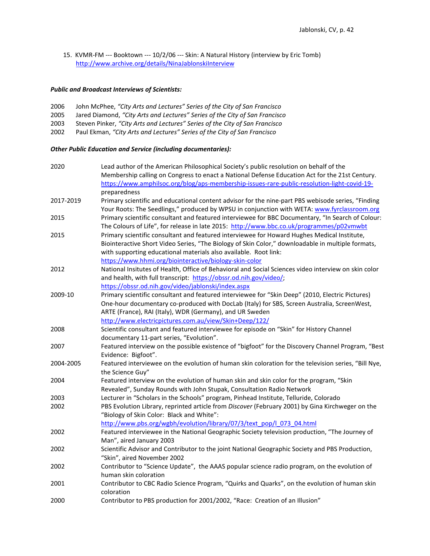15. KVMR-FM --- Booktown --- 10/2/06 --- Skin: A Natural History (interview by Eric Tomb) <http://www.archive.org/details/NinaJablonskiInterview>

# *Public and Broadcast Interviews of Scientists:*

| 2006 | John McPhee, "City Arts and Lectures" Series of the City of San Francisco   |
|------|-----------------------------------------------------------------------------|
| 2005 | Jared Diamond, "City Arts and Lectures" Series of the City of San Francisco |
| 2003 | Steven Pinker, "City Arts and Lectures" Series of the City of San Francisco |
| 2002 | Paul Ekman, "City Arts and Lectures" Series of the City of San Francisco    |

## *Other Public Education and Service (including documentaries):*

| 2020      | Lead author of the American Philosophical Society's public resolution on behalf of the<br>Membership calling on Congress to enact a National Defense Education Act for the 21st Century. |
|-----------|------------------------------------------------------------------------------------------------------------------------------------------------------------------------------------------|
|           | https://www.amphilsoc.org/blog/aps-membership-issues-rare-public-resolution-light-covid-19-                                                                                              |
|           | preparedness                                                                                                                                                                             |
| 2017-2019 | Primary scientific and educational content advisor for the nine-part PBS webisode series, "Finding                                                                                       |
|           | Your Roots: The Seedlings," produced by WPSU in conjunction with WETA: www.fyrclassroom.org                                                                                              |
| 2015      | Primary scientific consultant and featured interviewee for BBC Documentary, "In Search of Colour:                                                                                        |
|           | The Colours of Life", for release in late 2015: http://www.bbc.co.uk/programmes/p02vmwbt                                                                                                 |
| 2015      | Primary scientific consultant and featured interviewee for Howard Hughes Medical Institute,                                                                                              |
|           | Biointeractive Short Video Series, "The Biology of Skin Color," downloadable in multiple formats,                                                                                        |
|           | with supporting educational materials also available. Root link:                                                                                                                         |
|           | https://www.hhmi.org/biointeractive/biology-skin-color                                                                                                                                   |
| 2012      | National Insitutes of Health, Office of Behavioral and Social Sciences video interview on skin color                                                                                     |
|           | and health, with full transcript: https://obssr.od.nih.gov/video/;                                                                                                                       |
|           | https://obssr.od.nih.gov/video/jablonski/index.aspx                                                                                                                                      |
| 2009-10   | Primary scientific consultant and featured interviewee for "Skin Deep" (2010, Electric Pictures)                                                                                         |
|           | One-hour documentary co-produced with DocLab (Italy) for SBS, Screen Australia, ScreenWest,                                                                                              |
|           | ARTE (France), RAI (Italy), WDR (Germany), and UR Sweden                                                                                                                                 |
|           | http://www.electricpictures.com.au/view/Skin+Deep/122/                                                                                                                                   |
| 2008      | Scientific consultant and featured interviewee for episode on "Skin" for History Channel                                                                                                 |
|           | documentary 11-part series, "Evolution".                                                                                                                                                 |
| 2007      | Featured interview on the possible existence of "bigfoot" for the Discovery Channel Program, "Best                                                                                       |
|           | Evidence: Bigfoot".                                                                                                                                                                      |
| 2004-2005 | Featured interviewee on the evolution of human skin coloration for the television series, "Bill Nye,<br>the Science Guy"                                                                 |
| 2004      | Featured interview on the evolution of human skin and skin color for the program, "Skin                                                                                                  |
|           | Revealed", Sunday Rounds with John Stupak, Consultation Radio Network                                                                                                                    |
| 2003      | Lecturer in "Scholars in the Schools" program, Pinhead Institute, Telluride, Colorado                                                                                                    |
| 2002      | PBS Evolution Library, reprinted article from Discover (February 2001) by Gina Kirchweger on the                                                                                         |
|           | "Biology of Skin Color: Black and White":                                                                                                                                                |
|           | http://www.pbs.org/wgbh/evolution/library/07/3/text_pop/l_073_04.html                                                                                                                    |
| 2002      | Featured interviewee in the National Geographic Society television production, "The Journey of                                                                                           |
|           | Man", aired January 2003                                                                                                                                                                 |
| 2002      | Scientific Advisor and Contributor to the joint National Geographic Society and PBS Production,                                                                                          |
|           | "Skin", aired November 2002                                                                                                                                                              |
| 2002      | Contributor to "Science Update", the AAAS popular science radio program, on the evolution of                                                                                             |
|           | human skin coloration                                                                                                                                                                    |
| 2001      | Contributor to CBC Radio Science Program, "Quirks and Quarks", on the evolution of human skin                                                                                            |
|           | coloration                                                                                                                                                                               |
| 2000      | Contributor to PBS production for 2001/2002, "Race: Creation of an Illusion"                                                                                                             |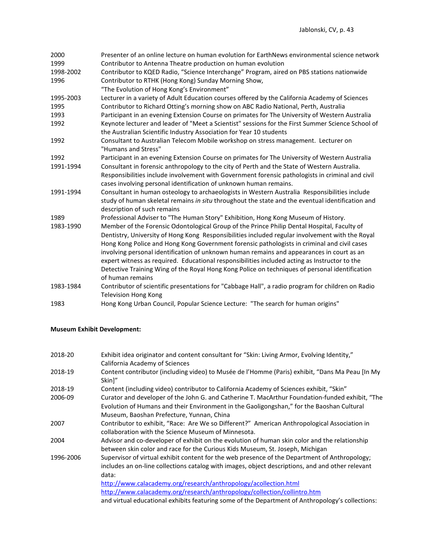| 2000      | Presenter of an online lecture on human evolution for EarthNews environmental science network                      |
|-----------|--------------------------------------------------------------------------------------------------------------------|
| 1999      | Contributor to Antenna Theatre production on human evolution                                                       |
| 1998-2002 | Contributor to KQED Radio, "Science Interchange" Program, aired on PBS stations nationwide                         |
| 1996      | Contributor to RTHK (Hong Kong) Sunday Morning Show,                                                               |
|           | "The Evolution of Hong Kong's Environment"                                                                         |
| 1995-2003 | Lecturer in a variety of Adult Education courses offered by the California Academy of Sciences                     |
| 1995      | Contributor to Richard Otting's morning show on ABC Radio National, Perth, Australia                               |
| 1993      | Participant in an evening Extension Course on primates for The University of Western Australia                     |
| 1992      | Keynote lecturer and leader of "Meet a Scientist" sessions for the First Summer Science School of                  |
|           | the Australian Scientific Industry Association for Year 10 students                                                |
| 1992      | Consultant to Australian Telecom Mobile workshop on stress management. Lecturer on                                 |
|           | "Humans and Stress"                                                                                                |
| 1992      | Participant in an evening Extension Course on primates for The University of Western Australia                     |
| 1991-1994 | Consultant in forensic anthropology to the city of Perth and the State of Western Australia.                       |
|           | Responsibilities include involvement with Government forensic pathologists in criminal and civil                   |
|           | cases involving personal identification of unknown human remains.                                                  |
| 1991-1994 | Consultant in human osteology to archaeologists in Western Australia Responsibilities include                      |
|           | study of human skeletal remains in situ throughout the state and the eventual identification and                   |
|           | description of such remains                                                                                        |
| 1989      | Professional Adviser to "The Human Story" Exhibition, Hong Kong Museum of History.                                 |
| 1983-1990 | Member of the Forensic Odontological Group of the Prince Philip Dental Hospital, Faculty of                        |
|           | Dentistry, University of Hong Kong Responsibilities included regular involvement with the Royal                    |
|           | Hong Kong Police and Hong Kong Government forensic pathologists in criminal and civil cases                        |
|           | involving personal identification of unknown human remains and appearances in court as an                          |
|           | expert witness as required. Educational responsibilities included acting as Instructor to the                      |
|           |                                                                                                                    |
|           | Detective Training Wing of the Royal Hong Kong Police on techniques of personal identification<br>of human remains |
|           |                                                                                                                    |
| 1983-1984 | Contributor of scientific presentations for "Cabbage Hall", a radio program for children on Radio                  |
|           | <b>Television Hong Kong</b>                                                                                        |
| 1983      | Hong Kong Urban Council, Popular Science Lecture: "The search for human origins"                                   |

# **Museum Exhibit Development:**

| 2018-20   | Exhibit idea originator and content consultant for "Skin: Living Armor, Evolving Identity,"<br>California Academy of Sciences                                                                              |
|-----------|------------------------------------------------------------------------------------------------------------------------------------------------------------------------------------------------------------|
| 2018-19   | Content contributor (including video) to Musée de l'Homme (Paris) exhibit, "Dans Ma Peau [In My<br>Skin]"                                                                                                  |
| 2018-19   | Content (including video) contributor to California Academy of Sciences exhibit, "Skin"                                                                                                                    |
| 2006-09   | Curator and developer of the John G. and Catherine T. MacArthur Foundation-funded exhibit, "The                                                                                                            |
|           | Evolution of Humans and their Environment in the Gaoligongshan," for the Baoshan Cultural<br>Museum, Baoshan Prefecture, Yunnan, China                                                                     |
| 2007      | Contributor to exhibit, "Race: Are We so Different?" American Anthropological Association in<br>collaboration with the Science Museum of Minnesota.                                                        |
| 2004      | Advisor and co-developer of exhibit on the evolution of human skin color and the relationship<br>between skin color and race for the Curious Kids Museum, St. Joseph, Michigan                             |
| 1996-2006 | Supervisor of virtual exhibit content for the web presence of the Department of Anthropology;<br>includes an on-line collections catalog with images, object descriptions, and and other relevant<br>data: |
|           | http://www.calacademy.org/research/anthropology/acollection.html                                                                                                                                           |
|           | http://www.calacademy.org/research/anthropology/collection/collintro.htm                                                                                                                                   |
|           | and virtual educational exhibits featuring some of the Department of Anthropology's collections:                                                                                                           |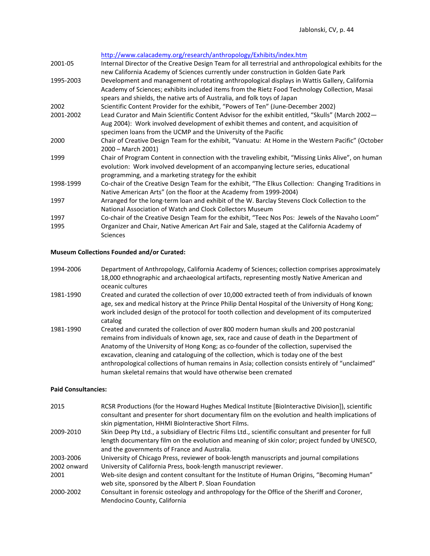| 2001-05           | http://www.calacademy.org/research/anthropology/Exhibits/index.htm<br>Internal Director of the Creative Design Team for all terrestrial and anthropological exhibits for the<br>new California Academy of Sciences currently under construction in Golden Gate Park             |
|-------------------|---------------------------------------------------------------------------------------------------------------------------------------------------------------------------------------------------------------------------------------------------------------------------------|
| 1995-2003         | Development and management of rotating anthropological displays in Wattis Gallery, California<br>Academy of Sciences; exhibits included items from the Rietz Food Technology Collection, Masai<br>spears and shields, the native arts of Australia, and folk toys of Japan      |
| 2002<br>2001-2002 | Scientific Content Provider for the exhibit, "Powers of Ten" (June-December 2002)<br>Lead Curator and Main Scientific Content Advisor for the exhibit entitled, "Skulls" (March 2002—<br>Aug 2004): Work involved development of exhibit themes and content, and acquisition of |
| 2000              | specimen loans from the UCMP and the University of the Pacific<br>Chair of Creative Design Team for the exhibit, "Vanuatu: At Home in the Western Pacific" (October<br>2000 - March 2001)                                                                                       |
| 1999              | Chair of Program Content in connection with the traveling exhibit, "Missing Links Alive", on human<br>evolution: Work involved development of an accompanying lecture series, educational<br>programming, and a marketing strategy for the exhibit                              |
| 1998-1999         | Co-chair of the Creative Design Team for the exhibit, "The Elkus Collection: Changing Traditions in<br>Native American Arts" (on the floor at the Academy from 1999-2004)                                                                                                       |
| 1997              | Arranged for the long-term loan and exhibit of the W. Barclay Stevens Clock Collection to the<br>National Association of Watch and Clock Collectors Museum                                                                                                                      |
| 1997<br>1995      | Co-chair of the Creative Design Team for the exhibit, "Teec Nos Pos: Jewels of the Navaho Loom"<br>Organizer and Chair, Native American Art Fair and Sale, staged at the California Academy of<br>Sciences                                                                      |

### **Museum Collections Founded and/or Curated:**

- 1994-2006 Department of Anthropology, California Academy of Sciences; collection comprises approximately 18,000 ethnographic and archaeological artifacts, representing mostly Native American and oceanic cultures
- 1981-1990 Created and curated the collection of over 10,000 extracted teeth of from individuals of known age, sex and medical history at the Prince Philip Dental Hospital of the University of Hong Kong; work included design of the protocol for tooth collection and development of its computerized catalog
- 1981-1990 Created and curated the collection of over 800 modern human skulls and 200 postcranial remains from individuals of known age, sex, race and cause of death in the Department of Anatomy of the University of Hong Kong; as co-founder of the collection, supervised the excavation, cleaning and cataloguing of the collection, which is today one of the best anthropological collections of human remains in Asia; collection consists entirely of "unclaimed" human skeletal remains that would have otherwise been cremated

## **Paid Consultancies:**

| 2015        | RCSR Productions (for the Howard Hughes Medical Institute [BioInteractive Division]), scientific<br>consultant and presenter for short documentary film on the evolution and health implications of<br>skin pigmentation, HHMI BioInteractive Short Films. |
|-------------|------------------------------------------------------------------------------------------------------------------------------------------------------------------------------------------------------------------------------------------------------------|
| 2009-2010   | Skin Deep Pty Ltd., a subsidiary of Electric Films Ltd., scientific consultant and presenter for full<br>length documentary film on the evolution and meaning of skin color; project funded by UNESCO,<br>and the governments of France and Australia.     |
| 2003-2006   | University of Chicago Press, reviewer of book-length manuscripts and journal compilations                                                                                                                                                                  |
| 2002 onward | University of California Press, book-length manuscript reviewer.                                                                                                                                                                                           |
| 2001        | Web-site design and content consultant for the Institute of Human Origins, "Becoming Human"<br>web site, sponsored by the Albert P. Sloan Foundation                                                                                                       |
| 2000-2002   | Consultant in forensic osteology and anthropology for the Office of the Sheriff and Coroner,<br>Mendocino County, California                                                                                                                               |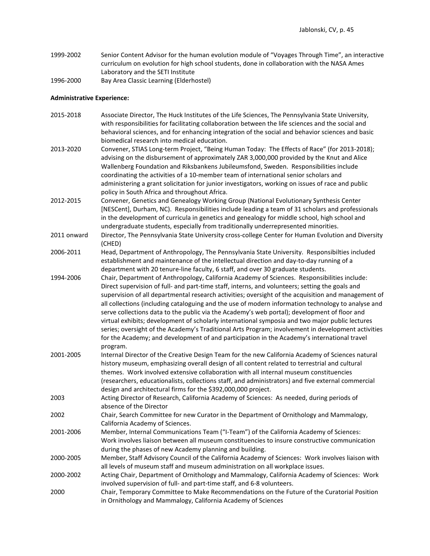- 1999-2002 Senior Content Advisor for the human evolution module of "Voyages Through Time", an interactive curriculum on evolution for high school students, done in collaboration with the NASA Ames Laboratory and the SETI Institute
- 1996-2000 Bay Area Classic Learning (Elderhostel)

# **Administrative Experience:**

| 2015-2018   | Associate Director, The Huck Institutes of the Life Sciences, The Pennsylvania State University,<br>with responsibilities for facilitating collaboration between the life sciences and the social and<br>behavioral sciences, and for enhancing integration of the social and behavior sciences and basic                                                                                                                                                                                                                                                                                                                                                                                                                                                                                                                        |
|-------------|----------------------------------------------------------------------------------------------------------------------------------------------------------------------------------------------------------------------------------------------------------------------------------------------------------------------------------------------------------------------------------------------------------------------------------------------------------------------------------------------------------------------------------------------------------------------------------------------------------------------------------------------------------------------------------------------------------------------------------------------------------------------------------------------------------------------------------|
|             | biomedical research into medical education.                                                                                                                                                                                                                                                                                                                                                                                                                                                                                                                                                                                                                                                                                                                                                                                      |
| 2013-2020   | Convener, STIAS Long-term Project, "Being Human Today: The Effects of Race" (for 2013-2018);<br>advising on the disbursement of approximately ZAR 3,000,000 provided by the Knut and Alice<br>Wallenberg Foundation and Riksbankens Jubileumsfond, Sweden. Responsibilities include<br>coordinating the activities of a 10-member team of international senior scholars and<br>administering a grant solicitation for junior investigators, working on issues of race and public                                                                                                                                                                                                                                                                                                                                                 |
| 2012-2015   | policy in South Africa and throughout Africa.<br>Convener, Genetics and Genealogy Working Group (National Evolutionary Synthesis Center<br>[NESCent], Durham, NC). Responsibilities include leading a team of 31 scholars and professionals<br>in the development of curricula in genetics and genealogy for middle school, high school and<br>undergraduate students, especially from traditionally underrepresented minorities.                                                                                                                                                                                                                                                                                                                                                                                                |
| 2011 onward | Director, The Pennsylvania State University cross-college Center for Human Evolution and Diversity<br>(CHED)                                                                                                                                                                                                                                                                                                                                                                                                                                                                                                                                                                                                                                                                                                                     |
| 2006-2011   | Head, Department of Anthropology, The Pennsylvania State University. Responsibilties included<br>establishment and maintenance of the intellectual direction and day-to-day running of a<br>department with 20 tenure-line faculty, 6 staff, and over 30 graduate students.                                                                                                                                                                                                                                                                                                                                                                                                                                                                                                                                                      |
| 1994-2006   | Chair, Department of Anthropology, California Academy of Sciences. Responsibilities include:<br>Direct supervision of full- and part-time staff, interns, and volunteers; setting the goals and<br>supervision of all departmental research activities; oversight of the acquisition and management of<br>all collections (including cataloguing and the use of modern information technology to analyse and<br>serve collections data to the public via the Academy's web portal); development of floor and<br>virtual exhibits; development of scholarly international symposia and two major public lectures<br>series; oversight of the Academy's Traditional Arts Program; involvement in development activities<br>for the Academy; and development of and participation in the Academy's international travel<br>program. |
| 2001-2005   | Internal Director of the Creative Design Team for the new California Academy of Sciences natural<br>history museum, emphasizing overall design of all content related to terrestrial and cultural<br>themes. Work involved extensive collaboration with all internal museum constituencies<br>(researchers, educationalists, collections staff, and administrators) and five external commercial<br>design and architectural firms for the \$392,000,000 project.                                                                                                                                                                                                                                                                                                                                                                |
| 2003        | Acting Director of Research, California Academy of Sciences: As needed, during periods of<br>absence of the Director                                                                                                                                                                                                                                                                                                                                                                                                                                                                                                                                                                                                                                                                                                             |
| 2002        | Chair, Search Committee for new Curator in the Department of Ornithology and Mammalogy,<br>California Academy of Sciences.                                                                                                                                                                                                                                                                                                                                                                                                                                                                                                                                                                                                                                                                                                       |
| 2001-2006   | Member, Internal Communications Team ("I-Team") of the California Academy of Sciences:<br>Work involves liaison between all museum constituencies to insure constructive communication<br>during the phases of new Academy planning and building.                                                                                                                                                                                                                                                                                                                                                                                                                                                                                                                                                                                |
| 2000-2005   | Member, Staff Advisory Council of the California Academy of Sciences: Work involves liaison with<br>all levels of museum staff and museum administration on all workplace issues.                                                                                                                                                                                                                                                                                                                                                                                                                                                                                                                                                                                                                                                |
| 2000-2002   | Acting Chair, Department of Ornithology and Mammalogy, California Academy of Sciences: Work<br>involved supervision of full- and part-time staff, and 6-8 volunteers.                                                                                                                                                                                                                                                                                                                                                                                                                                                                                                                                                                                                                                                            |
| 2000        | Chair, Temporary Committee to Make Recommendations on the Future of the Curatorial Position<br>in Ornithology and Mammalogy, California Academy of Sciences                                                                                                                                                                                                                                                                                                                                                                                                                                                                                                                                                                                                                                                                      |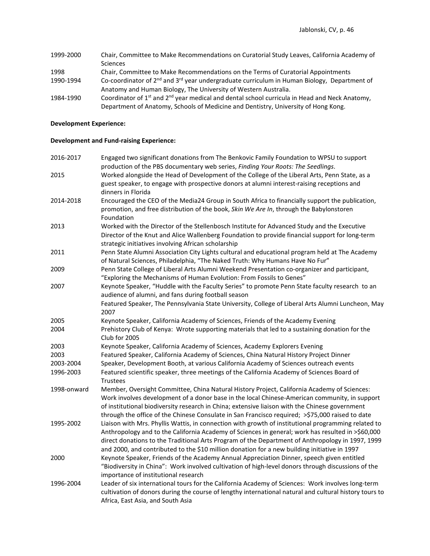- 1999-2000 Chair, Committee to Make Recommendations on Curatorial Study Leaves, California Academy of Sciences 1998 Chair, Committee to Make Recommendations on the Terms of Curatorial Appointments
- 1990-1994 Co-coordinator of 2<sup>nd</sup> and 3<sup>rd</sup> year undergraduate curriculum in Human Biology, Department of Anatomy and Human Biology, The University of Western Australia.
- 1984-1990 Coordinator of 1<sup>st</sup> and 2<sup>nd</sup> year medical and dental school curricula in Head and Neck Anatomy, Department of Anatomy, Schools of Medicine and Dentistry, University of Hong Kong.

# **Development Experience:**

### **Development and Fund-raising Experience:**

| 2016-2017   | Engaged two significant donations from The Benkovic Family Foundation to WPSU to support<br>production of the PBS documentary web series, Finding Your Roots: The Seedlings.                                                                                                                                                                                                                                 |
|-------------|--------------------------------------------------------------------------------------------------------------------------------------------------------------------------------------------------------------------------------------------------------------------------------------------------------------------------------------------------------------------------------------------------------------|
| 2015        | Worked alongside the Head of Development of the College of the Liberal Arts, Penn State, as a                                                                                                                                                                                                                                                                                                                |
|             | guest speaker, to engage with prospective donors at alumni interest-raising receptions and<br>dinners in Florida                                                                                                                                                                                                                                                                                             |
| 2014-2018   | Encouraged the CEO of the Media24 Group in South Africa to financially support the publication,<br>promotion, and free distribution of the book, Skin We Are In, through the Babylonstoren<br>Foundation                                                                                                                                                                                                     |
| 2013        | Worked with the Director of the Stellenbosch Institute for Advanced Study and the Executive<br>Director of the Knut and Alice Wallenberg Foundation to provide financial support for long-term<br>strategic initiatives involving African scholarship                                                                                                                                                        |
| 2011        | Penn State Alumni Association City Lights cultural and educational program held at The Academy<br>of Natural Sciences, Philadelphia, "The Naked Truth: Why Humans Have No Fur"                                                                                                                                                                                                                               |
| 2009        | Penn State College of Liberal Arts Alumni Weekend Presentation co-organizer and participant,<br>"Exploring the Mechanisms of Human Evolution: From Fossils to Genes"                                                                                                                                                                                                                                         |
| 2007        | Keynote Speaker, "Huddle with the Faculty Series" to promote Penn State faculty research to an<br>audience of alumni, and fans during football season<br>Featured Speaker, The Pennsylvania State University, College of Liberal Arts Alumni Luncheon, May                                                                                                                                                   |
|             | 2007                                                                                                                                                                                                                                                                                                                                                                                                         |
| 2005        | Keynote Speaker, California Academy of Sciences, Friends of the Academy Evening                                                                                                                                                                                                                                                                                                                              |
| 2004        | Prehistory Club of Kenya: Wrote supporting materials that led to a sustaining donation for the<br>Club for 2005                                                                                                                                                                                                                                                                                              |
| 2003        | Keynote Speaker, California Academy of Sciences, Academy Explorers Evening                                                                                                                                                                                                                                                                                                                                   |
| 2003        | Featured Speaker, California Academy of Sciences, China Natural History Project Dinner                                                                                                                                                                                                                                                                                                                       |
| 2003-2004   | Speaker, Development Booth, at various California Academy of Sciences outreach events                                                                                                                                                                                                                                                                                                                        |
| 1996-2003   | Featured scientific speaker, three meetings of the California Academy of Sciences Board of<br>Trustees                                                                                                                                                                                                                                                                                                       |
| 1998-onward | Member, Oversight Committee, China Natural History Project, California Academy of Sciences:<br>Work involves development of a donor base in the local Chinese-American community, in support<br>of institutional biodiversity research in China; extensive liaison with the Chinese government<br>through the office of the Chinese Consulate in San Francisco required; >\$75,000 raised to date            |
| 1995-2002   | Liaison with Mrs. Phyllis Wattis, in connection with growth of institutional programming related to<br>Anthropology and to the California Academy of Sciences in general; work has resulted in >\$60,000<br>direct donations to the Traditional Arts Program of the Department of Anthropology in 1997, 1999<br>and 2000, and contributed to the \$10 million donation for a new building initiative in 1997 |
| 2000        | Keynote Speaker, Friends of the Academy Annual Appreciation Dinner, speech given entitled<br>"Biodiversity in China": Work involved cultivation of high-level donors through discussions of the<br>importance of institutional research                                                                                                                                                                      |
| 1996-2004   | Leader of six international tours for the California Academy of Sciences: Work involves long-term<br>cultivation of donors during the course of lengthy international natural and cultural history tours to<br>Africa, East Asia, and South Asia                                                                                                                                                             |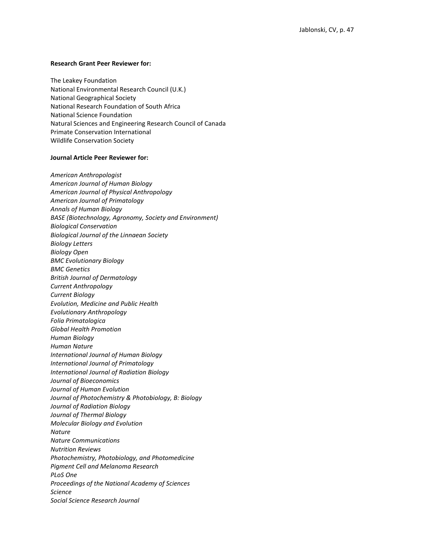#### **Research Grant Peer Reviewer for:**

The Leakey Foundation National Environmental Research Council (U.K.) National Geographical Society National Research Foundation of South Africa National Science Foundation Natural Sciences and Engineering Research Council of Canada Primate Conservation International Wildlife Conservation Society

### **Journal Article Peer Reviewer for:**

*American Anthropologist American Journal of Human Biology American Journal of Physical Anthropology American Journal of Primatology Annals of Human Biology BASE (Biotechnology, Agronomy, Society and Environment) Biological Conservation Biological Journal of the Linnaean Society Biology Letters Biology Open BMC Evolutionary Biology BMC Genetics British Journal of Dermatology Current Anthropology Current Biology Evolution, Medicine and Public Health Evolutionary Anthropology Folia Primatologica Global Health Promotion Human Biology Human Nature International Journal of Human Biology International Journal of Primatology International Journal of Radiation Biology Journal of Bioeconomics Journal of Human Evolution Journal of Photochemistry & Photobiology, B: Biology Journal of Radiation Biology Journal of Thermal Biology Molecular Biology and Evolution Nature Nature Communications Nutrition Reviews Photochemistry, Photobiology, and Photomedicine Pigment Cell and Melanoma Research PLoS One Proceedings of the National Academy of Sciences Science Social Science Research Journal*